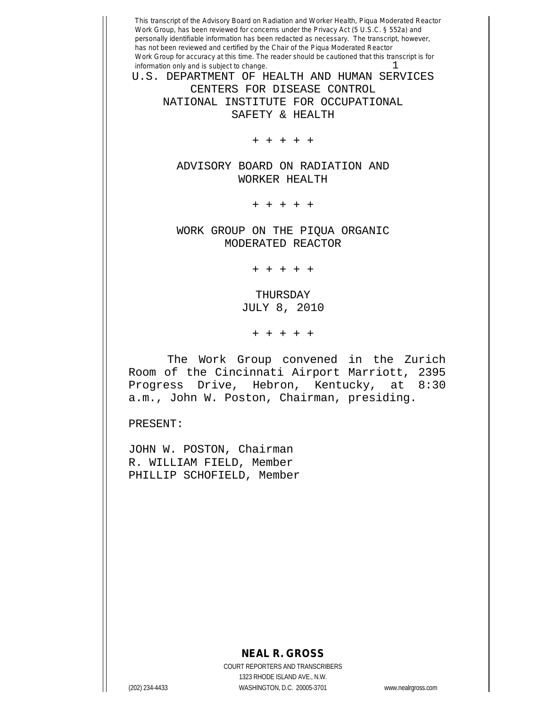U.S. DEPARTMENT OF HEALTH AND HUMAN SERVICES CENTERS FOR DISEASE CONTROL NATIONAL INSTITUTE FOR OCCUPATIONAL SAFETY & HEALTH

+ + + + +

ADVISORY BOARD ON RADIATION AND WORKER HEALTH

+ + + + +

WORK GROUP ON THE PIQUA ORGANIC MODERATED REACTOR

+ + + + +

THURSDAY JULY 8, 2010

+ + + + +

The Work Group convened in the Zurich Room of the Cincinnati Airport Marriott, 2395 Progress Drive, Hebron, Kentucky, at 8:30 a.m., John W. Poston, Chairman, presiding.

PRESENT:

JOHN W. POSTON, Chairman R. WILLIAM FIELD, Member PHILLIP SCHOFIELD, Member

### **NEAL R. GROSS**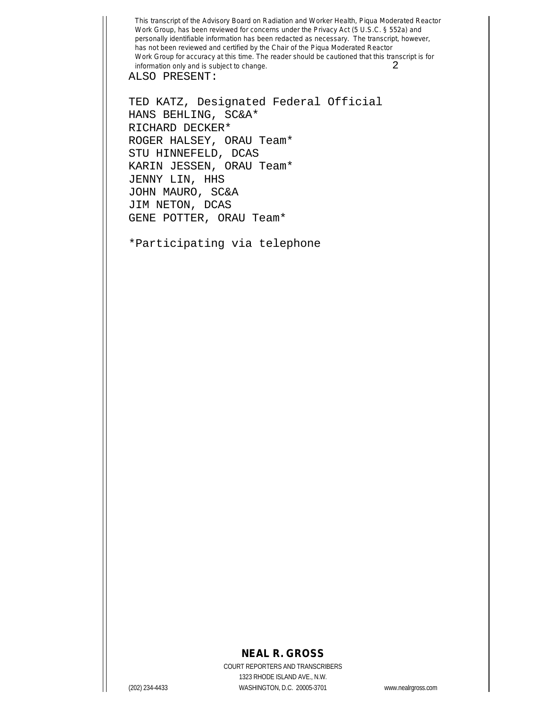ALSO PRESENT:

TED KATZ, Designated Federal Official HANS BEHLING, SC&A\* RICHARD DECKER\* ROGER HALSEY, ORAU Team\* STU HINNEFELD, DCAS KARIN JESSEN, ORAU Team\* JENNY LIN, HHS JOHN MAURO, SC&A JIM NETON, DCAS GENE POTTER, ORAU Team\*

\*Participating via telephone

# **NEAL R. GROSS**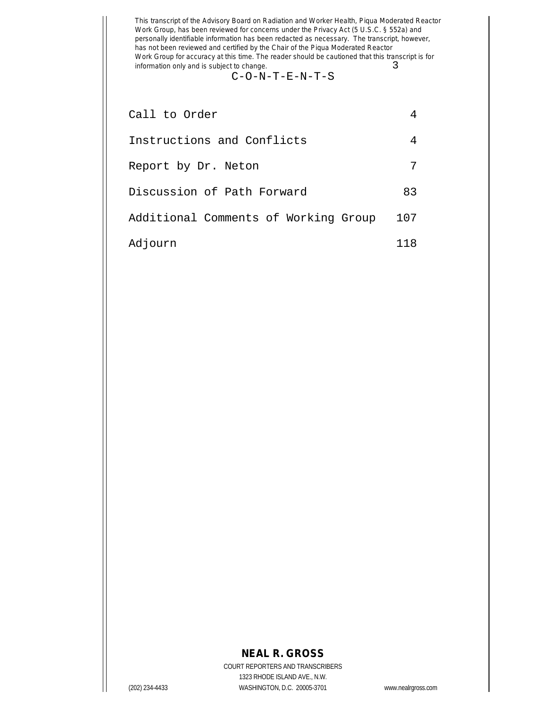#### C-O-N-T-E-N-T-S

| Call to Order                        |     |
|--------------------------------------|-----|
| Instructions and Conflicts           |     |
| Report by Dr. Neton                  |     |
| Discussion of Path Forward           | 83  |
| Additional Comments of Working Group | 107 |
| Adjourn                              | 118 |

## **NEAL R. GROSS**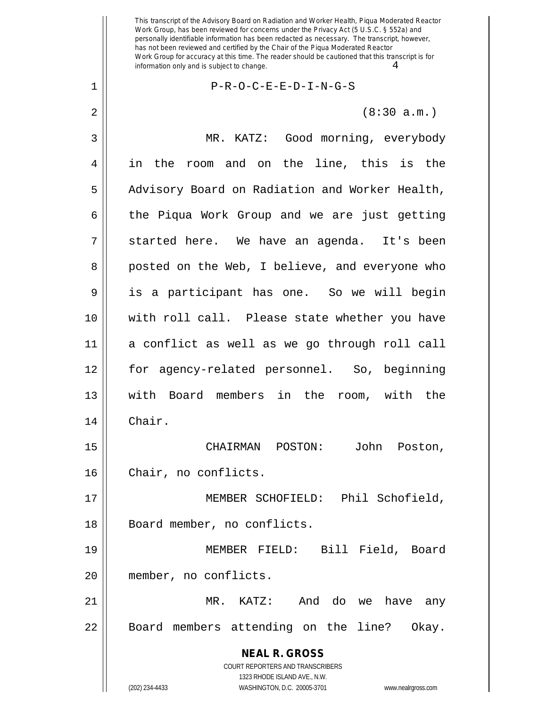1 P-R-O-C-E-E-D-I-N-G-S

 $2 \parallel$  (8:30 a.m.)

**NEAL R. GROSS** COURT REPORTERS AND TRANSCRIBERS 1323 RHODE ISLAND AVE., N.W. 3 MR. KATZ: Good morning, everybody 4 in the room and on the line, this is the 5 | Advisory Board on Radiation and Worker Health,  $6 \parallel$  the Piqua Work Group and we are just getting  $7 \parallel$  started here. We have an agenda. It's been 8 || posted on the Web, I believe, and everyone who 9 is a participant has one. So we will begin 10 with roll call. Please state whether you have 11 a conflict as well as we go through roll call 12 for agency-related personnel. So, beginning 13 with Board members in the room, with the 14 Chair. 15 CHAIRMAN POSTON: John Poston, 16 | Chair, no conflicts. 17 MEMBER SCHOFIELD: Phil Schofield, 18 || Board member, no conflicts. 19 MEMBER FIELD: Bill Field, Board 20 member, no conflicts. 21 MR. KATZ: And do we have any 22 | Board members attending on the line? Okay.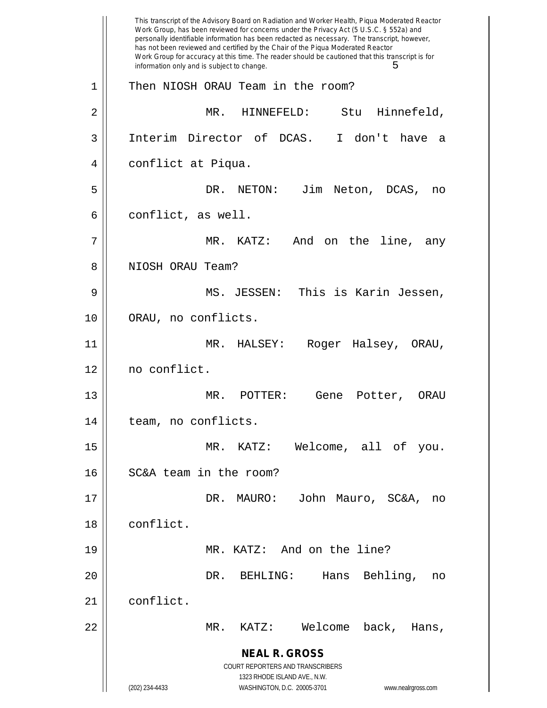**NEAL R. GROSS** COURT REPORTERS AND TRANSCRIBERS 1323 RHODE ISLAND AVE., N.W. (202) 234-4433 WASHINGTON, D.C. 20005-3701 www.nealrgross.com This transcript of the Advisory Board on Radiation and Worker Health, Piqua Moderated Reactor Work Group, has been reviewed for concerns under the Privacy Act (5 U.S.C. § 552a) and personally identifiable information has been redacted as necessary. The transcript, however, has not been reviewed and certified by the Chair of the Piqua Moderated Reactor Work Group for accuracy at this time. The reader should be cautioned that this transcript is for information only and is subject to change.  $5$ 1 || Then NIOSH ORAU Team in the room? 2 MR. HINNEFELD: Stu Hinnefeld, 3 Interim Director of DCAS. I don't have a 4 conflict at Piqua. 5 DR. NETON: Jim Neton, DCAS, no  $6 \parallel$  conflict, as well. 7 MR. KATZ: And on the line, any 8 || NIOSH ORAU Team? 9 MS. JESSEN: This is Karin Jessen, 10 || ORAU, no conflicts. 11 MR. HALSEY: Roger Halsey, ORAU, 12 no conflict. 13 MR. POTTER: Gene Potter, ORAU 14 || team, no conflicts. 15 MR. KATZ: Welcome, all of you. 16 | SC&A team in the room? 17 DR. MAURO: John Mauro, SC&A, no 18 conflict. 19 || MR. KATZ: And on the line? 20 DR. BEHLING: Hans Behling, no 21 conflict. 22 MR. KATZ: Welcome back, Hans,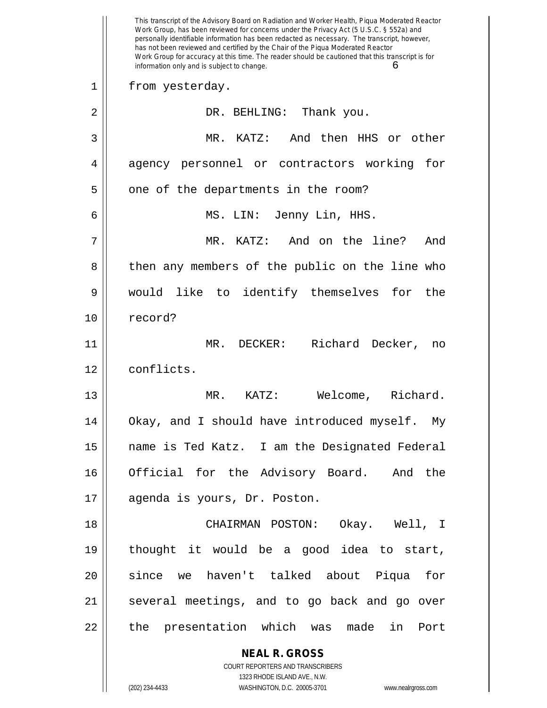|    | This transcript of the Advisory Board on Radiation and Worker Health, Piqua Moderated Reactor<br>Work Group, has been reviewed for concerns under the Privacy Act (5 U.S.C. § 552a) and<br>personally identifiable information has been redacted as necessary. The transcript, however,<br>has not been reviewed and certified by the Chair of the Piqua Moderated Reactor<br>Work Group for accuracy at this time. The reader should be cautioned that this transcript is for<br>information only and is subject to change.<br>6 |
|----|-----------------------------------------------------------------------------------------------------------------------------------------------------------------------------------------------------------------------------------------------------------------------------------------------------------------------------------------------------------------------------------------------------------------------------------------------------------------------------------------------------------------------------------|
| 1  | from yesterday.                                                                                                                                                                                                                                                                                                                                                                                                                                                                                                                   |
| 2  | DR. BEHLING: Thank you.                                                                                                                                                                                                                                                                                                                                                                                                                                                                                                           |
| 3  | MR. KATZ: And then HHS or other                                                                                                                                                                                                                                                                                                                                                                                                                                                                                                   |
| 4  | agency personnel or contractors working for                                                                                                                                                                                                                                                                                                                                                                                                                                                                                       |
| 5  | one of the departments in the room?                                                                                                                                                                                                                                                                                                                                                                                                                                                                                               |
| 6  | MS. LIN: Jenny Lin, HHS.                                                                                                                                                                                                                                                                                                                                                                                                                                                                                                          |
| 7  | KATZ: And on the line?<br>MR.<br>And                                                                                                                                                                                                                                                                                                                                                                                                                                                                                              |
| 8  | then any members of the public on the line who                                                                                                                                                                                                                                                                                                                                                                                                                                                                                    |
| 9  | would like to identify themselves for<br>the                                                                                                                                                                                                                                                                                                                                                                                                                                                                                      |
| 10 | record?                                                                                                                                                                                                                                                                                                                                                                                                                                                                                                                           |
| 11 | Richard Decker,<br>MR. DECKER:<br>no                                                                                                                                                                                                                                                                                                                                                                                                                                                                                              |
| 12 | conflicts.                                                                                                                                                                                                                                                                                                                                                                                                                                                                                                                        |
| 13 | Richard.<br>MR.<br>KATZ:<br>Welcome,                                                                                                                                                                                                                                                                                                                                                                                                                                                                                              |
| 14 | Okay, and I should have introduced myself. My                                                                                                                                                                                                                                                                                                                                                                                                                                                                                     |
| 15 | name is Ted Katz. I am the Designated Federal                                                                                                                                                                                                                                                                                                                                                                                                                                                                                     |
| 16 | Official for the Advisory Board. And the                                                                                                                                                                                                                                                                                                                                                                                                                                                                                          |
| 17 | agenda is yours, Dr. Poston.                                                                                                                                                                                                                                                                                                                                                                                                                                                                                                      |
| 18 | CHAIRMAN POSTON: Okay. Well, I                                                                                                                                                                                                                                                                                                                                                                                                                                                                                                    |
| 19 | thought it would be a good idea to start,                                                                                                                                                                                                                                                                                                                                                                                                                                                                                         |
| 20 | since we haven't talked about Piqua<br>for                                                                                                                                                                                                                                                                                                                                                                                                                                                                                        |
| 21 | several meetings, and to go back and go over                                                                                                                                                                                                                                                                                                                                                                                                                                                                                      |
| 22 | the presentation which was made<br>in<br>Port                                                                                                                                                                                                                                                                                                                                                                                                                                                                                     |
|    | <b>NEAL R. GROSS</b>                                                                                                                                                                                                                                                                                                                                                                                                                                                                                                              |
|    | COURT REPORTERS AND TRANSCRIBERS                                                                                                                                                                                                                                                                                                                                                                                                                                                                                                  |
|    | 1323 RHODE ISLAND AVE., N.W.<br>(202) 234-4433<br>WASHINGTON, D.C. 20005-3701<br>www.nealrgross.com                                                                                                                                                                                                                                                                                                                                                                                                                               |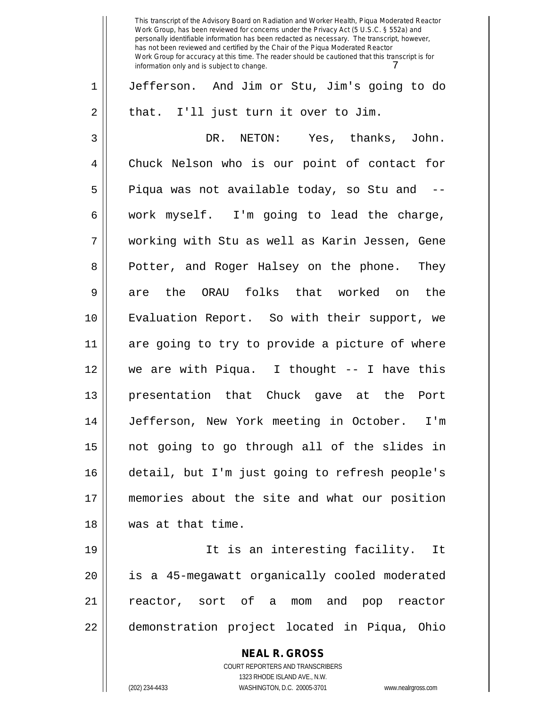This transcript of the Advisory Board on Radiation and Worker Health, Piqua Moderated Reactor Work Group, has been reviewed for concerns under the Privacy Act (5 U.S.C. § 552a) and personally identifiable information has been redacted as necessary. The transcript, however, has not been reviewed and certified by the Chair of the Piqua Moderated Reactor Work Group for accuracy at this time. The reader should be cautioned that this transcript is for information only and is subject to change. 1 Jefferson. And Jim or Stu, Jim's going to do  $2 \parallel$  that. I'll just turn it over to Jim. 3 DR. NETON: Yes, thanks, John. 4 Chuck Nelson who is our point of contact for 5 || Piqua was not available today, so Stu and -- $6 \parallel$  work myself. I'm going to lead the charge, 7 working with Stu as well as Karin Jessen, Gene 8 || Potter, and Roger Halsey on the phone. They 9 || are the ORAU folks that worked on the 10 Evaluation Report. So with their support, we 11 are going to try to provide a picture of where 12 we are with Piqua. I thought -- I have this 13 presentation that Chuck gave at the Port 14 Jefferson, New York meeting in October. I'm 15 not going to go through all of the slides in 16 detail, but I'm just going to refresh people's 17 memories about the site and what our position 18 was at that time. 19 || It is an interesting facility. It 20 is a 45-megawatt organically cooled moderated

21 reactor, sort of a mom and pop reactor 22 || demonstration project located in Piqua, Ohio

> COURT REPORTERS AND TRANSCRIBERS 1323 RHODE ISLAND AVE., N.W. (202) 234-4433 WASHINGTON, D.C. 20005-3701 www.nealrgross.com

**NEAL R. GROSS**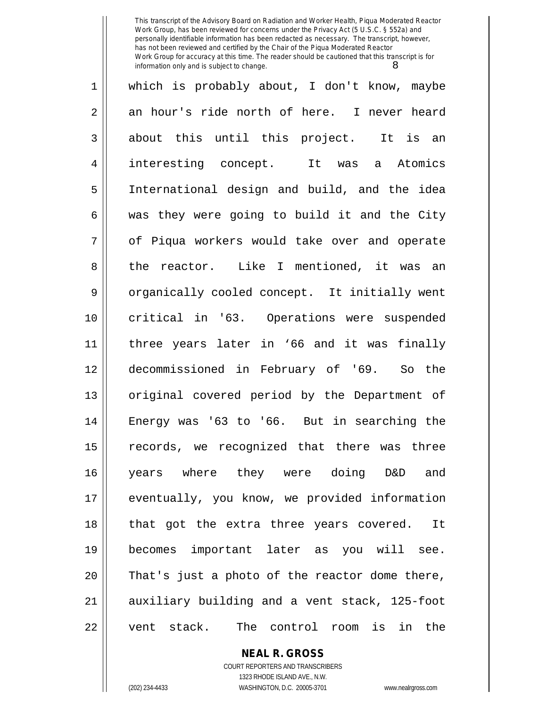| 1                 | which is probably about, I don't know, maybe   |
|-------------------|------------------------------------------------|
| 2                 | an hour's ride north of here. I never heard    |
| $\mathfrak{Z}$    | about this until this project. It is an        |
| $\overline{4}$    | interesting concept. It was a<br>Atomics       |
| 5                 | International design and build, and the idea   |
| 6                 | was they were going to build it and the City   |
| 7                 | of Piqua workers would take over and operate   |
| 8                 | the reactor. Like I mentioned, it was an       |
| 9                 | organically cooled concept. It initially went  |
| 10                | critical in '63. Operations were suspended     |
| 11                | three years later in '66 and it was finally    |
| 12                | decommissioned in February of '69. So the      |
| 13                | original covered period by the Department of   |
| 14                | Energy was '63 to '66. But in searching the    |
| 15                | records, we recognized that there was three    |
| 16                | years where they were doing D&D and            |
| 17                | eventually, you know, we provided information  |
| 18                | that got the extra three years covered.<br>It  |
| 19                | becomes important later as you will see.       |
| 20                | That's just a photo of the reactor dome there, |
| 21                | auxiliary building and a vent stack, 125-foot  |
| 22<br>vent stack. | The control room is<br>in the                  |

**NEAL R. GROSS** COURT REPORTERS AND TRANSCRIBERS

1323 RHODE ISLAND AVE., N.W. (202) 234-4433 WASHINGTON, D.C. 20005-3701 www.nealrgross.com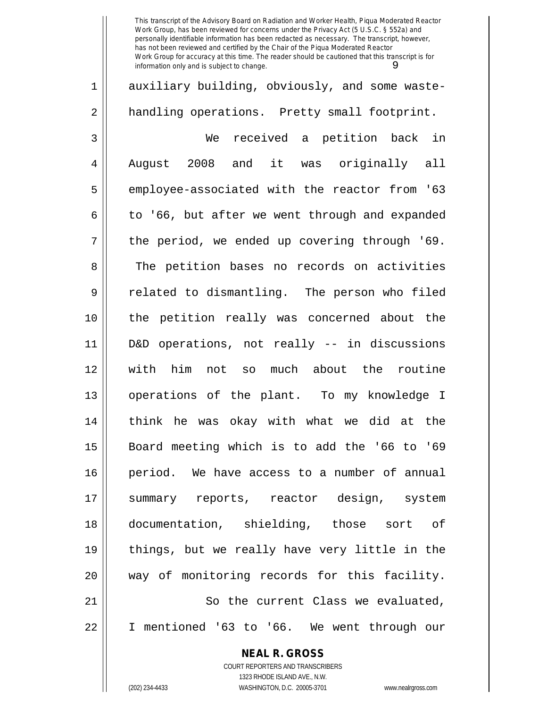**NEAL R. GROSS** 1 auxiliary building, obviously, and some waste-2 || handling operations. Pretty small footprint. 3 We received a petition back in 4 || August 2008 and it was originally all 5 employee-associated with the reactor from '63  $6 \parallel$  to '66, but after we went through and expanded  $7 \parallel$  the period, we ended up covering through '69. 8 The petition bases no records on activities 9 || related to dismantling. The person who filed 10 the petition really was concerned about the 11 D&D operations, not really -- in discussions 12 with him not so much about the routine 13 operations of the plant. To my knowledge I 14 think he was okay with what we did at the 15 Board meeting which is to add the '66 to '69 16 period. We have access to a number of annual 17 summary reports, reactor design, system 18 documentation, shielding, those sort of 19 || things, but we really have very little in the 20 way of monitoring records for this facility. 21 || So the current Class we evaluated, 22 I mentioned '63 to '66. We went through our

> COURT REPORTERS AND TRANSCRIBERS 1323 RHODE ISLAND AVE., N.W.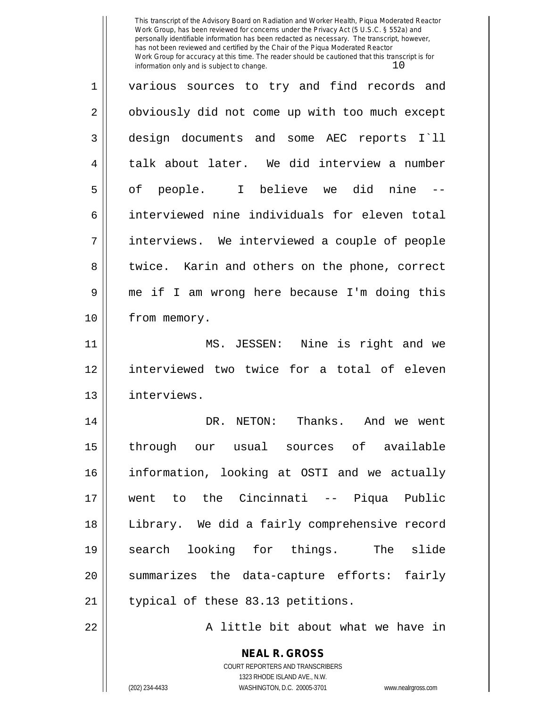| $\mathbf 1$    | various sources to try and find records and    |
|----------------|------------------------------------------------|
| $\overline{2}$ | obviously did not come up with too much except |
| 3              | design documents and some AEC reports I`ll     |
| $\overline{4}$ | talk about later. We did interview a number    |
| 5              | of people. I believe we did nine --            |
| 6              | interviewed nine individuals for eleven total  |
| 7              | interviews. We interviewed a couple of people  |
| 8              | twice. Karin and others on the phone, correct  |
| 9              | me if I am wrong here because I'm doing this   |
| 10             | from memory.                                   |
| 11             | MS. JESSEN: Nine is right and we               |
| 12             | interviewed two twice for a total of eleven    |
| 13             | interviews.                                    |
| 14             | DR. NETON: Thanks. And we went                 |
| 15             | through our usual sources of available         |
| 16             | information, looking at OSTI and we actually   |
| 17             | went to the Cincinnati -- Piqua Public         |
| 18             | Library. We did a fairly comprehensive record  |
| 19             | search looking for things. The slide           |
| 20             | summarizes the data-capture efforts: fairly    |
| 21             | typical of these 83.13 petitions.              |
| 22             | A little bit about what we have in             |

**NEAL R. GROSS** COURT REPORTERS AND TRANSCRIBERS 1323 RHODE ISLAND AVE., N.W.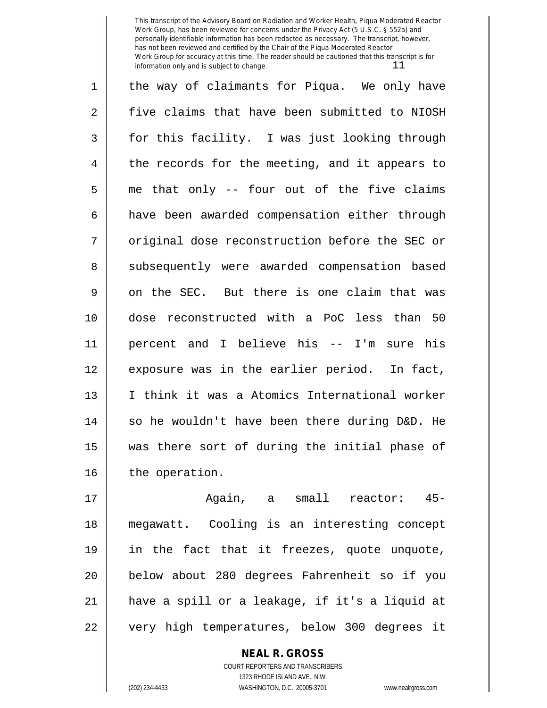1 || the way of claimants for Piqua. We only have 2 five claims that have been submitted to NIOSH  $3 \parallel$  for this facility. I was just looking through 4 || the records for the meeting, and it appears to  $5 \parallel$  me that only -- four out of the five claims 6 | have been awarded compensation either through 7 || original dose reconstruction before the SEC or 8 || subsequently were awarded compensation based  $9 \parallel$  on the SEC. But there is one claim that was 10 dose reconstructed with a PoC less than 50 11 percent and I believe his -- I'm sure his 12 || exposure was in the earlier period. In fact, 13 I think it was a Atomics International worker  $14$  so he wouldn't have been there during D&D. He 15 was there sort of during the initial phase of 16 | the operation.

17 Again, a small reactor: 45- 18 megawatt. Cooling is an interesting concept 19 in the fact that it freezes, quote unquote, 20 below about 280 degrees Fahrenheit so if you 21 have a spill or a leakage, if it's a liquid at 22 || very high temperatures, below 300 degrees it

> COURT REPORTERS AND TRANSCRIBERS 1323 RHODE ISLAND AVE., N.W. (202) 234-4433 WASHINGTON, D.C. 20005-3701 www.nealrgross.com

**NEAL R. GROSS**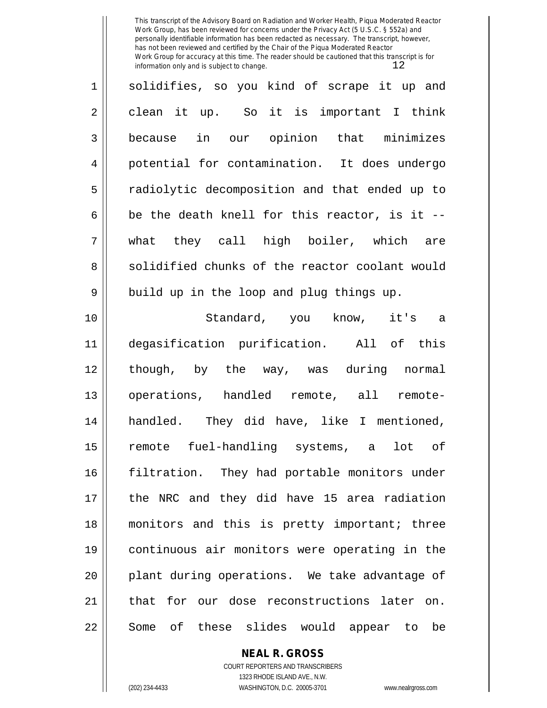| $\mathbf 1$    | solidifies, so you kind of scrape it up and    |
|----------------|------------------------------------------------|
| $\overline{2}$ | clean it up. So it is important I think        |
| $\mathfrak{Z}$ | because in our opinion that minimizes          |
| 4              | potential for contamination. It does undergo   |
| 5              | radiolytic decomposition and that ended up to  |
| 6              | be the death knell for this reactor, is it --  |
| 7              | what they call high boiler, which are          |
| 8              | solidified chunks of the reactor coolant would |
| 9              | build up in the loop and plug things up.       |
| 10             | Standard, you know, it's a                     |
| 11             | degasification purification. All of this       |
| 12             | though, by the way, was during normal          |
| 13             | operations, handled remote, all remote-        |
| 14             | handled. They did have, like I mentioned,      |
| 15             | remote fuel-handling systems, a lot of         |
| 16             | filtration. They had portable monitors under   |
| 17             | the NRC and they did have 15 area radiation    |
| 18             | monitors and this is pretty important; three   |
| 19             | continuous air monitors were operating in the  |
| 20             | plant during operations. We take advantage of  |
| 21             | that for our dose reconstructions later on.    |
| 22             | Some of these slides would appear to<br>be     |

**NEAL R. GROSS** COURT REPORTERS AND TRANSCRIBERS

1323 RHODE ISLAND AVE., N.W.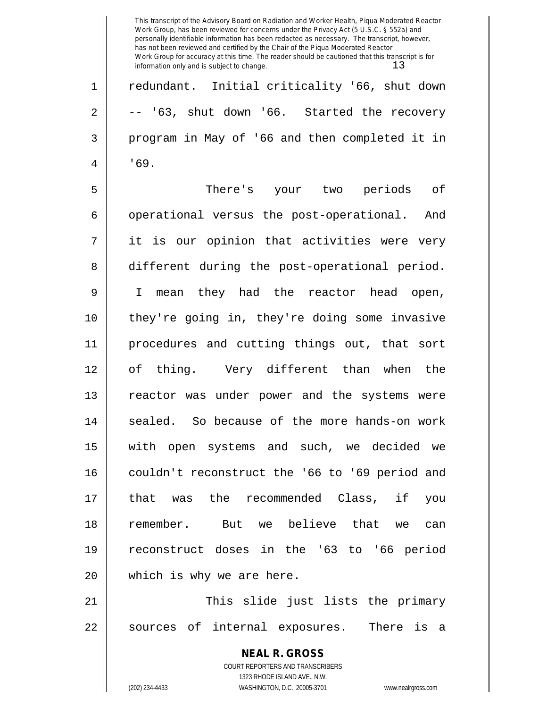This transcript of the Advisory Board on Radiation and Worker Health, Piqua Moderated Reactor Work Group, has been reviewed for concerns under the Privacy Act (5 U.S.C. § 552a) and personally identifiable information has been redacted as necessary. The transcript, however, has not been reviewed and certified by the Chair of the Piqua Moderated Reactor Work Group for accuracy at this time. The reader should be cautioned that this transcript is for information only and is subject to change.  $13$ 1 redundant. Initial criticality '66, shut down  $2 \parallel$  -- '63, shut down '66. Started the recovery 3 program in May of '66 and then completed it in  $4 \parallel 169.$ 5 There's your two periods of 6 | operational versus the post-operational. And 7 it is our opinion that activities were very 8 different during the post-operational period. 9 I mean they had the reactor head open, 10 they're going in, they're doing some invasive

11 procedures and cutting things out, that sort 12 of thing. Very different than when the 13 || reactor was under power and the systems were 14 || sealed. So because of the more hands-on work 15 with open systems and such, we decided we 16 couldn't reconstruct the '66 to '69 period and 17 that was the recommended Class, if you 18 remember. But we believe that we can 19 reconstruct doses in the '63 to '66 period 20 || which is why we are here.

21 This slide just lists the primary 22 || sources of internal exposures. There is a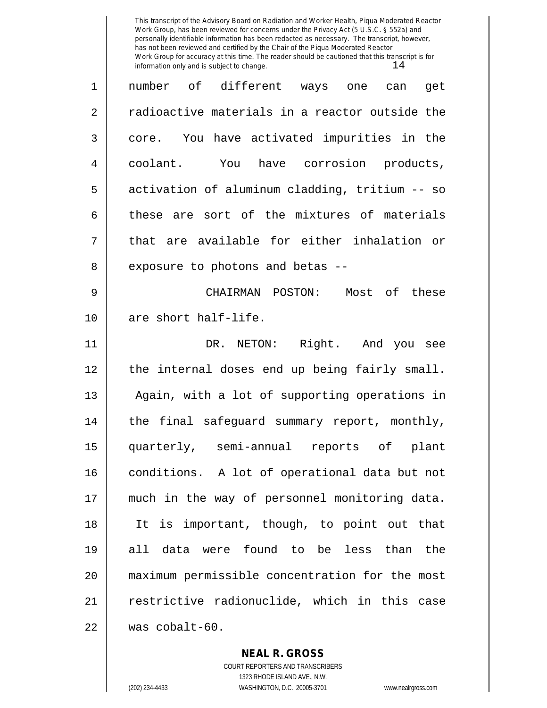| 1  | number of different ways one<br>get<br>can     |
|----|------------------------------------------------|
| 2  | radioactive materials in a reactor outside the |
| 3  | core. You have activated impurities in the     |
| 4  | coolant. You have corrosion products,          |
| 5  | activation of aluminum cladding, tritium -- so |
| 6  | these are sort of the mixtures of materials    |
| 7  | that are available for either inhalation or    |
| 8  | exposure to photons and betas --               |
| 9  | CHAIRMAN POSTON: Most of these                 |
| 10 | are short half-life.                           |
| 11 | DR. NETON: Right. And you see                  |
| 12 | the internal doses end up being fairly small.  |
| 13 | Again, with a lot of supporting operations in  |
| 14 | the final safeguard summary report, monthly,   |
| 15 | quarterly, semi-annual reports of plant        |
| 16 | conditions. A lot of operational data but not  |
| 17 | much in the way of personnel monitoring data.  |
| 18 | It is important, though, to point out that     |
| 19 | all data were found to be less than the        |
| 20 | maximum permissible concentration for the most |
| 21 | restrictive radionuclide, which in this case   |
| 22 | was cobalt-60.                                 |

**NEAL R. GROSS** COURT REPORTERS AND TRANSCRIBERS

1323 RHODE ISLAND AVE., N.W. (202) 234-4433 WASHINGTON, D.C. 20005-3701 www.nealrgross.com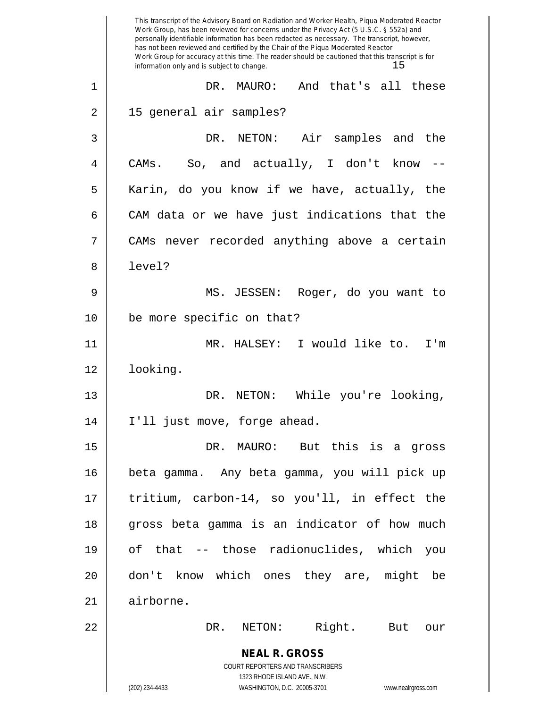|    | This transcript of the Advisory Board on Radiation and Worker Health, Piqua Moderated Reactor<br>Work Group, has been reviewed for concerns under the Privacy Act (5 U.S.C. § 552a) and<br>personally identifiable information has been redacted as necessary. The transcript, however,<br>has not been reviewed and certified by the Chair of the Piqua Moderated Reactor<br>Work Group for accuracy at this time. The reader should be cautioned that this transcript is for<br>information only and is subject to change.<br>15 |
|----|------------------------------------------------------------------------------------------------------------------------------------------------------------------------------------------------------------------------------------------------------------------------------------------------------------------------------------------------------------------------------------------------------------------------------------------------------------------------------------------------------------------------------------|
| 1  | DR. MAURO:<br>And that's all these                                                                                                                                                                                                                                                                                                                                                                                                                                                                                                 |
| 2  | 15 general air samples?                                                                                                                                                                                                                                                                                                                                                                                                                                                                                                            |
| 3  | DR. NETON: Air samples and the                                                                                                                                                                                                                                                                                                                                                                                                                                                                                                     |
| 4  | CAMs. So, and actually, I don't know                                                                                                                                                                                                                                                                                                                                                                                                                                                                                               |
| 5  | Karin, do you know if we have, actually, the                                                                                                                                                                                                                                                                                                                                                                                                                                                                                       |
| 6  | CAM data or we have just indications that the                                                                                                                                                                                                                                                                                                                                                                                                                                                                                      |
| 7  | CAMs never recorded anything above a certain                                                                                                                                                                                                                                                                                                                                                                                                                                                                                       |
| 8  | level?                                                                                                                                                                                                                                                                                                                                                                                                                                                                                                                             |
| 9  | MS. JESSEN:<br>Roger, do you want to                                                                                                                                                                                                                                                                                                                                                                                                                                                                                               |
| 10 | be more specific on that?                                                                                                                                                                                                                                                                                                                                                                                                                                                                                                          |
| 11 | MR. HALSEY: I would like to.<br>I'm                                                                                                                                                                                                                                                                                                                                                                                                                                                                                                |
| 12 | looking.                                                                                                                                                                                                                                                                                                                                                                                                                                                                                                                           |
| 13 | While you're looking,<br>DR.<br>NETON:                                                                                                                                                                                                                                                                                                                                                                                                                                                                                             |
| 14 | I'll just move, forge ahead.                                                                                                                                                                                                                                                                                                                                                                                                                                                                                                       |
| 15 | DR. MAURO: But this is a gross                                                                                                                                                                                                                                                                                                                                                                                                                                                                                                     |
| 16 | beta gamma. Any beta gamma, you will pick up                                                                                                                                                                                                                                                                                                                                                                                                                                                                                       |
| 17 | tritium, carbon-14, so you'll, in effect the                                                                                                                                                                                                                                                                                                                                                                                                                                                                                       |
| 18 | gross beta gamma is an indicator of how much                                                                                                                                                                                                                                                                                                                                                                                                                                                                                       |
| 19 | of that -- those radionuclides, which you                                                                                                                                                                                                                                                                                                                                                                                                                                                                                          |
| 20 | don't know which ones they are, might be                                                                                                                                                                                                                                                                                                                                                                                                                                                                                           |
| 21 | airborne.                                                                                                                                                                                                                                                                                                                                                                                                                                                                                                                          |
| 22 | NETON: Right. But our<br>DR.                                                                                                                                                                                                                                                                                                                                                                                                                                                                                                       |
|    | <b>NEAL R. GROSS</b>                                                                                                                                                                                                                                                                                                                                                                                                                                                                                                               |
|    | COURT REPORTERS AND TRANSCRIBERS<br>1323 RHODE ISLAND AVE., N.W.                                                                                                                                                                                                                                                                                                                                                                                                                                                                   |
|    | (202) 234-4433<br>WASHINGTON, D.C. 20005-3701<br>www.nealrgross.com                                                                                                                                                                                                                                                                                                                                                                                                                                                                |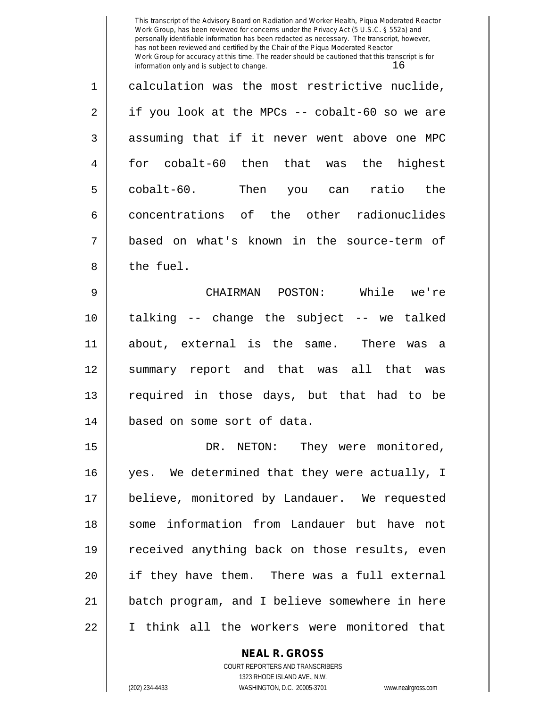1 calculation was the most restrictive nuclide,  $2 \parallel$  if you look at the MPCs -- cobalt-60 so we are  $3 \parallel$  assuming that if it never went above one MPC 4 for cobalt-60 then that was the highest 5 || cobalt-60. Then you can ratio the 6 concentrations of the other radionuclides 7 based on what's known in the source-term of 8 l the fuel.

9 CHAIRMAN POSTON: While we're 10 talking -- change the subject -- we talked 11 about, external is the same. There was a 12 summary report and that was all that was 13 || required in those days, but that had to be 14 based on some sort of data.

15 || DR. NETON: They were monitored, 16 || yes. We determined that they were actually, I 17 believe, monitored by Landauer. We requested 18 || some information from Landauer but have not 19 || received anything back on those results, even 20 if they have them. There was a full external 21 batch program, and I believe somewhere in here 22 I think all the workers were monitored that

### **NEAL R. GROSS**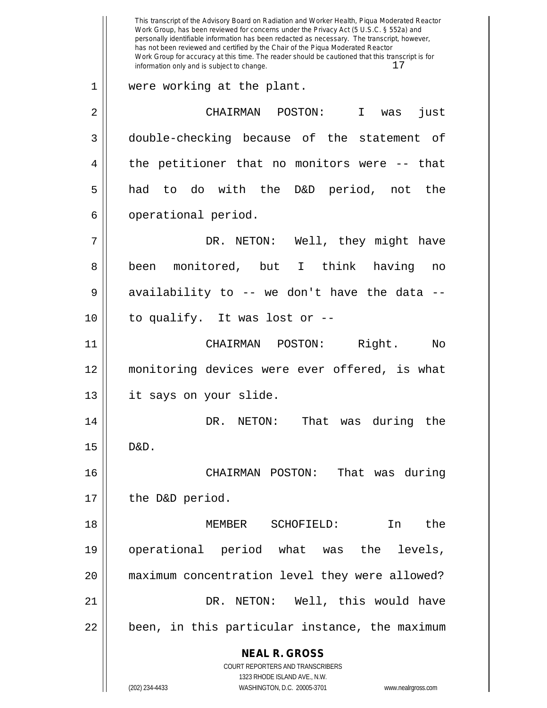**NEAL R. GROSS** COURT REPORTERS AND TRANSCRIBERS 1323 RHODE ISLAND AVE., N.W. (202) 234-4433 WASHINGTON, D.C. 20005-3701 www.nealrgross.com This transcript of the Advisory Board on Radiation and Worker Health, Piqua Moderated Reactor Work Group, has been reviewed for concerns under the Privacy Act (5 U.S.C. § 552a) and personally identifiable information has been redacted as necessary. The transcript, however, has not been reviewed and certified by the Chair of the Piqua Moderated Reactor Work Group for accuracy at this time. The reader should be cautioned that this transcript is for information only and is subject to change.  $17$ 1 were working at the plant. 2 CHAIRMAN POSTON: I was just 3 double-checking because of the statement of  $4 \parallel$  the petitioner that no monitors were  $-$  that 5 had to do with the D&D period, not the 6 | operational period. 7 DR. NETON: Well, they might have 8 || been monitored, but I think having no  $9 \parallel$  availability to -- we don't have the data -- $10$  | to qualify. It was lost or  $-$ -11 CHAIRMAN POSTON: Right. No 12 monitoring devices were ever offered, is what 13 || it says on your slide. 14 DR. NETON: That was during the 15 D&D. 16 CHAIRMAN POSTON: That was during 17 || the D&D period. 18 MEMBER SCHOFIELD: In the 19 operational period what was the levels, 20 maximum concentration level they were allowed? 21 DR. NETON: Well, this would have  $22 \parallel$  been, in this particular instance, the maximum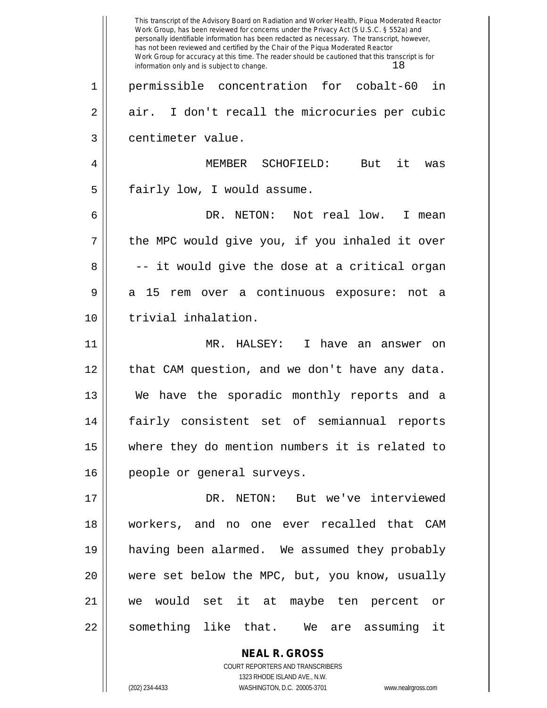|    | This transcript of the Advisory Board on Radiation and Worker Health, Piqua Moderated Reactor<br>Work Group, has been reviewed for concerns under the Privacy Act (5 U.S.C. § 552a) and<br>personally identifiable information has been redacted as necessary. The transcript, however,<br>has not been reviewed and certified by the Chair of the Piqua Moderated Reactor<br>Work Group for accuracy at this time. The reader should be cautioned that this transcript is for<br>18<br>information only and is subject to change. |
|----|------------------------------------------------------------------------------------------------------------------------------------------------------------------------------------------------------------------------------------------------------------------------------------------------------------------------------------------------------------------------------------------------------------------------------------------------------------------------------------------------------------------------------------|
| 1  | permissible concentration for cobalt-60<br>in                                                                                                                                                                                                                                                                                                                                                                                                                                                                                      |
| 2  | air. I don't recall the microcuries per cubic                                                                                                                                                                                                                                                                                                                                                                                                                                                                                      |
| 3  | centimeter value.                                                                                                                                                                                                                                                                                                                                                                                                                                                                                                                  |
| 4  | it<br>MEMBER<br>SCHOFIELD:<br>But<br>was                                                                                                                                                                                                                                                                                                                                                                                                                                                                                           |
| 5  | fairly low, I would assume.                                                                                                                                                                                                                                                                                                                                                                                                                                                                                                        |
| 6  | DR. NETON:<br>Not real low.<br>I.<br>mean                                                                                                                                                                                                                                                                                                                                                                                                                                                                                          |
| 7  | the MPC would give you, if you inhaled it over                                                                                                                                                                                                                                                                                                                                                                                                                                                                                     |
| 8  | -- it would give the dose at a critical organ                                                                                                                                                                                                                                                                                                                                                                                                                                                                                      |
| 9  | 15<br>a continuous exposure:<br>a<br>rem over<br>not<br>а                                                                                                                                                                                                                                                                                                                                                                                                                                                                          |
| 10 | trivial inhalation.                                                                                                                                                                                                                                                                                                                                                                                                                                                                                                                |
| 11 | MR. HALSEY:<br>I.<br>have an answer on                                                                                                                                                                                                                                                                                                                                                                                                                                                                                             |
| 12 | that CAM question, and we don't have any data.                                                                                                                                                                                                                                                                                                                                                                                                                                                                                     |
| 13 | have the sporadic monthly reports and a<br>We                                                                                                                                                                                                                                                                                                                                                                                                                                                                                      |
| 14 | fairly consistent set of semiannual reports                                                                                                                                                                                                                                                                                                                                                                                                                                                                                        |
| 15 | where they do mention numbers it is related to                                                                                                                                                                                                                                                                                                                                                                                                                                                                                     |
| 16 | people or general surveys.                                                                                                                                                                                                                                                                                                                                                                                                                                                                                                         |
| 17 | DR. NETON: But we've interviewed                                                                                                                                                                                                                                                                                                                                                                                                                                                                                                   |
| 18 | workers, and no one ever recalled that CAM                                                                                                                                                                                                                                                                                                                                                                                                                                                                                         |
| 19 | having been alarmed. We assumed they probably                                                                                                                                                                                                                                                                                                                                                                                                                                                                                      |
| 20 | were set below the MPC, but, you know, usually                                                                                                                                                                                                                                                                                                                                                                                                                                                                                     |
| 21 | we would set it at maybe ten percent or                                                                                                                                                                                                                                                                                                                                                                                                                                                                                            |
| 22 | something like that. We are assuming it                                                                                                                                                                                                                                                                                                                                                                                                                                                                                            |
|    | <b>NEAL R. GROSS</b>                                                                                                                                                                                                                                                                                                                                                                                                                                                                                                               |

COURT REPORTERS AND TRANSCRIBERS 1323 RHODE ISLAND AVE., N.W.

 $\mathsf{II}$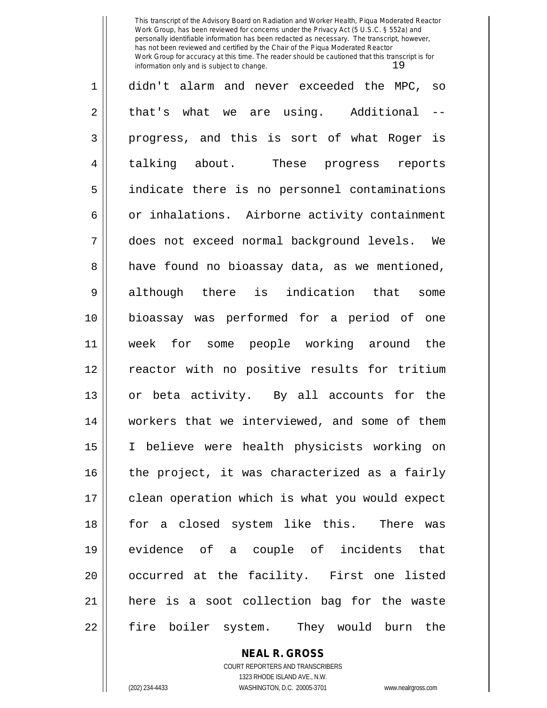| 1              | didn't alarm and never exceeded the MPC, so    |
|----------------|------------------------------------------------|
| $\overline{2}$ | that's what we are using. Additional<br>$- -$  |
| $\mathfrak{Z}$ | progress, and this is sort of what Roger is    |
| $\overline{4}$ | talking about. These progress reports          |
| 5              | indicate there is no personnel contaminations  |
| 6              | or inhalations. Airborne activity containment  |
| 7              | does not exceed normal background levels. We   |
| 8              | have found no bioassay data, as we mentioned,  |
| 9              | although there is indication that<br>some      |
| 10             | bioassay was performed for a period of one     |
| 11             | week for some people working around the        |
| 12             | reactor with no positive results for tritium   |
| 13             | or beta activity. By all accounts for the      |
| 14             | workers that we interviewed, and some of them  |
| 15             | I believe were health physicists working on    |
| 16             | the project, it was characterized as a fairly  |
| 17             | clean operation which is what you would expect |
| 18             | for a closed system like this. There was       |
| 19             | evidence of a couple of incidents that         |
| 20             | occurred at the facility. First one listed     |
| 21             | here is a soot collection bag for the waste    |
| 22             | fire boiler system. They would burn the        |

**NEAL R. GROSS** COURT REPORTERS AND TRANSCRIBERS

1323 RHODE ISLAND AVE., N.W. (202) 234-4433 WASHINGTON, D.C. 20005-3701 www.nealrgross.com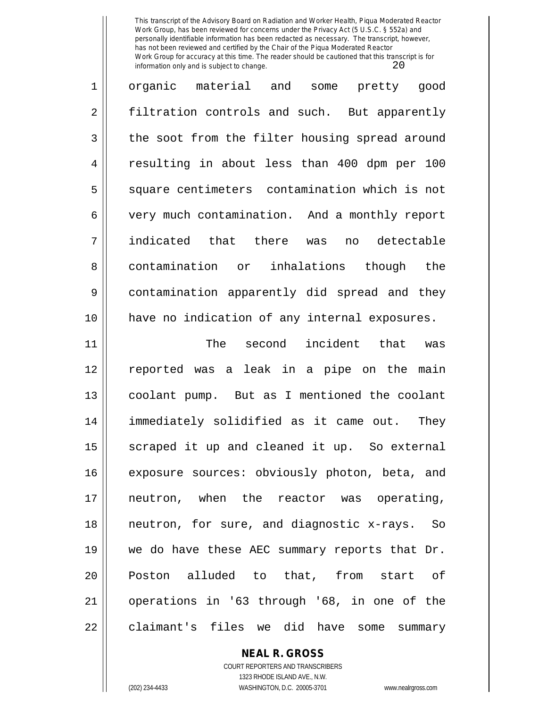| 1  | organic material and some pretty good             |
|----|---------------------------------------------------|
| 2  | filtration controls and such. But apparently      |
| 3  | the soot from the filter housing spread around    |
| 4  | resulting in about less than 400 dpm per 100      |
| 5  | square centimeters contamination which is not     |
| 6  | very much contamination. And a monthly report     |
| 7  | indicated that there was no detectable            |
| 8  | contamination or inhalations though the           |
| 9  | contamination apparently did spread and they      |
| 10 | have no indication of any internal exposures.     |
| 11 | The second incident that was                      |
| 12 | reported was a leak in a pipe on the main         |
| 13 | coolant pump. But as I mentioned the coolant      |
| 14 | immediately solidified as it came out. They       |
| 15 | scraped it up and cleaned it up. So external      |
| 16 | exposure sources: obviously photon, beta, and     |
| 17 | neutron, when the reactor was operating,          |
|    |                                                   |
| 18 | neutron, for sure, and diagnostic x-rays.<br>- So |
| 19 | we do have these AEC summary reports that Dr.     |
| 20 | Poston alluded to that, from start of             |

21 | operations in '63 through '68, in one of the  $22$  claimant's files we did have some summary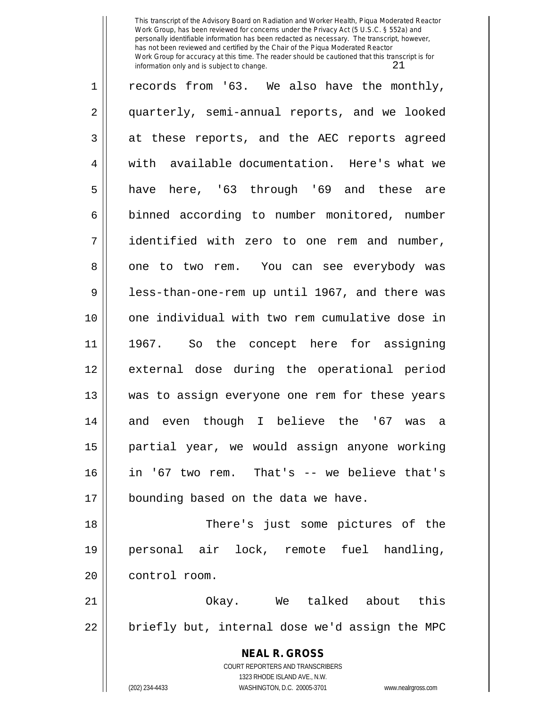| $\mathbf 1$    | records from '63. We also have the monthly,                                              |
|----------------|------------------------------------------------------------------------------------------|
| $\overline{2}$ | quarterly, semi-annual reports, and we looked                                            |
| 3              | at these reports, and the AEC reports agreed                                             |
| 4              | with available documentation. Here's what we                                             |
| 5              | have here, '63 through '69 and these are                                                 |
| 6              | binned according to number monitored, number                                             |
| 7              | identified with zero to one rem and number,                                              |
| 8              | one to two rem. You can see everybody was                                                |
| 9              | less-than-one-rem up until 1967, and there was                                           |
| 10             | one individual with two rem cumulative dose in                                           |
| 11             | 1967. So the concept here for assigning                                                  |
| 12             | external dose during the operational period                                              |
| 13             | was to assign everyone one rem for these years                                           |
| 14             | and even though I believe the '67 was a                                                  |
| 15             | partial year, we would assign anyone working                                             |
| 16             | in '67 two rem. That's -- we believe that's                                              |
| 17             | bounding based on the data we have.                                                      |
| 18             | There's just some pictures of the                                                        |
| 19             | personal air lock, remote fuel handling,                                                 |
| 20             | control room.                                                                            |
| 21             | Okay. We talked about this                                                               |
| 22             | briefly but, internal dose we'd assign the MPC                                           |
|                | <b>NEAL R. GROSS</b><br>COURT REPORTERS AND TRANSCRIBERS<br>1323 RHODE ISLAND AVE., N.W. |

 $\mathbb{I}$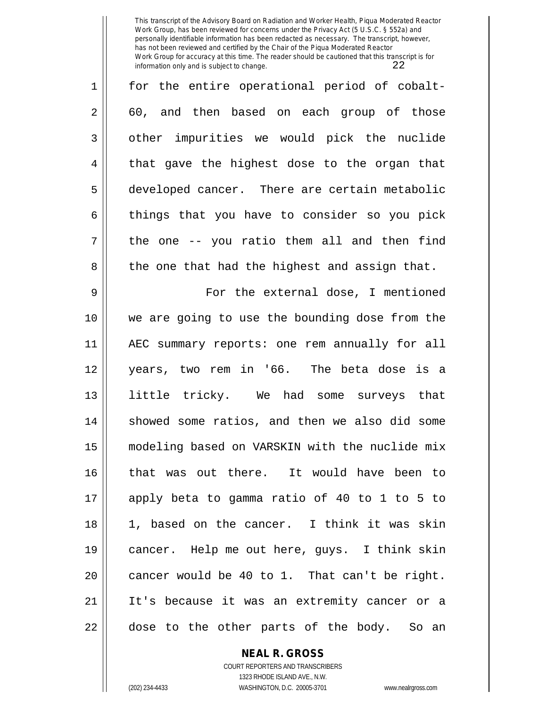1 for the entire operational period of cobalt-2 60, and then based on each group of those 3 | other impurities we would pick the nuclide  $4 \parallel$  that gave the highest dose to the organ that 5 developed cancer. There are certain metabolic  $6 \parallel$  things that you have to consider so you pick  $7 \parallel$  the one -- you ratio them all and then find  $8 \parallel$  the one that had the highest and assign that. 9 For the external dose, I mentioned 10 we are going to use the bounding dose from the 11 AEC summary reports: one rem annually for all 12 years, two rem in '66. The beta dose is a 13 little tricky. We had some surveys that 14 || showed some ratios, and then we also did some 15 modeling based on VARSKIN with the nuclide mix 16 that was out there. It would have been to 17 apply beta to gamma ratio of 40 to 1 to 5 to 18 1, based on the cancer. I think it was skin 19 cancer. Help me out here, guys. I think skin 20  $\parallel$  cancer would be 40 to 1. That can't be right. 21 It's because it was an extremity cancer or a  $22$  || dose to the other parts of the body. So an

**NEAL R. GROSS**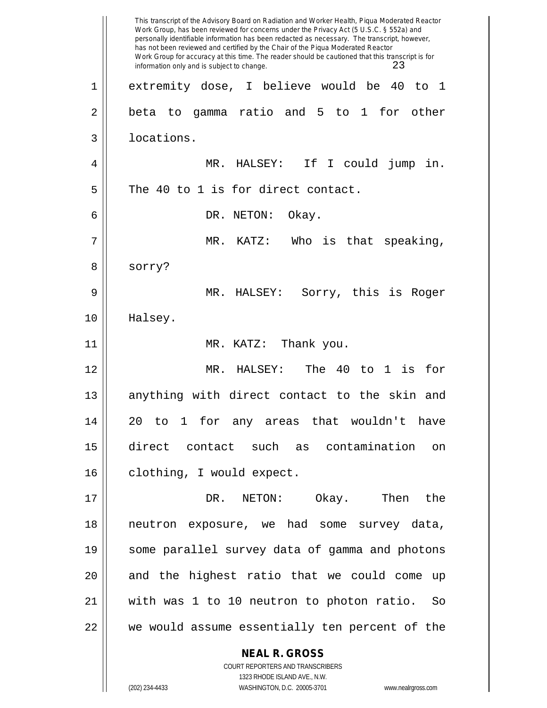**NEAL R. GROSS** COURT REPORTERS AND TRANSCRIBERS This transcript of the Advisory Board on Radiation and Worker Health, Piqua Moderated Reactor Work Group, has been reviewed for concerns under the Privacy Act (5 U.S.C. § 552a) and personally identifiable information has been redacted as necessary. The transcript, however, has not been reviewed and certified by the Chair of the Piqua Moderated Reactor Work Group for accuracy at this time. The reader should be cautioned that this transcript is for information only and is subject to change. 23 1 extremity dose, I believe would be 40 to 1  $2 \parallel$  beta to gamma ratio and 5 to 1 for other 3 | locations. 4 MR. HALSEY: If I could jump in.  $5$  The 40 to 1 is for direct contact. 6 DR. NETON: Okay.  $7 \parallel$  MR. KATZ: Who is that speaking, 8 | sorry? 9 MR. HALSEY: Sorry, this is Roger 10 Halsey. 11 || MR. KATZ: Thank you. 12 MR. HALSEY: The 40 to 1 is for 13 || anything with direct contact to the skin and 14 20 to 1 for any areas that wouldn't have 15 direct contact such as contamination on 16 | clothing, I would expect. 17 DR. NETON: Okay. Then the 18 neutron exposure, we had some survey data, 19 some parallel survey data of gamma and photons  $20$  and the highest ratio that we could come up 21 with was 1 to 10 neutron to photon ratio. So 22 we would assume essentially ten percent of the

1323 RHODE ISLAND AVE., N.W.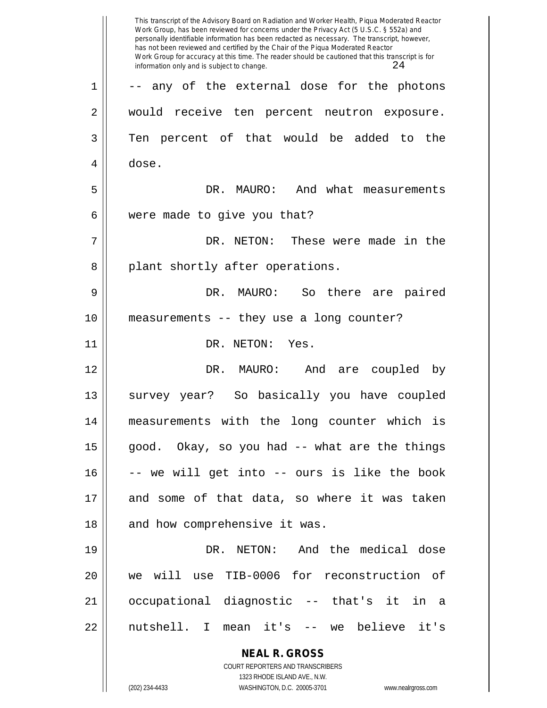**NEAL R. GROSS** COURT REPORTERS AND TRANSCRIBERS 1323 RHODE ISLAND AVE., N.W. (202) 234-4433 WASHINGTON, D.C. 20005-3701 www.nealrgross.com This transcript of the Advisory Board on Radiation and Worker Health, Piqua Moderated Reactor Work Group, has been reviewed for concerns under the Privacy Act (5 U.S.C. § 552a) and personally identifiable information has been redacted as necessary. The transcript, however, has not been reviewed and certified by the Chair of the Piqua Moderated Reactor Work Group for accuracy at this time. The reader should be cautioned that this transcript is for information only and is subject to change.  $24$ 1 || -- any of the external dose for the photons 2 || would receive ten percent neutron exposure. 3 Ten percent of that would be added to the 4 dose. 5 DR. MAURO: And what measurements  $6 \parallel$  were made to give you that? 7 DR. NETON: These were made in the 8 || plant shortly after operations. 9 DR. MAURO: So there are paired 10 measurements -- they use a long counter? 11 || DR. NETON: Yes. 12 DR. MAURO: And are coupled by 13 || survey year? So basically you have coupled 14 measurements with the long counter which is  $15$  || good. Okay, so you had -- what are the things 16 -- we will get into -- ours is like the book 17 and some of that data, so where it was taken 18 || and how comprehensive it was. 19 DR. NETON: And the medical dose 20 we will use TIB-0006 for reconstruction of 21 occupational diagnostic -- that's it in a 22 nutshell. I mean it's -- we believe it's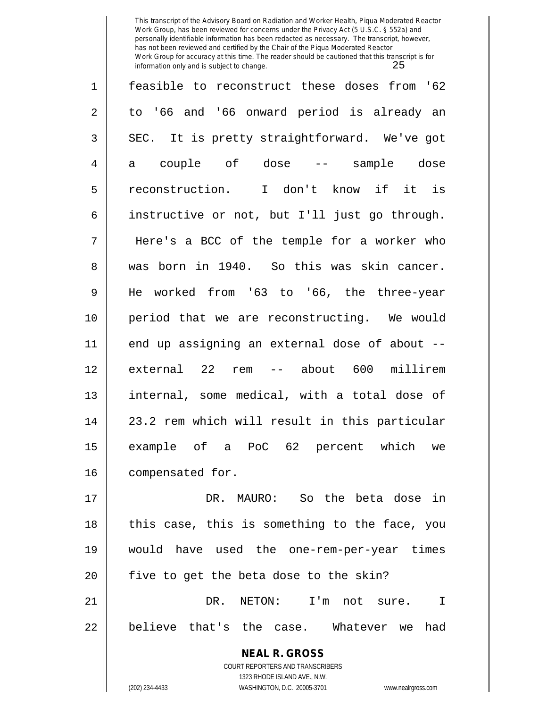| $\mathbf 1$    | feasible to reconstruct these doses from '62  |
|----------------|-----------------------------------------------|
| $\overline{a}$ | to '66 and '66 onward period is already an    |
| 3              | SEC. It is pretty straightforward. We've got  |
| 4              | a couple of dose -- sample dose               |
| 5              | reconstruction. I don't know if it is         |
| 6              | instructive or not, but I'll just go through. |
| 7              | Here's a BCC of the temple for a worker who   |
| 8              | born in 1940. So this was skin cancer.<br>was |
| 9              | He worked from '63 to '66, the three-year     |
| 10             | period that we are reconstructing. We would   |
| 11             | end up assigning an external dose of about -- |
| 12             | external 22 rem<br>-- about 600<br>millirem   |
| 13             | internal, some medical, with a total dose of  |
| 14             | 23.2 rem which will result in this particular |
| 15             | example of a PoC 62 percent which we          |
| 16             | compensated for.                              |
| 17             | DR. MAURO: So the beta dose<br>in             |

 $18$  || this case, this is something to the face, you 19 would have used the one-rem-per-year times  $20$  || five to get the beta dose to the skin? 21 DR. NETON: I'm not sure. I  $22$  || believe that's the case. Whatever we had

> **NEAL R. GROSS** COURT REPORTERS AND TRANSCRIBERS 1323 RHODE ISLAND AVE., N.W.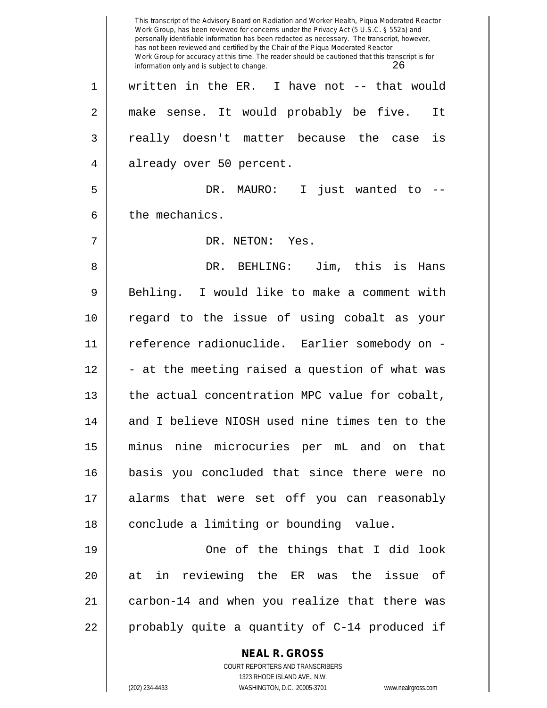**NEAL R. GROSS** COURT REPORTERS AND TRANSCRIBERS 1323 RHODE ISLAND AVE., N.W. This transcript of the Advisory Board on Radiation and Worker Health, Piqua Moderated Reactor Work Group, has been reviewed for concerns under the Privacy Act (5 U.S.C. § 552a) and personally identifiable information has been redacted as necessary. The transcript, however, has not been reviewed and certified by the Chair of the Piqua Moderated Reactor Work Group for accuracy at this time. The reader should be cautioned that this transcript is for information only and is subject to change. 26 1 written in the ER. I have not -- that would 2 || make sense. It would probably be five. It 3 || really doesn't matter because the case is 4 || already over 50 percent. 5 DR. MAURO: I just wanted to --  $6 \parallel$  the mechanics. 7 DR. NETON: Yes. 8 DR. BEHLING: Jim, this is Hans 9 Behling. I would like to make a comment with 10 regard to the issue of using cobalt as your 11 reference radionuclide. Earlier somebody on -  $12$   $\parallel$  - at the meeting raised a question of what was 13 || the actual concentration MPC value for cobalt, 14 || and I believe NIOSH used nine times ten to the 15 minus nine microcuries per mL and on that 16 basis you concluded that since there were no 17 alarms that were set off you can reasonably 18 || conclude a limiting or bounding value. 19 || One of the things that I did look 20 at in reviewing the ER was the issue of 21 || carbon-14 and when you realize that there was 22  $\parallel$  probably quite a quantity of C-14 produced if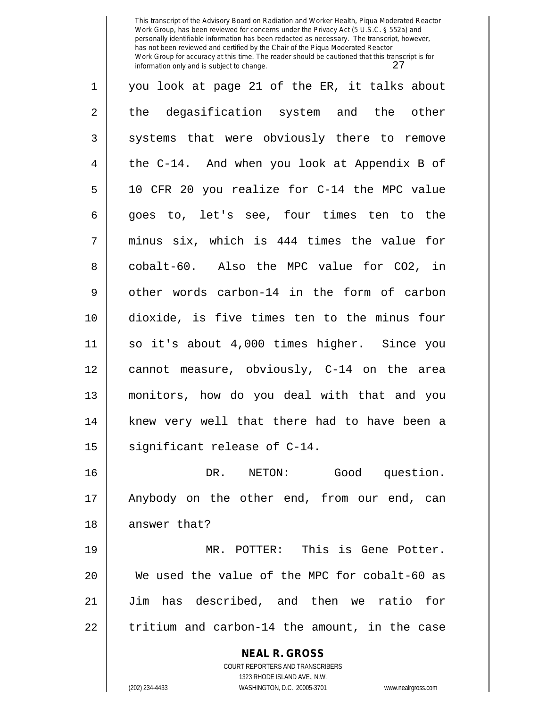| 1              | you look at page 21 of the ER, it talks about            |
|----------------|----------------------------------------------------------|
| $\overline{c}$ | the degasification system and the other                  |
| $\mathfrak{Z}$ | systems that were obviously there to remove              |
| 4              | the C-14. And when you look at Appendix B of             |
| 5              | 10 CFR 20 you realize for C-14 the MPC value             |
| 6              | goes to, let's see, four times ten to the                |
| 7              | minus six, which is 444 times the value for              |
| 8              | cobalt-60. Also the MPC value for CO2, in                |
| $\mathsf 9$    | other words carbon-14 in the form of carbon              |
| 10             | dioxide, is five times ten to the minus four             |
| 11             | so it's about 4,000 times higher. Since you              |
| 12             | cannot measure, obviously, C-14 on the area              |
| 13             | monitors, how do you deal with that and you              |
| 14             | knew very well that there had to have been a             |
| 15             | significant release of C-14.                             |
| 16             | DR. NETON: Good question.                                |
| 17             | Anybody on the other end, from our end, can              |
| 18             | answer that?                                             |
| 19             | MR. POTTER: This is Gene Potter.                         |
| 20             | We used the value of the MPC for cobalt-60 as            |
| 21             | Jim has described, and then we ratio for                 |
| 22             | tritium and carbon-14 the amount, in the case            |
|                | <b>NEAL R. GROSS</b><br>COURT REPORTERS AND TRANSCRIBERS |

1323 RHODE ISLAND AVE., N.W.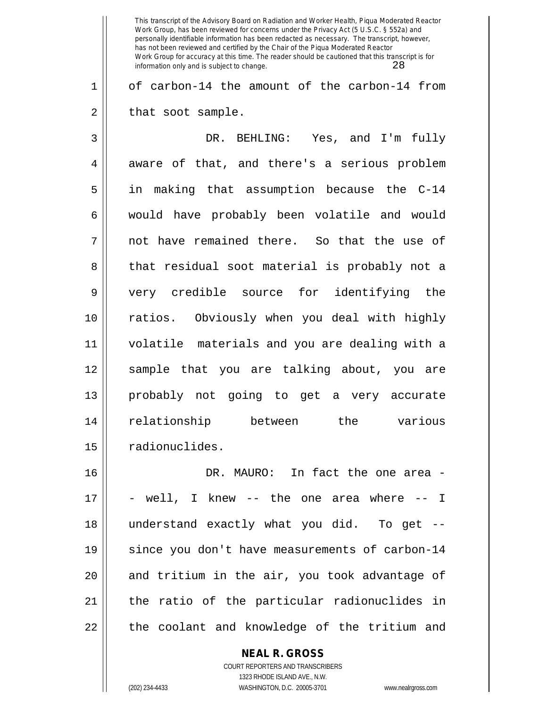This transcript of the Advisory Board on Radiation and Worker Health, Piqua Moderated Reactor Work Group, has been reviewed for concerns under the Privacy Act (5 U.S.C. § 552a) and personally identifiable information has been redacted as necessary. The transcript, however, has not been reviewed and certified by the Chair of the Piqua Moderated Reactor Work Group for accuracy at this time. The reader should be cautioned that this transcript is for information only and is subject to change. 28 1 || of carbon-14 the amount of the carbon-14 from  $2 \parallel$  that soot sample. 3 DR. BEHLING: Yes, and I'm fully 4 aware of that, and there's a serious problem 5 in making that assumption because the C-14 6 would have probably been volatile and would  $7 \parallel$  not have remained there. So that the use of 8 || that residual soot material is probably not a 9 very credible source for identifying the 10 ratios. Obviously when you deal with highly 11 volatile materials and you are dealing with a 12 sample that you are talking about, you are 13 probably not going to get a very accurate 14 relationship between the various 15 | radionuclides. 16 DR. MAURO: In fact the one area - 17 - well, I knew -- the one area where -- I 18 understand exactly what you did. To get -- 19 || since you don't have measurements of carbon-14  $20$  || and tritium in the air, you took advantage of 21 the ratio of the particular radionuclides in 22 || the coolant and knowledge of the tritium and

**NEAL R. GROSS**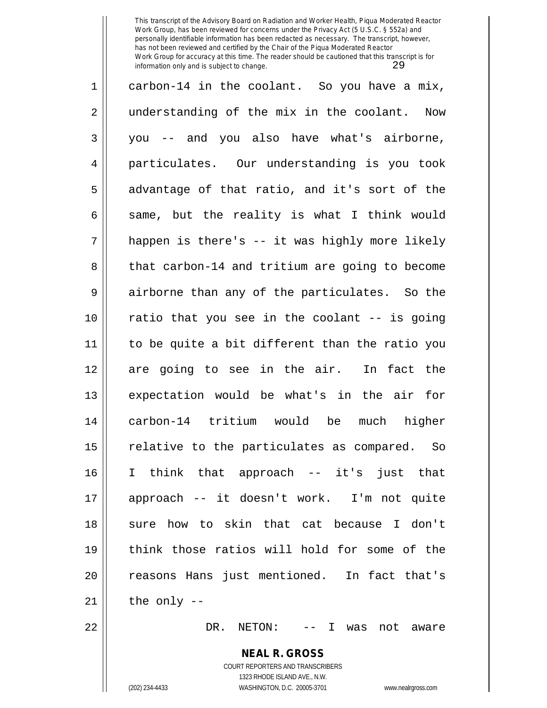1 carbon-14 in the coolant. So you have a mix, 2 || understanding of the mix in the coolant. Now 3 you -- and you also have what's airborne, 4 particulates. Our understanding is you took  $5 \parallel$  advantage of that ratio, and it's sort of the 6  $\parallel$  same, but the reality is what I think would  $7 \parallel$  happen is there's -- it was highly more likely 8 || that carbon-14 and tritium are going to become 9 airborne than any of the particulates. So the 10 ratio that you see in the coolant -- is going 11 to be quite a bit different than the ratio you 12 are going to see in the air. In fact the 13 expectation would be what's in the air for 14 carbon-14 tritium would be much higher  $15$  relative to the particulates as compared. So 16 I think that approach -- it's just that 17 approach -- it doesn't work. I'm not quite 18 || sure how to skin that cat because I don't 19 think those ratios will hold for some of the 20 || reasons Hans just mentioned. In fact that's  $21$  | the only --

22 DR. NETON: -- I was not aware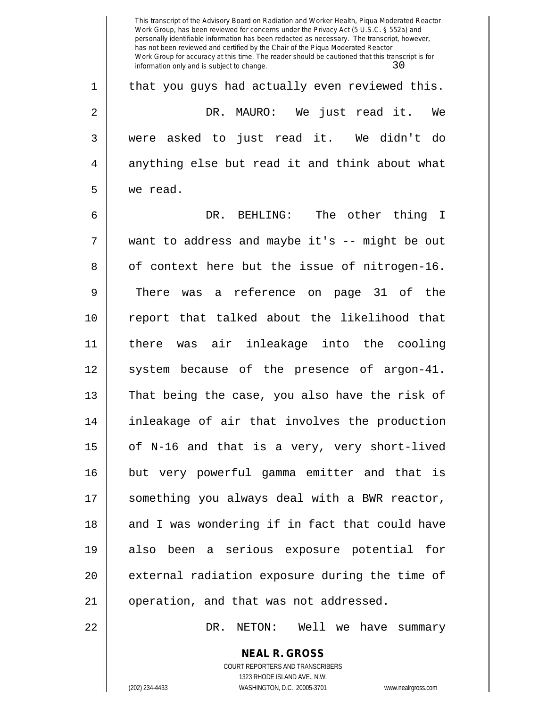This transcript of the Advisory Board on Radiation and Worker Health, Piqua Moderated Reactor Work Group, has been reviewed for concerns under the Privacy Act (5 U.S.C. § 552a) and personally identifiable information has been redacted as necessary. The transcript, however, has not been reviewed and certified by the Chair of the Piqua Moderated Reactor Work Group for accuracy at this time. The reader should be cautioned that this transcript is for information only and is subject to change.  $30$  $1 \parallel$  that you guys had actually even reviewed this. 2 DR. MAURO: We just read it. We 3 were asked to just read it. We didn't do  $4 \parallel$  anything else but read it and think about what 5 we read. 6 DR. BEHLING: The other thing I 7 want to address and maybe it's -- might be out  $8 \parallel$  of context here but the issue of nitrogen-16. 9 There was a reference on page 31 of the 10 report that talked about the likelihood that 11 there was air inleakage into the cooling 12 || system because of the presence of argon-41. 13 || That being the case, you also have the risk of 14 inleakage of air that involves the production  $15$  | of N-16 and that is a very, very short-lived 16 but very powerful gamma emitter and that is 17 || something you always deal with a BWR reactor, 18 || and I was wondering if in fact that could have 19 also been a serious exposure potential for 20 || external radiation exposure during the time of 21 | operation, and that was not addressed. 22 DR. NETON: Well we have summary

> **NEAL R. GROSS** COURT REPORTERS AND TRANSCRIBERS 1323 RHODE ISLAND AVE., N.W.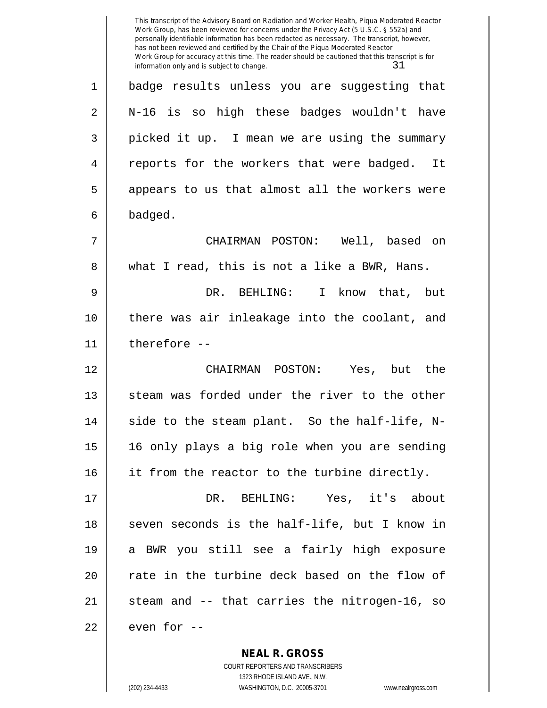This transcript of the Advisory Board on Radiation and Worker Health, Piqua Moderated Reactor Work Group, has been reviewed for concerns under the Privacy Act (5 U.S.C. § 552a) and personally identifiable information has been redacted as necessary. The transcript, however, has not been reviewed and certified by the Chair of the Piqua Moderated Reactor Work Group for accuracy at this time. The reader should be cautioned that this transcript is for information only and is subject to change.  $31$ 1 badge results unless you are suggesting that 2 N-16 is so high these badges wouldn't have 3 || picked it up. I mean we are using the summary 4 || reports for the workers that were badged. It 5 || appears to us that almost all the workers were 6 badged. 7 CHAIRMAN POSTON: Well, based on 8 what I read, this is not a like a BWR, Hans. 9 DR. BEHLING: I know that, but 10 || there was air inleakage into the coolant, and 11 therefore -- 12 CHAIRMAN POSTON: Yes, but the 13 || steam was forded under the river to the other  $14$   $\parallel$  side to the steam plant. So the half-life, N-15 16 only plays a big role when you are sending 16 || it from the reactor to the turbine directly. 17 DR. BEHLING: Yes, it's about 18 || seven seconds is the half-life, but I know in 19 a BWR you still see a fairly high exposure 20 || rate in the turbine deck based on the flow of  $21$  steam and  $-$  that carries the nitrogen-16, so  $22$   $\parallel$  even for  $-$ 

> **NEAL R. GROSS** COURT REPORTERS AND TRANSCRIBERS 1323 RHODE ISLAND AVE., N.W.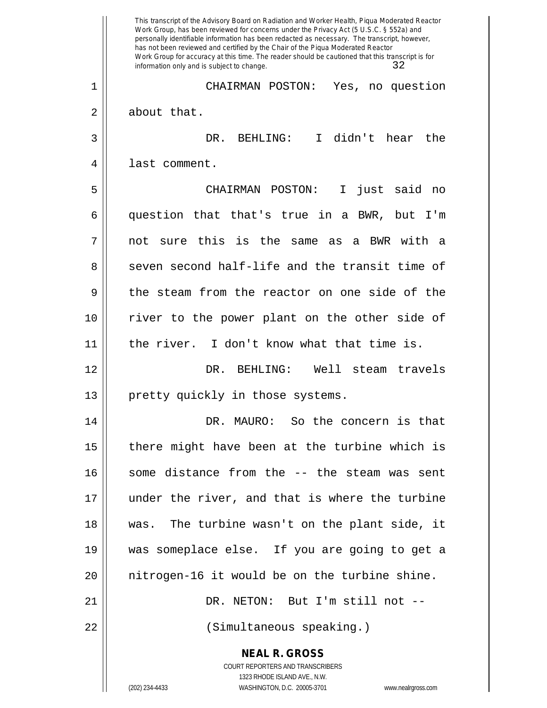**NEAL R. GROSS** COURT REPORTERS AND TRANSCRIBERS 1323 RHODE ISLAND AVE., N.W. This transcript of the Advisory Board on Radiation and Worker Health, Piqua Moderated Reactor Work Group, has been reviewed for concerns under the Privacy Act (5 U.S.C. § 552a) and personally identifiable information has been redacted as necessary. The transcript, however, has not been reviewed and certified by the Chair of the Piqua Moderated Reactor Work Group for accuracy at this time. The reader should be cautioned that this transcript is for information only and is subject to change. 32 1 CHAIRMAN POSTON: Yes, no question 2 | about that. 3 DR. BEHLING: I didn't hear the 4 || last comment. 5 CHAIRMAN POSTON: I just said no 6 question that that's true in a BWR, but I'm  $7 \parallel$  not sure this is the same as a BWR with a 8 seven second half-life and the transit time of  $9 \parallel$  the steam from the reactor on one side of the 10 river to the power plant on the other side of 11 the river. I don't know what that time is. 12 DR. BEHLING: Well steam travels 13 || pretty quickly in those systems. 14 DR. MAURO: So the concern is that  $15$  | there might have been at the turbine which is 16 || some distance from the -- the steam was sent 17 under the river, and that is where the turbine 18 was. The turbine wasn't on the plant side, it 19 was someplace else. If you are going to get a 20 nitrogen-16 it would be on the turbine shine. 21 DR. NETON: But I'm still not -- 22 (Simultaneous speaking.)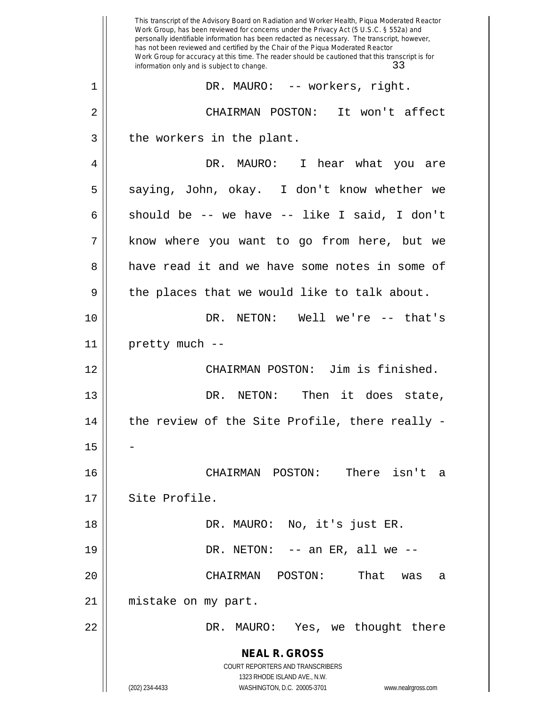**NEAL R. GROSS** COURT REPORTERS AND TRANSCRIBERS 1323 RHODE ISLAND AVE., N.W. (202) 234-4433 WASHINGTON, D.C. 20005-3701 www.nealrgross.com This transcript of the Advisory Board on Radiation and Worker Health, Piqua Moderated Reactor Work Group, has been reviewed for concerns under the Privacy Act (5 U.S.C. § 552a) and personally identifiable information has been redacted as necessary. The transcript, however, has not been reviewed and certified by the Chair of the Piqua Moderated Reactor Work Group for accuracy at this time. The reader should be cautioned that this transcript is for information only and is subject to change. 33 1 DR. MAURO: -- workers, right. 2 CHAIRMAN POSTON: It won't affect  $3 \parallel$  the workers in the plant. 4 DR. MAURO: I hear what you are  $5 \parallel$  saying, John, okay. I don't know whether we 6 should be -- we have -- like I said, I don't 7 || know where you want to go from here, but we 8 have read it and we have some notes in some of  $9 \parallel$  the places that we would like to talk about. 10 DR. NETON: Well we're -- that's  $11$  | pretty much --12 CHAIRMAN POSTON: Jim is finished. 13 DR. NETON: Then it does state,  $14$   $\parallel$  the review of the Site Profile, there really -15 16 CHAIRMAN POSTON: There isn't a 17 | Site Profile. 18 DR. MAURO: No, it's just ER. 19 DR. NETON: -- an ER, all we -- 20 CHAIRMAN POSTON: That was a 21 || mistake on my part. 22 DR. MAURO: Yes, we thought there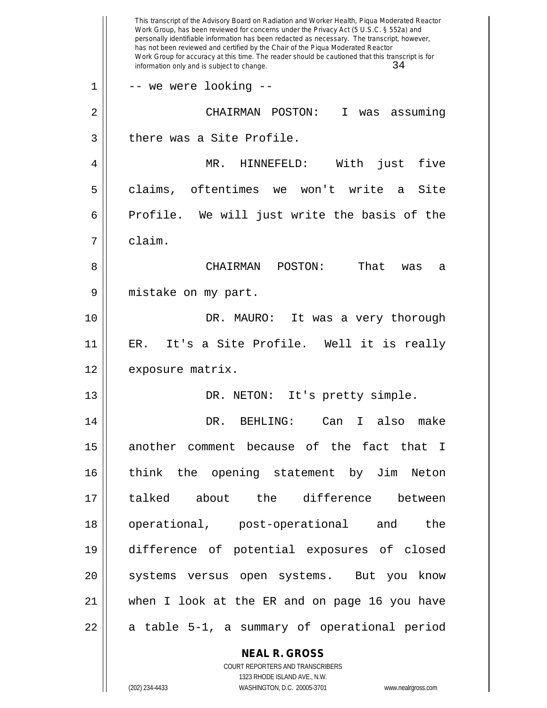|    | This transcript of the Advisory Board on Radiation and Worker Health, Piqua Moderated Reactor<br>Work Group, has been reviewed for concerns under the Privacy Act (5 U.S.C. § 552a) and<br>personally identifiable information has been redacted as necessary. The transcript, however,<br>has not been reviewed and certified by the Chair of the Piqua Moderated Reactor<br>Work Group for accuracy at this time. The reader should be cautioned that this transcript is for<br>34<br>information only and is subject to change. |
|----|------------------------------------------------------------------------------------------------------------------------------------------------------------------------------------------------------------------------------------------------------------------------------------------------------------------------------------------------------------------------------------------------------------------------------------------------------------------------------------------------------------------------------------|
| 1  | -- we were looking --                                                                                                                                                                                                                                                                                                                                                                                                                                                                                                              |
| 2  | CHAIRMAN POSTON:<br>I<br>assuming<br>was                                                                                                                                                                                                                                                                                                                                                                                                                                                                                           |
| 3  | there was a Site Profile.                                                                                                                                                                                                                                                                                                                                                                                                                                                                                                          |
| 4  | MR.<br>HINNEFELD:<br>With<br>just<br>five                                                                                                                                                                                                                                                                                                                                                                                                                                                                                          |
| 5  | oftentimes<br>won't write<br>claims,<br>Site<br>we<br>a                                                                                                                                                                                                                                                                                                                                                                                                                                                                            |
| 6  | Profile. We will just write the basis of the                                                                                                                                                                                                                                                                                                                                                                                                                                                                                       |
| 7  | claim.                                                                                                                                                                                                                                                                                                                                                                                                                                                                                                                             |
| 8  | That<br>CHAIRMAN<br>POSTON:<br>was<br>а                                                                                                                                                                                                                                                                                                                                                                                                                                                                                            |
| 9  | mistake on my part.                                                                                                                                                                                                                                                                                                                                                                                                                                                                                                                |
| 10 | DR. MAURO:<br>It was a very thorough                                                                                                                                                                                                                                                                                                                                                                                                                                                                                               |
| 11 | It's a Site Profile. Well it is really<br>ER.                                                                                                                                                                                                                                                                                                                                                                                                                                                                                      |
| 12 | exposure matrix.                                                                                                                                                                                                                                                                                                                                                                                                                                                                                                                   |
| 13 | It's pretty simple.<br>DR. NETON:                                                                                                                                                                                                                                                                                                                                                                                                                                                                                                  |
| 14 | DR. BEHLING: Can I also make                                                                                                                                                                                                                                                                                                                                                                                                                                                                                                       |
| 15 | another comment because of the fact that I                                                                                                                                                                                                                                                                                                                                                                                                                                                                                         |
| 16 | think the opening statement by Jim Neton                                                                                                                                                                                                                                                                                                                                                                                                                                                                                           |
| 17 | talked about the difference between                                                                                                                                                                                                                                                                                                                                                                                                                                                                                                |
| 18 | operational, post-operational and the                                                                                                                                                                                                                                                                                                                                                                                                                                                                                              |
| 19 | difference of potential exposures of closed                                                                                                                                                                                                                                                                                                                                                                                                                                                                                        |
| 20 | systems versus open systems. But you know                                                                                                                                                                                                                                                                                                                                                                                                                                                                                          |
| 21 | when I look at the ER and on page 16 you have                                                                                                                                                                                                                                                                                                                                                                                                                                                                                      |
| 22 | a table 5-1, a summary of operational period                                                                                                                                                                                                                                                                                                                                                                                                                                                                                       |
|    | <b>NEAL R. GROSS</b><br>COURT REPORTERS AND TRANSCRIBERS                                                                                                                                                                                                                                                                                                                                                                                                                                                                           |

1323 RHODE ISLAND AVE., N.W.

 $\prod$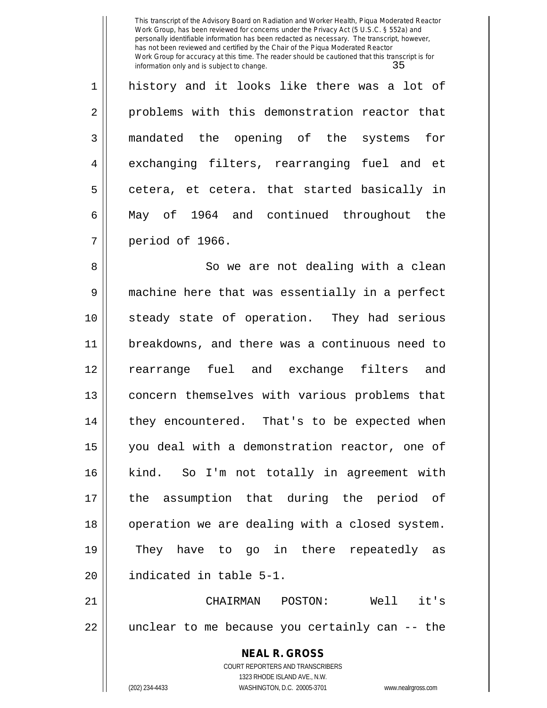1 || history and it looks like there was a lot of 2 || problems with this demonstration reactor that 3 mandated the opening of the systems for 4 exchanging filters, rearranging fuel and et  $5 \parallel$  cetera, et cetera. that started basically in 6 May of 1964 and continued throughout the 7 period of 1966.

8 || So we are not dealing with a clean 9 machine here that was essentially in a perfect 10 steady state of operation. They had serious 11 breakdowns, and there was a continuous need to 12 rearrange fuel and exchange filters and 13 concern themselves with various problems that 14 || they encountered. That's to be expected when 15 you deal with a demonstration reactor, one of 16 || kind. So I'm not totally in agreement with 17 the assumption that during the period of 18 || operation we are dealing with a closed system. 19 They have to go in there repeatedly as 20 | indicated in table 5-1.

21 CHAIRMAN POSTON: Well it's 22 || unclear to me because you certainly can -- the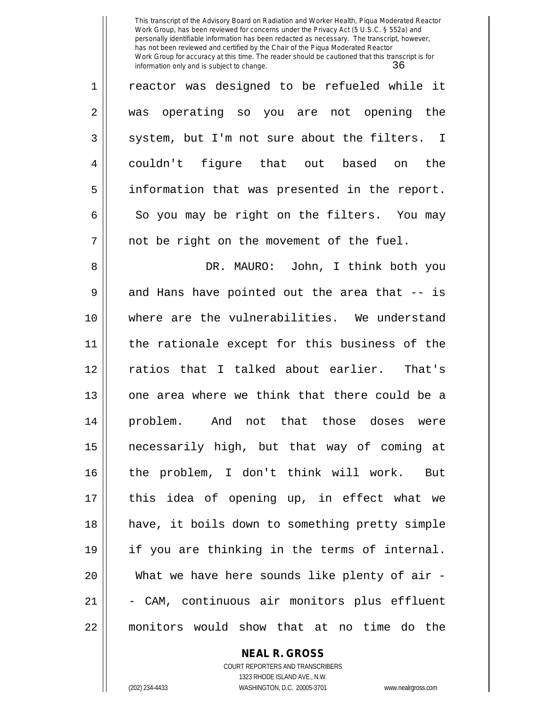1 || reactor was designed to be refueled while it 2 was operating so you are not opening the  $3 \parallel$  system, but I'm not sure about the filters. I 4 couldn't figure that out based on the 5 information that was presented in the report.  $6 \parallel$  So you may be right on the filters. You may 7 || not be right on the movement of the fuel.

8 DR. MAURO: John, I think both you  $9 \parallel$  and Hans have pointed out the area that -- is 10 where are the vulnerabilities. We understand 11 the rationale except for this business of the 12 ratios that I talked about earlier. That's 13 || one area where we think that there could be a 14 problem. And not that those doses were 15 necessarily high, but that way of coming at 16 the problem, I don't think will work. But 17 this idea of opening up, in effect what we 18 have, it boils down to something pretty simple 19 if you are thinking in the terms of internal. 20 || What we have here sounds like plenty of air -21 || - CAM, continuous air monitors plus effluent 22 monitors would show that at no time do the

#### **NEAL R. GROSS**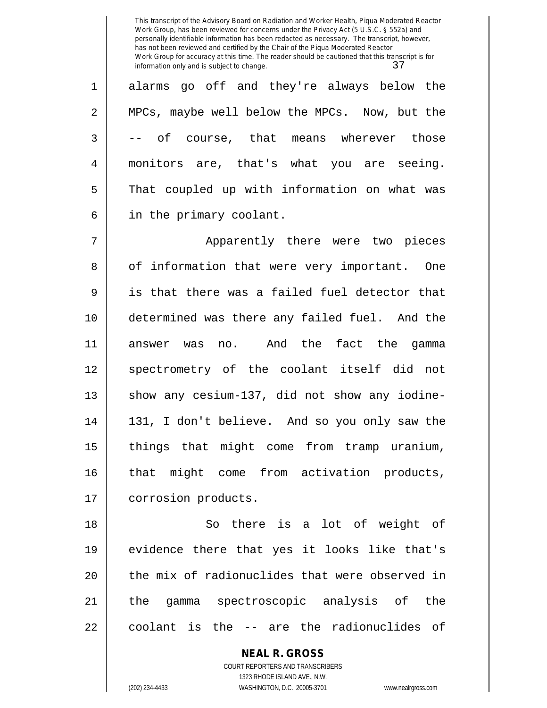1 alarms go off and they're always below the 2 || MPCs, maybe well below the MPCs. Now, but the  $3 \parallel$  -- of course, that means wherever those 4 monitors are, that's what you are seeing. 5 || That coupled up with information on what was 6 || in the primary coolant.

7 || Apparently there were two pieces 8 || of information that were very important. One 9 is that there was a failed fuel detector that 10 determined was there any failed fuel. And the 11 answer was no. And the fact the gamma 12 || spectrometry of the coolant itself did not  $13$  show any cesium-137, did not show any iodine-14 131, I don't believe. And so you only saw the 15 things that might come from tramp uranium, 16 that might come from activation products, 17 | corrosion products.

18 So there is a lot of weight of 19 evidence there that yes it looks like that's 20 || the mix of radionuclides that were observed in 21 the gamma spectroscopic analysis of the  $22$  || coolant is the  $-$  are the radionuclides of

> **NEAL R. GROSS** COURT REPORTERS AND TRANSCRIBERS 1323 RHODE ISLAND AVE., N.W. (202) 234-4433 WASHINGTON, D.C. 20005-3701 www.nealrgross.com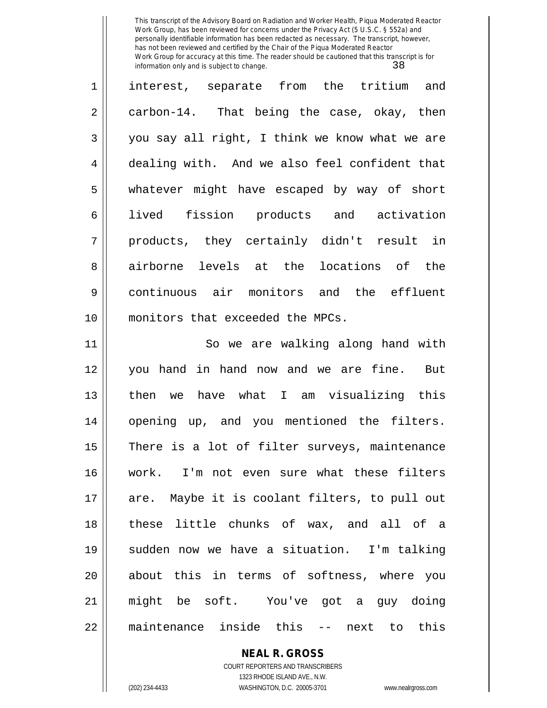| 1  | interest, separate from the tritium<br>and     |
|----|------------------------------------------------|
| 2  | carbon-14. That being the case, okay, then     |
| 3  | you say all right, I think we know what we are |
| 4  | dealing with. And we also feel confident that  |
| 5  | whatever might have escaped by way of short    |
| 6  | lived fission products and activation          |
| 7  | products, they certainly didn't result in      |
| 8  | airborne levels at the locations of the        |
| 9  | continuous air monitors and the effluent       |
| 10 | monitors that exceeded the MPCs.               |
| 11 | So we are walking along hand with              |
| 12 | you hand in hand now and we are fine. But      |
| 13 | we have what I am visualizing this<br>then     |
| 14 | opening up, and you mentioned the filters.     |
| 15 | There is a lot of filter surveys, maintenance  |
| 16 | work. I'm not even sure what these filters     |
| 17 | are. Maybe it is coolant filters, to pull out  |
| 18 | these little chunks of wax, and all of a       |
| 19 | sudden now we have a situation. I'm talking    |
| 20 | about this in terms of softness, where you     |
| 21 | might be soft. You've got a guy doing          |
| 22 | maintenance inside this<br>-- next to this     |

**NEAL R. GROSS**

COURT REPORTERS AND TRANSCRIBERS 1323 RHODE ISLAND AVE., N.W. (202) 234-4433 WASHINGTON, D.C. 20005-3701 www.nealrgross.com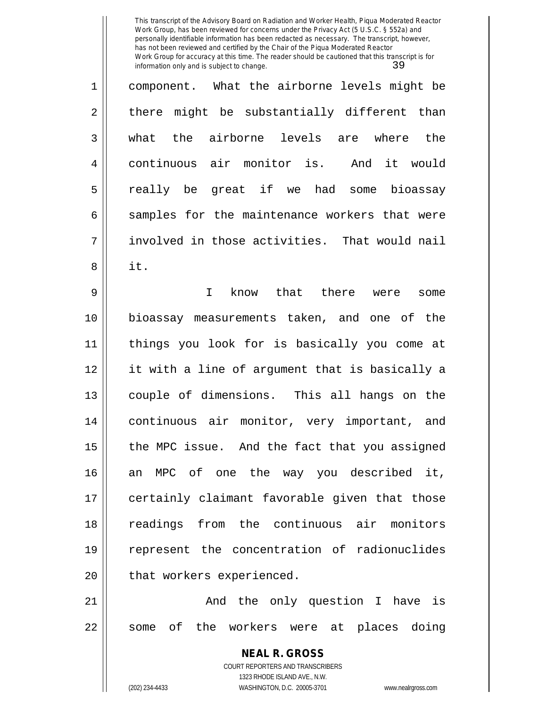| $\mathbf 1$    | component. What the airborne levels might be   |
|----------------|------------------------------------------------|
| $\overline{2}$ | there might be substantially different than    |
| $\overline{3}$ | what the airborne levels are where the         |
| $\overline{4}$ | continuous air monitor is. And it would        |
| 5              | really be great if we had some bioassay        |
| 6              | samples for the maintenance workers that were  |
| 7              | involved in those activities. That would nail  |
| 8              | it.                                            |
| 9              | know that there were<br>$\mathbf I$<br>some    |
| 10             | bioassay measurements taken, and one of the    |
| 11             | things you look for is basically you come at   |
| 12             | it with a line of argument that is basically a |
| 13             | couple of dimensions. This all hangs on the    |
| 14             | continuous air monitor, very important, and    |
|                |                                                |

16 an MPC of one the way you described it, 17 || certainly claimant favorable given that those 18 || readings from the continuous air monitors 19 represent the concentration of radionuclides  $20$  | that workers experienced.

21 || The Delay question I have is  $22$  some of the workers were at places doing

> **NEAL R. GROSS** COURT REPORTERS AND TRANSCRIBERS 1323 RHODE ISLAND AVE., N.W. (202) 234-4433 WASHINGTON, D.C. 20005-3701 www.nealrgross.com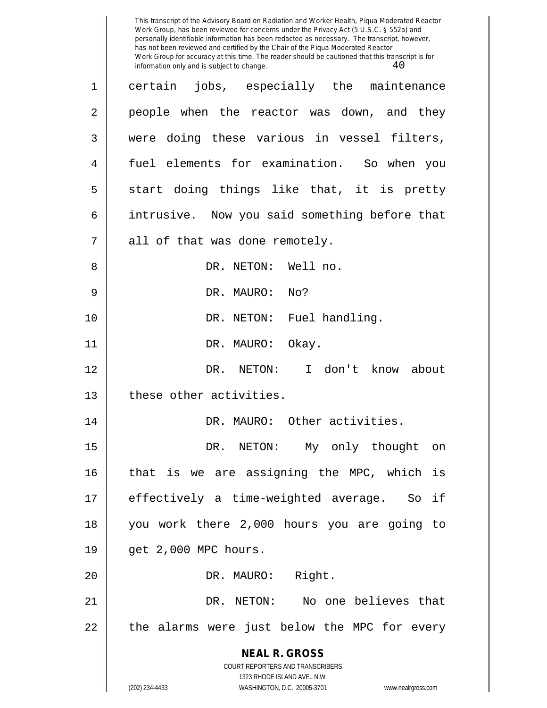**NEAL R. GROSS** COURT REPORTERS AND TRANSCRIBERS 1323 RHODE ISLAND AVE., N.W. (202) 234-4433 WASHINGTON, D.C. 20005-3701 www.nealrgross.com This transcript of the Advisory Board on Radiation and Worker Health, Piqua Moderated Reactor Work Group, has been reviewed for concerns under the Privacy Act (5 U.S.C. § 552a) and personally identifiable information has been redacted as necessary. The transcript, however, has not been reviewed and certified by the Chair of the Piqua Moderated Reactor Work Group for accuracy at this time. The reader should be cautioned that this transcript is for information only and is subject to change.  $40$ 1 certain jobs, especially the maintenance 2 || people when the reactor was down, and they 3 were doing these various in vessel filters, 4 fuel elements for examination. So when you  $5 \parallel$  start doing things like that, it is pretty 6 | intrusive. Now you said something before that  $7 \parallel$  all of that was done remotely. 8 DR. NETON: Well no. 9 DR. MAURO: No? 10 || DR. NETON: Fuel handling. 11 || DR. MAURO: Okay. 12 DR. NETON: I don't know about 13 l these other activities. 14 DR. MAURO: Other activities. 15 DR. NETON: My only thought on 16 that is we are assigning the MPC, which is 17 effectively a time-weighted average. So if 18 you work there 2,000 hours you are going to 19 get 2,000 MPC hours. 20 || DR. MAURO: Right. 21 DR. NETON: No one believes that  $22$  || the alarms were just below the MPC for every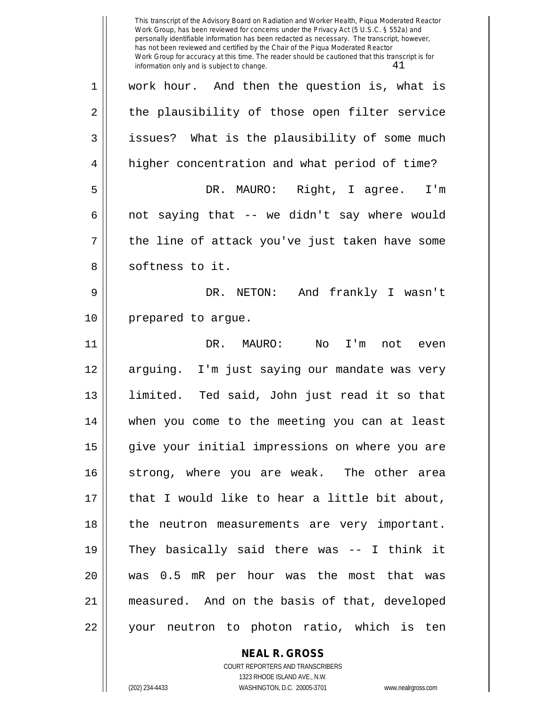This transcript of the Advisory Board on Radiation and Worker Health, Piqua Moderated Reactor Work Group, has been reviewed for concerns under the Privacy Act (5 U.S.C. § 552a) and personally identifiable information has been redacted as necessary. The transcript, however, has not been reviewed and certified by the Chair of the Piqua Moderated Reactor Work Group for accuracy at this time. The reader should be cautioned that this transcript is for information only and is subject to change.  $41$ 1 work hour. And then the question is, what is  $2 \parallel$  the plausibility of those open filter service 3 | issues? What is the plausibility of some much 4 | higher concentration and what period of time? 5 DR. MAURO: Right, I agree. I'm  $6 \parallel$  not saying that -- we didn't say where would  $7 \parallel$  the line of attack you've just taken have some 8 || softness to it. 9 DR. NETON: And frankly I wasn't 10 | prepared to argue. 11 DR. MAURO: No I'm not even 12 || arguing. I'm just saying our mandate was very 13 limited. Ted said, John just read it so that 14 when you come to the meeting you can at least 15 || give your initial impressions on where you are 16 strong, where you are weak. The other area 17 || that I would like to hear a little bit about, 18 || the neutron measurements are very important. 19 They basically said there was -- I think it 20 was 0.5 mR per hour was the most that was 21 measured. And on the basis of that, developed 22 || your neutron to photon ratio, which is ten

> **NEAL R. GROSS** COURT REPORTERS AND TRANSCRIBERS

> > 1323 RHODE ISLAND AVE., N.W.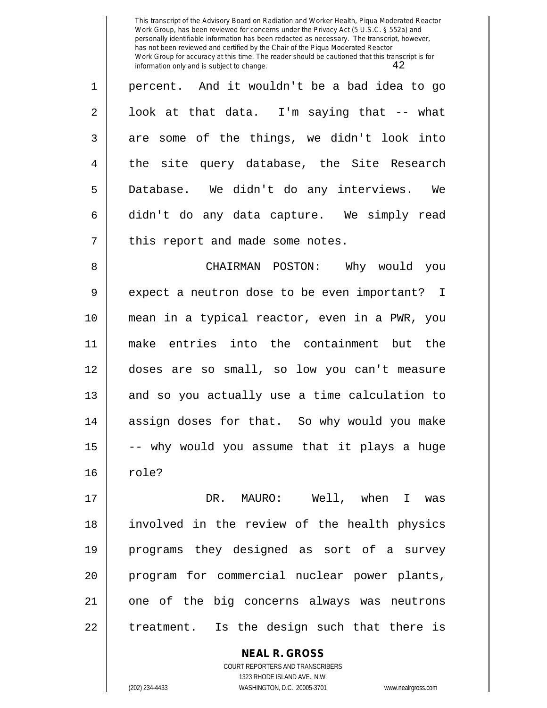| $\mathbf{1}$   | percent. And it wouldn't be a bad idea to go |
|----------------|----------------------------------------------|
| $\overline{2}$ | look at that data. I'm saying that -- what   |
| $\overline{3}$ | are some of the things, we didn't look into  |
| $\overline{4}$ | the site query database, the Site Research   |
| 5              | Database. We didn't do any interviews. We    |
| б.             | didn't do any data capture. We simply read   |
| 7              | this report and made some notes.             |

8 CHAIRMAN POSTON: Why would you 9 || expect a neutron dose to be even important? I 10 mean in a typical reactor, even in a PWR, you 11 make entries into the containment but the 12 doses are so small, so low you can't measure 13 || and so you actually use a time calculation to 14 assign doses for that. So why would you make  $15$   $\vert$  -- why would you assume that it plays a huge 16 || role?

17 DR. MAURO: Well, when I was 18 involved in the review of the health physics 19 programs they designed as sort of a survey 20 program for commercial nuclear power plants, 21 || one of the big concerns always was neutrons 22 || treatment. Is the design such that there is

> **NEAL R. GROSS** COURT REPORTERS AND TRANSCRIBERS 1323 RHODE ISLAND AVE., N.W. (202) 234-4433 WASHINGTON, D.C. 20005-3701 www.nealrgross.com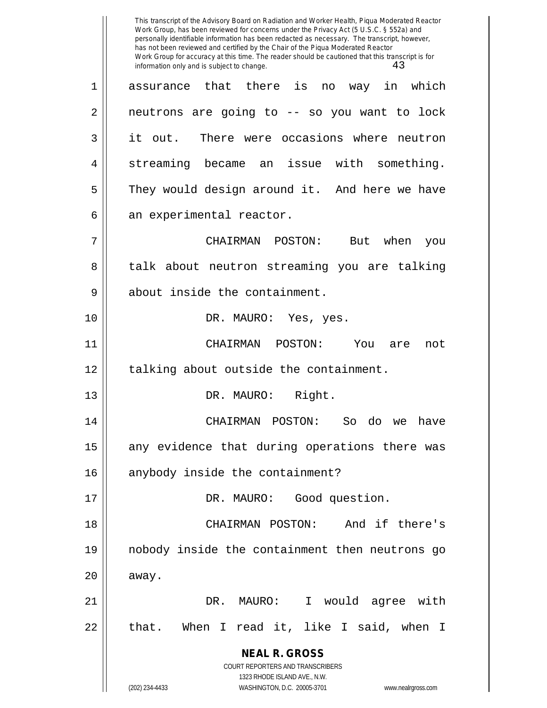**NEAL R. GROSS** COURT REPORTERS AND TRANSCRIBERS 1323 RHODE ISLAND AVE., N.W. (202) 234-4433 WASHINGTON, D.C. 20005-3701 www.nealrgross.com This transcript of the Advisory Board on Radiation and Worker Health, Piqua Moderated Reactor Work Group, has been reviewed for concerns under the Privacy Act (5 U.S.C. § 552a) and personally identifiable information has been redacted as necessary. The transcript, however, has not been reviewed and certified by the Chair of the Piqua Moderated Reactor Work Group for accuracy at this time. The reader should be cautioned that this transcript is for information only and is subject to change.  $43$ 1 assurance that there is no way in which 2 || neutrons are going to -- so you want to lock 3 it out. There were occasions where neutron 4 || streaming became an issue with something. 5 They would design around it. And here we have  $6 \parallel$  an experimental reactor. 7 CHAIRMAN POSTON: But when you 8 || talk about neutron streaming you are talking 9 || about inside the containment. 10 DR. MAURO: Yes, yes. 11 CHAIRMAN POSTON: You are not 12 || talking about outside the containment. 13 || DR. MAURO: Right. 14 CHAIRMAN POSTON: So do we have 15 || any evidence that during operations there was 16 || anybody inside the containment? 17 || DR. MAURO: Good question. 18 CHAIRMAN POSTON: And if there's 19 nobody inside the containment then neutrons go  $20$  | away. 21 DR. MAURO: I would agree with 22 || that. When I read it, like I said, when I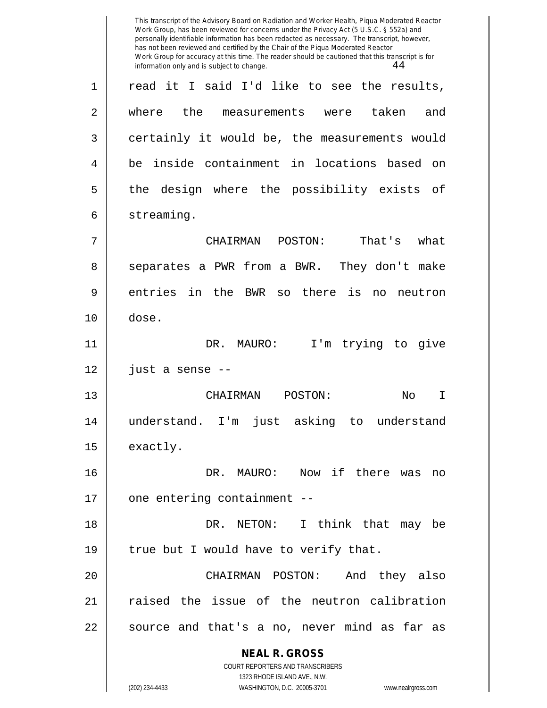**NEAL R. GROSS** COURT REPORTERS AND TRANSCRIBERS 1323 RHODE ISLAND AVE., N.W. (202) 234-4433 WASHINGTON, D.C. 20005-3701 www.nealrgross.com This transcript of the Advisory Board on Radiation and Worker Health, Piqua Moderated Reactor Work Group, has been reviewed for concerns under the Privacy Act (5 U.S.C. § 552a) and personally identifiable information has been redacted as necessary. The transcript, however, has not been reviewed and certified by the Chair of the Piqua Moderated Reactor Work Group for accuracy at this time. The reader should be cautioned that this transcript is for information only and is subject to change.  $44$ 1 || read it I said I'd like to see the results, 2 || where the measurements were taken and 3 certainly it would be, the measurements would 4 || be inside containment in locations based on 5 || the design where the possibility exists of 6 | streaming. 7 CHAIRMAN POSTON: That's what 8 || separates a PWR from a BWR. They don't make 9 entries in the BWR so there is no neutron 10 dose. 11 DR. MAURO: I'm trying to give  $12 \parallel$  just a sense --13 CHAIRMAN POSTON: No I 14 understand. I'm just asking to understand 15 | exactly. 16 DR. MAURO: Now if there was no 17 | one entering containment --18 DR. NETON: I think that may be 19  $\parallel$  true but I would have to verify that. 20 CHAIRMAN POSTON: And they also 21 || raised the issue of the neutron calibration  $22 \parallel$  source and that's a no, never mind as far as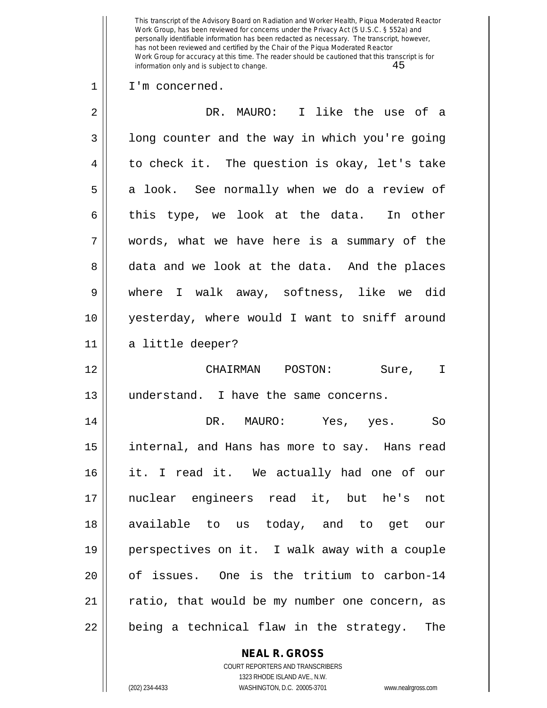## 1 || I'm concerned.

| $\overline{2}$ | DR. MAURO: I like the use of a                 |
|----------------|------------------------------------------------|
| 3              | long counter and the way in which you're going |
| 4              | to check it. The question is okay, let's take  |
| 5              | a look. See normally when we do a review of    |
| 6              | this type, we look at the data. In other       |
| 7              | words, what we have here is a summary of the   |
| 8              | data and we look at the data. And the places   |
| 9              | where I walk away, softness, like we did       |
| 10             | yesterday, where would I want to sniff around  |
| 11             | a little deeper?                               |
| 12             | CHAIRMAN POSTON: Sure, I                       |
| 13             | understand. I have the same concerns.          |
| 14             | DR. MAURO: Yes, yes.<br>So                     |
| 15             | internal, and Hans has more to say. Hans read  |
| 16             | it. I read it. We actually had one of our      |
| 17             | nuclear engineers read it, but he's<br>not     |
| 18             | available to us today, and to get our          |
| 19             | perspectives on it. I walk away with a couple  |
| 20             | of issues. One is the tritium to carbon-14     |
| 21             | ratio, that would be my number one concern, as |
| 22             | being a technical flaw in the strategy.<br>The |

**NEAL R. GROSS** COURT REPORTERS AND TRANSCRIBERS

1323 RHODE ISLAND AVE., N.W. (202) 234-4433 WASHINGTON, D.C. 20005-3701 www.nealrgross.com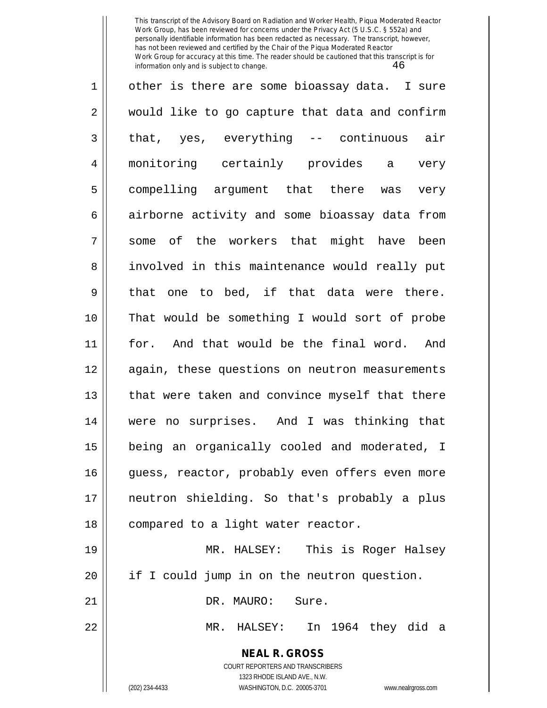| 1              | other is there are some bioassay data. I sure                                                   |
|----------------|-------------------------------------------------------------------------------------------------|
| $\overline{2}$ | would like to go capture that data and confirm                                                  |
| $\mathfrak{Z}$ | that, yes, everything -- continuous air                                                         |
| 4              | monitoring certainly provides a<br>very                                                         |
| 5              | compelling argument that there was<br>very                                                      |
| 6              | airborne activity and some bioassay data from                                                   |
| 7              | some of the workers that might have been                                                        |
| 8              | involved in this maintenance would really put                                                   |
| 9              | that one to bed, if that data were there.                                                       |
| 10             | That would be something I would sort of probe                                                   |
| 11             | for. And that would be the final word. And                                                      |
| 12             | again, these questions on neutron measurements                                                  |
| 13             | that were taken and convince myself that there                                                  |
| 14             | were no surprises. And I was thinking that                                                      |
| 15             | being an organically cooled and moderated, I                                                    |
| 16             | guess, reactor, probably even offers even more                                                  |
| 17             | neutron shielding. So that's probably a plus                                                    |
| 18             | compared to a light water reactor.                                                              |
| 19             | MR. HALSEY: This is Roger Halsey                                                                |
| 20             | if I could jump in on the neutron question.                                                     |
| 21             | DR. MAURO: Sure.                                                                                |
| 22             | MR. HALSEY: In 1964 they did a                                                                  |
|                | <b>NEAL R. GROSS</b><br><b>COURT REPORTERS AND TRANSCRIBERS</b><br>1323 RHODE ISLAND AVE., N.W. |

 $\parallel$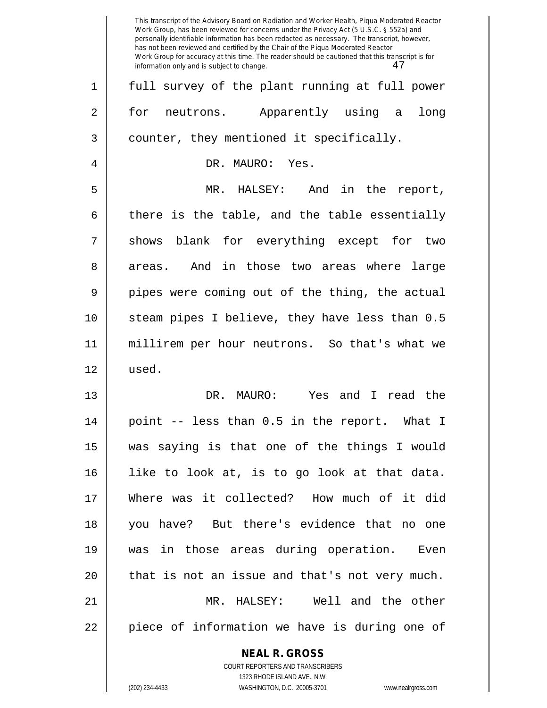|    | This transcript of the Advisory Board on Radiation and Worker Health, Piqua Moderated Reactor<br>Work Group, has been reviewed for concerns under the Privacy Act (5 U.S.C. § 552a) and<br>personally identifiable information has been redacted as necessary. The transcript, however,<br>has not been reviewed and certified by the Chair of the Piqua Moderated Reactor<br>Work Group for accuracy at this time. The reader should be cautioned that this transcript is for<br>47<br>information only and is subject to change. |
|----|------------------------------------------------------------------------------------------------------------------------------------------------------------------------------------------------------------------------------------------------------------------------------------------------------------------------------------------------------------------------------------------------------------------------------------------------------------------------------------------------------------------------------------|
| 1  | full survey of the plant running at full power                                                                                                                                                                                                                                                                                                                                                                                                                                                                                     |
| 2  | for<br>Apparently using<br>neutrons.<br>long<br>a                                                                                                                                                                                                                                                                                                                                                                                                                                                                                  |
| 3  | counter, they mentioned it specifically.                                                                                                                                                                                                                                                                                                                                                                                                                                                                                           |
| 4  | DR. MAURO: Yes.                                                                                                                                                                                                                                                                                                                                                                                                                                                                                                                    |
| 5  | And in the report,<br>MR.<br>HALSEY:                                                                                                                                                                                                                                                                                                                                                                                                                                                                                               |
| 6  | there is the table, and the table essentially                                                                                                                                                                                                                                                                                                                                                                                                                                                                                      |
| 7  | blank for everything except for<br>shows<br>two                                                                                                                                                                                                                                                                                                                                                                                                                                                                                    |
| 8  | And<br>in those two areas where<br>large<br>areas.                                                                                                                                                                                                                                                                                                                                                                                                                                                                                 |
| 9  | pipes were coming out of the thing, the actual                                                                                                                                                                                                                                                                                                                                                                                                                                                                                     |
| 10 | steam pipes I believe, they have less than 0.5                                                                                                                                                                                                                                                                                                                                                                                                                                                                                     |
| 11 | millirem per hour neutrons. So that's what we                                                                                                                                                                                                                                                                                                                                                                                                                                                                                      |
| 12 | used.                                                                                                                                                                                                                                                                                                                                                                                                                                                                                                                              |
| 13 | read the<br>DR.<br>MAURO:<br>Yes and I                                                                                                                                                                                                                                                                                                                                                                                                                                                                                             |
| 14 | point -- less than 0.5 in the report. What I                                                                                                                                                                                                                                                                                                                                                                                                                                                                                       |
| 15 | was saying is that one of the things I would                                                                                                                                                                                                                                                                                                                                                                                                                                                                                       |
| 16 | like to look at, is to go look at that data.                                                                                                                                                                                                                                                                                                                                                                                                                                                                                       |
| 17 | Where was it collected? How much of it did                                                                                                                                                                                                                                                                                                                                                                                                                                                                                         |
| 18 | you have? But there's evidence that no one                                                                                                                                                                                                                                                                                                                                                                                                                                                                                         |
| 19 | was in those areas during operation. Even                                                                                                                                                                                                                                                                                                                                                                                                                                                                                          |
| 20 | that is not an issue and that's not very much.                                                                                                                                                                                                                                                                                                                                                                                                                                                                                     |
| 21 | Well and the other<br>MR. HALSEY:                                                                                                                                                                                                                                                                                                                                                                                                                                                                                                  |
| 22 | piece of information we have is during one of                                                                                                                                                                                                                                                                                                                                                                                                                                                                                      |
|    | <b>NEAL R. GROSS</b>                                                                                                                                                                                                                                                                                                                                                                                                                                                                                                               |
|    | <b>COURT REPORTERS AND TRANSCRIBERS</b>                                                                                                                                                                                                                                                                                                                                                                                                                                                                                            |
|    | 1323 RHODE ISLAND AVE., N.W.                                                                                                                                                                                                                                                                                                                                                                                                                                                                                                       |
|    | (202) 234-4433<br>WASHINGTON, D.C. 20005-3701<br>www.nealrgross.com                                                                                                                                                                                                                                                                                                                                                                                                                                                                |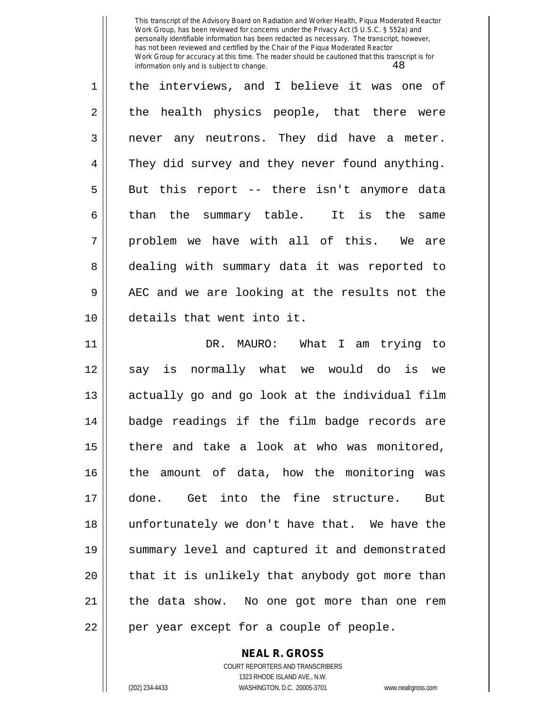1 || the interviews, and I believe it was one of 2 the health physics people, that there were 3 || never any neutrons. They did have a meter. 4 || They did survey and they never found anything.  $5 \parallel$  But this report -- there isn't anymore data  $6$  || than the summary table. It is the same  $7 \parallel$  problem we have with all of this. We are 8 dealing with summary data it was reported to 9 AEC and we are looking at the results not the 10 details that went into it. 11 DR. MAURO: What I am trying to 12 || say is normally what we would do is we 13 || actually go and go look at the individual film 14 badge readings if the film badge records are 15 || there and take a look at who was monitored, 16 || the amount of data, how the monitoring was 17 done. Get into the fine structure. But 18 unfortunately we don't have that. We have the 19 summary level and captured it and demonstrated  $20$  || that it is unlikely that anybody got more than  $21$  | the data show. No one got more than one rem

 $22$  || per year except for a couple of people.

**NEAL R. GROSS** COURT REPORTERS AND TRANSCRIBERS

1323 RHODE ISLAND AVE., N.W.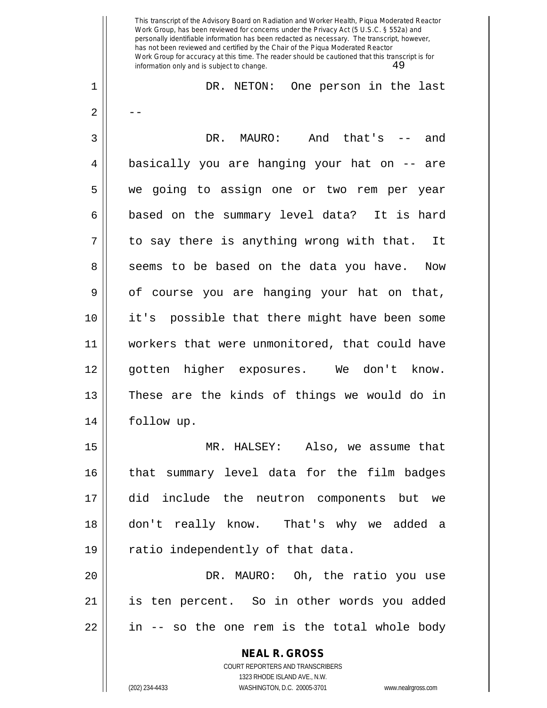**NEAL R. GROSS** COURT REPORTERS AND TRANSCRIBERS 1323 RHODE ISLAND AVE., N.W. This transcript of the Advisory Board on Radiation and Worker Health, Piqua Moderated Reactor Work Group, has been reviewed for concerns under the Privacy Act (5 U.S.C. § 552a) and personally identifiable information has been redacted as necessary. The transcript, however, has not been reviewed and certified by the Chair of the Piqua Moderated Reactor Work Group for accuracy at this time. The reader should be cautioned that this transcript is for information only and is subject to change.  $49$ 1 DR. NETON: One person in the last  $2 \parallel - -$ 3 DR. MAURO: And that's -- and 4 basically you are hanging your hat on -- are 5 we going to assign one or two rem per year 6 based on the summary level data? It is hard  $7 \parallel$  to say there is anything wrong with that. It 8 || seems to be based on the data you have. Now  $9 \parallel$  of course you are hanging your hat on that, 10 it's possible that there might have been some 11 workers that were unmonitored, that could have 12 gotten higher exposures. We don't know. 13 These are the kinds of things we would do in 14 follow up. 15 MR. HALSEY: Also, we assume that 16 || that summary level data for the film badges 17 did include the neutron components but we 18 don't really know. That's why we added a 19 || ratio independently of that data. 20 DR. MAURO: Oh, the ratio you use 21 is ten percent. So in other words you added  $22$  || in -- so the one rem is the total whole body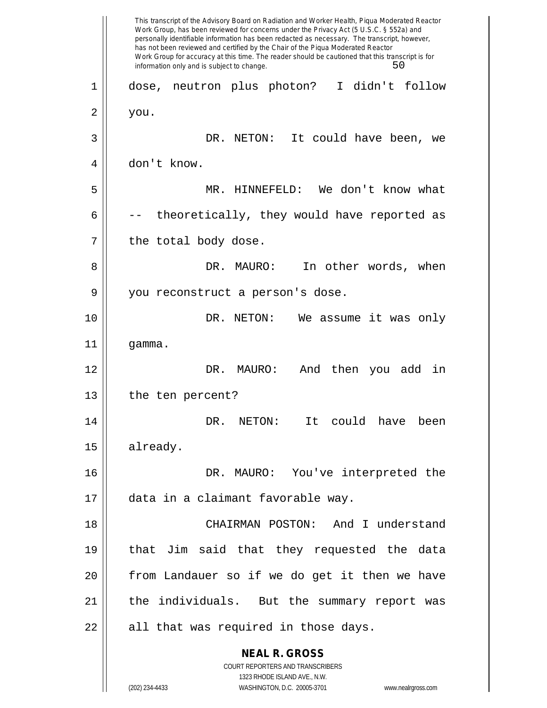**NEAL R. GROSS** COURT REPORTERS AND TRANSCRIBERS 1323 RHODE ISLAND AVE., N.W. (202) 234-4433 WASHINGTON, D.C. 20005-3701 www.nealrgross.com This transcript of the Advisory Board on Radiation and Worker Health, Piqua Moderated Reactor Work Group, has been reviewed for concerns under the Privacy Act (5 U.S.C. § 552a) and personally identifiable information has been redacted as necessary. The transcript, however, has not been reviewed and certified by the Chair of the Piqua Moderated Reactor Work Group for accuracy at this time. The reader should be cautioned that this transcript is for information only and is subject to change. 50 1 dose, neutron plus photon? I didn't follow  $2 \parallel$  you. 3 DR. NETON: It could have been, we 4 don't know. 5 MR. HINNEFELD: We don't know what 6  $\parallel$  -- theoretically, they would have reported as  $7$  | the total body dose. 8 DR. MAURO: In other words, when 9 || you reconstruct a person's dose. 10 DR. NETON: We assume it was only 11 gamma. 12 DR. MAURO: And then you add in 13 || the ten percent? 14 DR. NETON: It could have been 15 | already. 16 DR. MAURO: You've interpreted the 17 data in a claimant favorable way. 18 CHAIRMAN POSTON: And I understand 19 that Jim said that they requested the data 20 from Landauer so if we do get it then we have 21 || the individuals. But the summary report was  $22$  || all that was required in those days.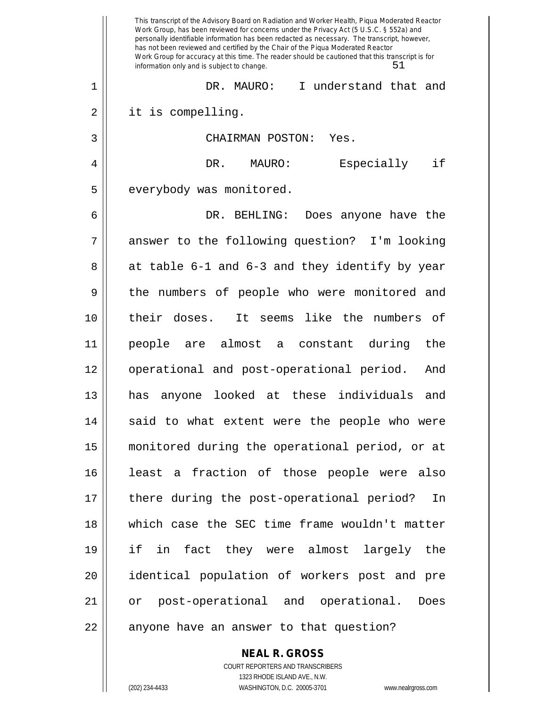|    | This transcript of the Advisory Board on Radiation and Worker Health, Piqua Moderated Reactor<br>Work Group, has been reviewed for concerns under the Privacy Act (5 U.S.C. § 552a) and<br>personally identifiable information has been redacted as necessary. The transcript, however,<br>has not been reviewed and certified by the Chair of the Piqua Moderated Reactor<br>Work Group for accuracy at this time. The reader should be cautioned that this transcript is for<br>51<br>information only and is subject to change. |
|----|------------------------------------------------------------------------------------------------------------------------------------------------------------------------------------------------------------------------------------------------------------------------------------------------------------------------------------------------------------------------------------------------------------------------------------------------------------------------------------------------------------------------------------|
| 1  | I understand that and<br>DR. MAURO:                                                                                                                                                                                                                                                                                                                                                                                                                                                                                                |
| 2  | it is compelling.                                                                                                                                                                                                                                                                                                                                                                                                                                                                                                                  |
| 3  | CHAIRMAN POSTON:<br>Yes.                                                                                                                                                                                                                                                                                                                                                                                                                                                                                                           |
| 4  | if<br>Especially<br>DR. MAURO:                                                                                                                                                                                                                                                                                                                                                                                                                                                                                                     |
| 5  | everybody was monitored.                                                                                                                                                                                                                                                                                                                                                                                                                                                                                                           |
| 6  | DR. BEHLING:<br>Does anyone have the                                                                                                                                                                                                                                                                                                                                                                                                                                                                                               |
| 7  | answer to the following question? I'm looking                                                                                                                                                                                                                                                                                                                                                                                                                                                                                      |
| 8  | at table 6-1 and 6-3 and they identify by year                                                                                                                                                                                                                                                                                                                                                                                                                                                                                     |
| 9  | the numbers of people who were monitored and                                                                                                                                                                                                                                                                                                                                                                                                                                                                                       |
| 10 | like the numbers of<br>their doses.<br>It seems                                                                                                                                                                                                                                                                                                                                                                                                                                                                                    |
| 11 | people are almost a constant<br>during<br>the                                                                                                                                                                                                                                                                                                                                                                                                                                                                                      |
| 12 | operational and post-operational period.<br>And                                                                                                                                                                                                                                                                                                                                                                                                                                                                                    |
| 13 | looked at these individuals<br>and<br>has<br>anyone                                                                                                                                                                                                                                                                                                                                                                                                                                                                                |
| 14 | said to what extent were the people who were                                                                                                                                                                                                                                                                                                                                                                                                                                                                                       |
| 15 | monitored during the operational period, or at                                                                                                                                                                                                                                                                                                                                                                                                                                                                                     |
| 16 | least a fraction of those people were also                                                                                                                                                                                                                                                                                                                                                                                                                                                                                         |
| 17 | there during the post-operational period?<br>In                                                                                                                                                                                                                                                                                                                                                                                                                                                                                    |
| 18 | which case the SEC time frame wouldn't matter                                                                                                                                                                                                                                                                                                                                                                                                                                                                                      |
| 19 | if in fact they were almost largely the                                                                                                                                                                                                                                                                                                                                                                                                                                                                                            |
| 20 | identical population of workers post and pre                                                                                                                                                                                                                                                                                                                                                                                                                                                                                       |
| 21 | or post-operational and operational.<br>Does                                                                                                                                                                                                                                                                                                                                                                                                                                                                                       |
| 22 | anyone have an answer to that question?                                                                                                                                                                                                                                                                                                                                                                                                                                                                                            |

COURT REPORTERS AND TRANSCRIBERS 1323 RHODE ISLAND AVE., N.W. (202) 234-4433 WASHINGTON, D.C. 20005-3701 www.nealrgross.com

**NEAL R. GROSS**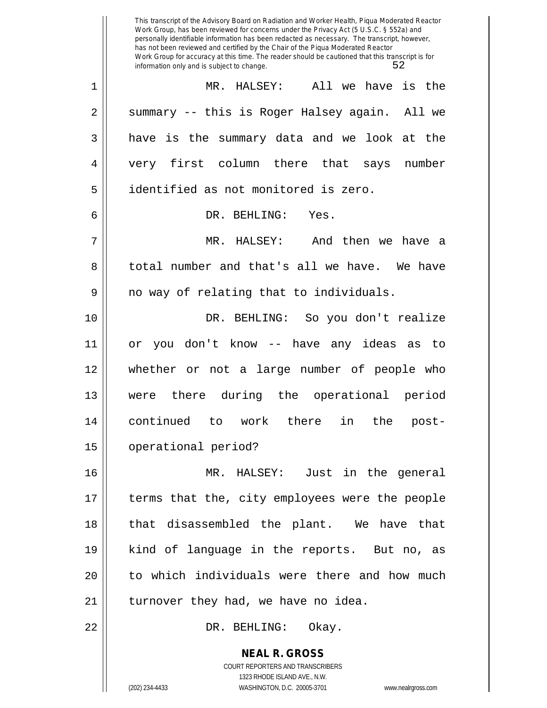**NEAL R. GROSS** This transcript of the Advisory Board on Radiation and Worker Health, Piqua Moderated Reactor Work Group, has been reviewed for concerns under the Privacy Act (5 U.S.C. § 552a) and personally identifiable information has been redacted as necessary. The transcript, however, has not been reviewed and certified by the Chair of the Piqua Moderated Reactor Work Group for accuracy at this time. The reader should be cautioned that this transcript is for information only and is subject to change. 52 1 MR. HALSEY: All we have is the 2 || summary -- this is Roger Halsey again. All we  $3 \parallel$  have is the summary data and we look at the 4 very first column there that says number 5 identified as not monitored is zero. 6 DR. BEHLING: Yes. 7 MR. HALSEY: And then we have a 8 decrimed in total number and that's all we have. We have  $9 \parallel$  no way of relating that to individuals. 10 DR. BEHLING: So you don't realize 11 or you don't know -- have any ideas as to 12 whether or not a large number of people who 13 were there during the operational period 14 continued to work there in the post-15 operational period? 16 MR. HALSEY: Just in the general 17 terms that the, city employees were the people 18 || that disassembled the plant. We have that 19 kind of language in the reports. But no, as 20 || to which individuals were there and how much  $21$  | turnover they had, we have no idea. 22 DR. BEHLING: Okay.

> COURT REPORTERS AND TRANSCRIBERS 1323 RHODE ISLAND AVE., N.W.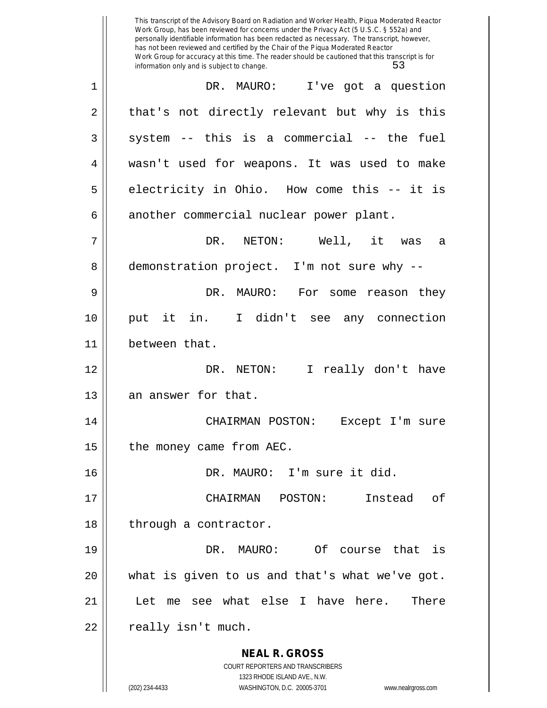**NEAL R. GROSS** COURT REPORTERS AND TRANSCRIBERS 1323 RHODE ISLAND AVE., N.W. This transcript of the Advisory Board on Radiation and Worker Health, Piqua Moderated Reactor Work Group, has been reviewed for concerns under the Privacy Act (5 U.S.C. § 552a) and personally identifiable information has been redacted as necessary. The transcript, however, has not been reviewed and certified by the Chair of the Piqua Moderated Reactor Work Group for accuracy at this time. The reader should be cautioned that this transcript is for information only and is subject to change. 53 1 DR. MAURO: I've got a question 2 || that's not directly relevant but why is this  $3 \parallel$  system -- this is a commercial -- the fuel 4 wasn't used for weapons. It was used to make  $5 \parallel$  electricity in Ohio. How come this -- it is 6 another commercial nuclear power plant. 7 DR. NETON: Well, it was a 8 demonstration project. I'm not sure why --9 DR. MAURO: For some reason they 10 put it in. I didn't see any connection 11 between that. 12 DR. NETON: I really don't have 13 | an answer for that. 14 CHAIRMAN POSTON: Except I'm sure 15 | the money came from AEC. 16 DR. MAURO: I'm sure it did. 17 CHAIRMAN POSTON: Instead of 18 | through a contractor. 19 DR. MAURO: Of course that is 20 what is given to us and that's what we've got. 21 | Let me see what else I have here. There 22 || really isn't much.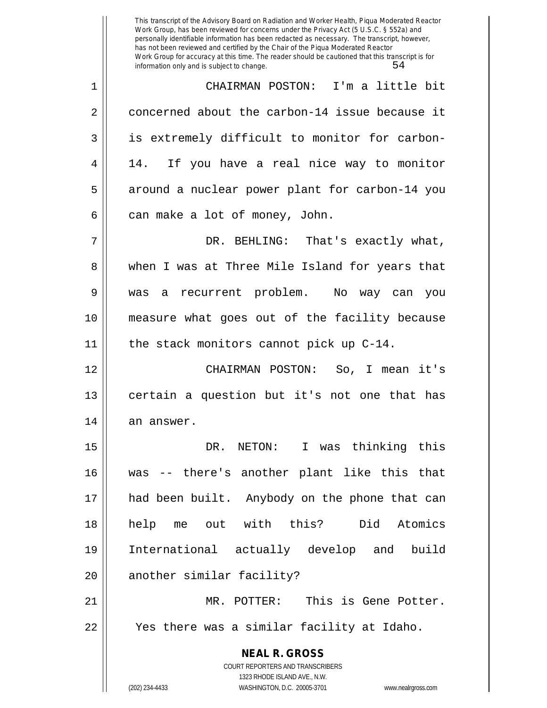1 CHAIRMAN POSTON: I'm a little bit 2 concerned about the carbon-14 issue because it 3 | is extremely difficult to monitor for carbon-4 || 14. If you have a real nice way to monitor 5 || around a nuclear power plant for carbon-14 you  $6 \parallel$  can make a lot of money, John.

7 DR. BEHLING: That's exactly what, 8 when I was at Three Mile Island for years that 9 was a recurrent problem. No way can you 10 measure what goes out of the facility because 11 || the stack monitors cannot pick up C-14.

12 CHAIRMAN POSTON: So, I mean it's 13 || certain a question but it's not one that has  $14$  an answer.

15 DR. NETON: I was thinking this 16 was -- there's another plant like this that 17 had been built. Anybody on the phone that can 18 help me out with this? Did Atomics 19 International actually develop and build 20 || another similar facility? 21 MR. POTTER: This is Gene Potter.

22 || Yes there was a similar facility at Idaho.

**NEAL R. GROSS** COURT REPORTERS AND TRANSCRIBERS 1323 RHODE ISLAND AVE., N.W. (202) 234-4433 WASHINGTON, D.C. 20005-3701 www.nealrgross.com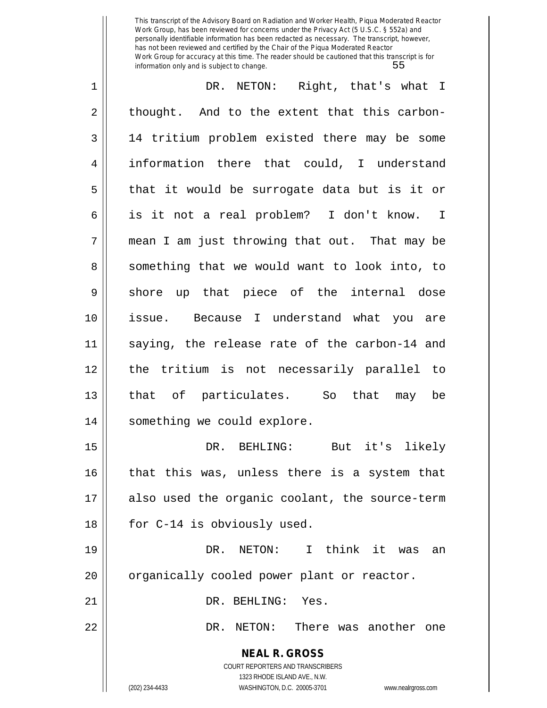1 DR. NETON: Right, that's what I  $2 \parallel$  thought. And to the extent that this carbon-3 14 tritium problem existed there may be some 4 information there that could, I understand  $5 \parallel$  that it would be surrogate data but is it or 6 is it not a real problem? I don't know. I  $7$  || mean I am just throwing that out. That may be 8 Something that we would want to look into, to 9 || shore up that piece of the internal dose 10 issue. Because I understand what you are 11 saying, the release rate of the carbon-14 and 12 the tritium is not necessarily parallel to 13 that of particulates. So that may be 14 || something we could explore. 15 DR. BEHLING: But it's likely 16 that this was, unless there is a system that 17 also used the organic coolant, the source-term 18 || for C-14 is obviously used. 19 DR. NETON: I think it was an

20 | organically cooled power plant or reactor.

21 || DR. BEHLING: Yes.

22 DR. NETON: There was another one

**NEAL R. GROSS** COURT REPORTERS AND TRANSCRIBERS

1323 RHODE ISLAND AVE., N.W.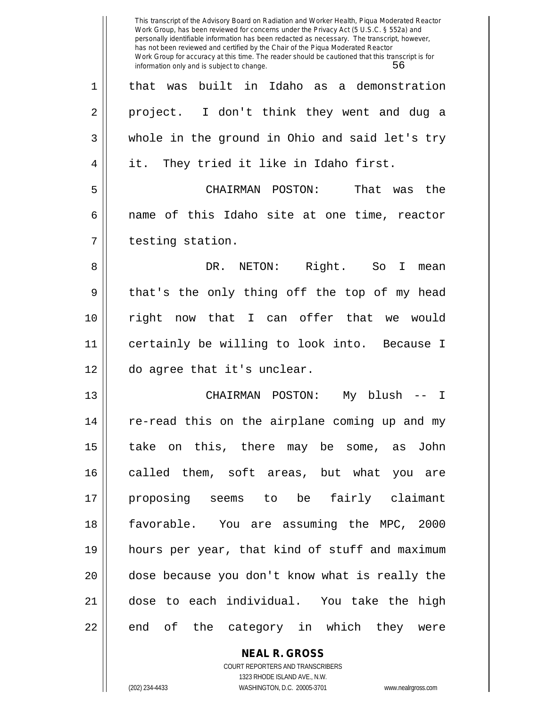|    | This transcript of the Advisory Board on Radiation and Worker Health, Piqua Moderated Reactor<br>Work Group, has been reviewed for concerns under the Privacy Act (5 U.S.C. § 552a) and<br>personally identifiable information has been redacted as necessary. The transcript, however,<br>has not been reviewed and certified by the Chair of the Piqua Moderated Reactor<br>Work Group for accuracy at this time. The reader should be cautioned that this transcript is for<br>56<br>information only and is subject to change. |
|----|------------------------------------------------------------------------------------------------------------------------------------------------------------------------------------------------------------------------------------------------------------------------------------------------------------------------------------------------------------------------------------------------------------------------------------------------------------------------------------------------------------------------------------|
| 1  | built in Idaho as a demonstration<br>that was                                                                                                                                                                                                                                                                                                                                                                                                                                                                                      |
| 2  | project. I don't think they went and dug a                                                                                                                                                                                                                                                                                                                                                                                                                                                                                         |
| 3  | whole in the ground in Ohio and said let's try                                                                                                                                                                                                                                                                                                                                                                                                                                                                                     |
| 4  | They tried it like in Idaho first.<br>it.                                                                                                                                                                                                                                                                                                                                                                                                                                                                                          |
| 5  | That<br>CHAIRMAN POSTON:<br>the<br>was                                                                                                                                                                                                                                                                                                                                                                                                                                                                                             |
| 6  | name of this Idaho site at one time, reactor                                                                                                                                                                                                                                                                                                                                                                                                                                                                                       |
| 7  | testing station.                                                                                                                                                                                                                                                                                                                                                                                                                                                                                                                   |
| 8  | Right. So<br>DR. NETON:<br>I.<br>mean                                                                                                                                                                                                                                                                                                                                                                                                                                                                                              |
| 9  | that's the only thing off the top of my head                                                                                                                                                                                                                                                                                                                                                                                                                                                                                       |
| 10 | right<br>now that I can offer that<br>we would                                                                                                                                                                                                                                                                                                                                                                                                                                                                                     |
| 11 | certainly be willing to look into. Because I                                                                                                                                                                                                                                                                                                                                                                                                                                                                                       |
| 12 | do agree that it's unclear.                                                                                                                                                                                                                                                                                                                                                                                                                                                                                                        |
| 13 | CHAIRMAN POSTON:<br>blush<br>My<br>I                                                                                                                                                                                                                                                                                                                                                                                                                                                                                               |
| 14 | re-read this on the airplane coming up and my                                                                                                                                                                                                                                                                                                                                                                                                                                                                                      |
| 15 | take on this, there may be some, as John                                                                                                                                                                                                                                                                                                                                                                                                                                                                                           |
| 16 | called them, soft areas, but what you are                                                                                                                                                                                                                                                                                                                                                                                                                                                                                          |
| 17 | proposing seems to be fairly claimant                                                                                                                                                                                                                                                                                                                                                                                                                                                                                              |
| 18 | favorable. You are assuming the MPC, 2000                                                                                                                                                                                                                                                                                                                                                                                                                                                                                          |
| 19 | hours per year, that kind of stuff and maximum                                                                                                                                                                                                                                                                                                                                                                                                                                                                                     |
| 20 | dose because you don't know what is really the                                                                                                                                                                                                                                                                                                                                                                                                                                                                                     |
| 21 | dose to each individual. You take the high                                                                                                                                                                                                                                                                                                                                                                                                                                                                                         |
| 22 | end of the category in which they were                                                                                                                                                                                                                                                                                                                                                                                                                                                                                             |

COURT REPORTERS AND TRANSCRIBERS 1323 RHODE ISLAND AVE., N.W. (202) 234-4433 WASHINGTON, D.C. 20005-3701 www.nealrgross.com

**NEAL R. GROSS**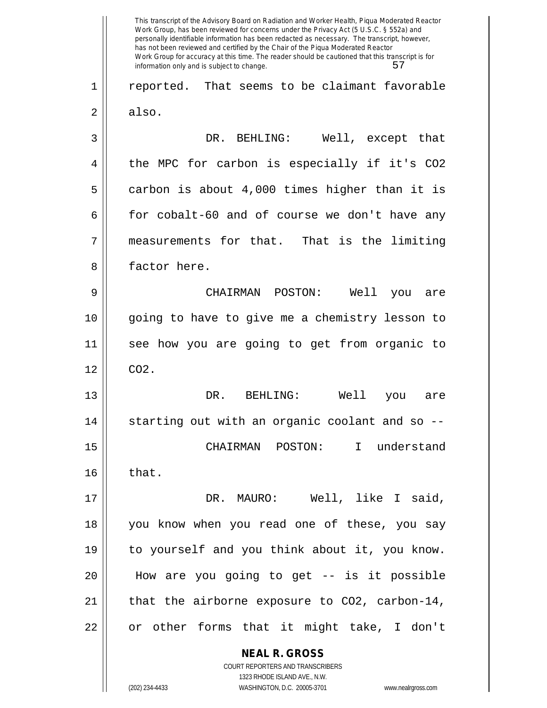**NEAL R. GROSS** COURT REPORTERS AND TRANSCRIBERS This transcript of the Advisory Board on Radiation and Worker Health, Piqua Moderated Reactor Work Group, has been reviewed for concerns under the Privacy Act (5 U.S.C. § 552a) and personally identifiable information has been redacted as necessary. The transcript, however, has not been reviewed and certified by the Chair of the Piqua Moderated Reactor Work Group for accuracy at this time. The reader should be cautioned that this transcript is for information only and is subject to change. 57 1 || reported. That seems to be claimant favorable  $2 \parallel$  also. 3 DR. BEHLING: Well, except that 4 || the MPC for carbon is especially if it's CO2  $5 \parallel$  carbon is about 4,000 times higher than it is  $6 \parallel$  for cobalt-60 and of course we don't have any 7 measurements for that. That is the limiting 8 || factor here. 9 CHAIRMAN POSTON: Well you are 10 || going to have to give me a chemistry lesson to 11 see how you are going to get from organic to  $12 \parallel CO2$ . 13 DR. BEHLING: Well you are  $14$   $\parallel$  starting out with an organic coolant and so --15 CHAIRMAN POSTON: I understand  $16$  | that. 17 DR. MAURO: Well, like I said, 18 you know when you read one of these, you say 19 to yourself and you think about it, you know. 20 How are you going to get -- is it possible 21  $\parallel$  that the airborne exposure to CO2, carbon-14, 22 || or other forms that it might take, I don't

1323 RHODE ISLAND AVE., N.W.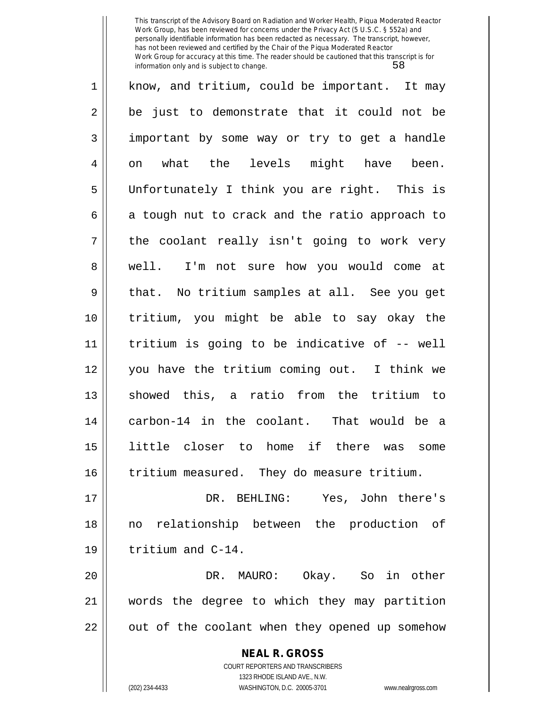| $\mathbf 1$ | know, and tritium, could be important. It may  |
|-------------|------------------------------------------------|
| 2           | be just to demonstrate that it could not be    |
| 3           | important by some way or try to get a handle   |
| 4           | what the levels might have been.<br>on         |
| 5           | Unfortunately I think you are right. This is   |
| 6           | a tough nut to crack and the ratio approach to |
| 7           | the coolant really isn't going to work very    |
| 8           | well. I'm not sure how you would come at       |
| 9           | that. No tritium samples at all. See you get   |
| 10          | tritium, you might be able to say okay the     |
| 11          | tritium is going to be indicative of -- well   |
| 12          | you have the tritium coming out. I think we    |
| 13          | showed this, a ratio from the tritium to       |
| 14          | carbon-14 in the coolant. That would be a      |
| 15          | little closer to home if there was<br>some     |
| 16          | tritium measured. They do measure tritium.     |
| 17          | DR. BEHLING: Yes, John there's                 |
| 18          | no relationship between the production of      |
| 19          | tritium and C-14.                              |
| 20          | DR. MAURO: Okay. So in other                   |
| 21          | words the degree to which they may partition   |
| 22          | out of the coolant when they opened up somehow |

**NEAL R. GROSS** COURT REPORTERS AND TRANSCRIBERS

1323 RHODE ISLAND AVE., N.W.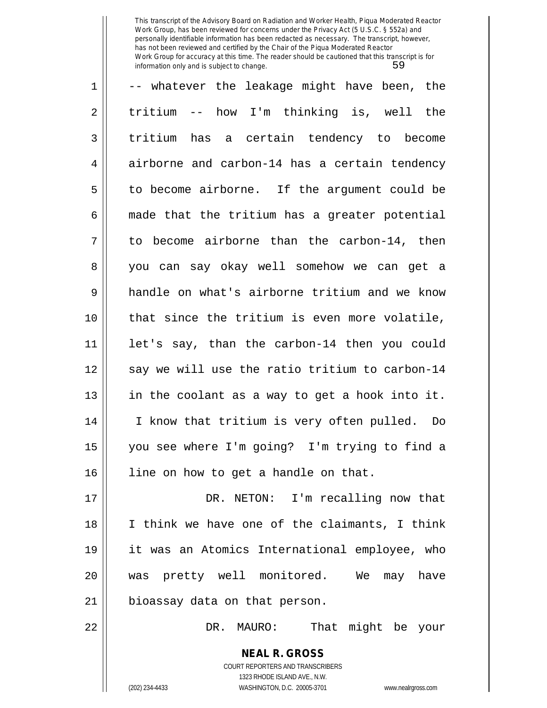| $\mathbf{1}$ | -- whatever the leakage might have been, the   |
|--------------|------------------------------------------------|
| 2            | tritium -- how I'm thinking is, well the       |
| 3            | tritium has a certain tendency to become       |
| 4            | airborne and carbon-14 has a certain tendency  |
| 5            | to become airborne. If the argument could be   |
| 6            | made that the tritium has a greater potential  |
| 7            | to become airborne than the carbon-14, then    |
| 8            | you can say okay well somehow we can get a     |
| 9            | handle on what's airborne tritium and we know  |
| 10           | that since the tritium is even more volatile,  |
| 11           | let's say, than the carbon-14 then you could   |
| 12           | say we will use the ratio tritium to carbon-14 |
| 13           | in the coolant as a way to get a hook into it. |
| 14           | I know that tritium is very often pulled. Do   |
| 15           | you see where I'm going? I'm trying to find a  |
| 16           | line on how to get a handle on that.           |
| 17           | DR. NETON: I'm recalling now that              |
| 18           | I think we have one of the claimants, I think  |
| 19           | it was an Atomics International employee, who  |
| 20           | was pretty well monitored. We may have         |
| 21           | bioassay data on that person.                  |
| 22           | DR. MAURO: That might be your                  |
|              | <b>NEAL R. GROSS</b>                           |

COURT REPORTERS AND TRANSCRIBERS 1323 RHODE ISLAND AVE., N.W.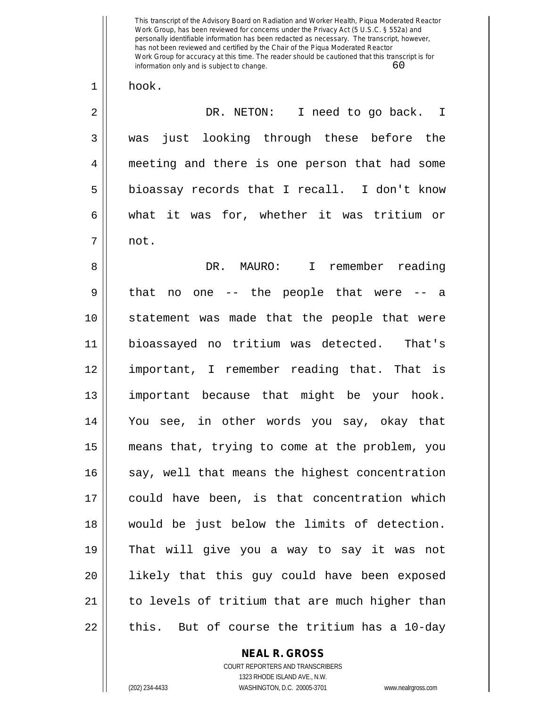1 | hook.

2 DR. NETON: I need to go back. I 3 was just looking through these before the 4 meeting and there is one person that had some  $5 \parallel$  bioassay records that I recall. I don't know 6 what it was for, whether it was tritium or  $7 \parallel$  not.

8 DR. MAURO: I remember reading  $9 \parallel$  that no one -- the people that were -- a 10 statement was made that the people that were 11 bioassayed no tritium was detected. That's 12 important, I remember reading that. That is 13 important because that might be your hook. 14 You see, in other words you say, okay that 15 means that, trying to come at the problem, you 16 say, well that means the highest concentration 17 could have been, is that concentration which 18 would be just below the limits of detection. 19 That will give you a way to say it was not 20 likely that this guy could have been exposed 21 || to levels of tritium that are much higher than  $22$  || this. But of course the tritium has a 10-day

## **NEAL R. GROSS**

COURT REPORTERS AND TRANSCRIBERS 1323 RHODE ISLAND AVE., N.W. (202) 234-4433 WASHINGTON, D.C. 20005-3701 www.nealrgross.com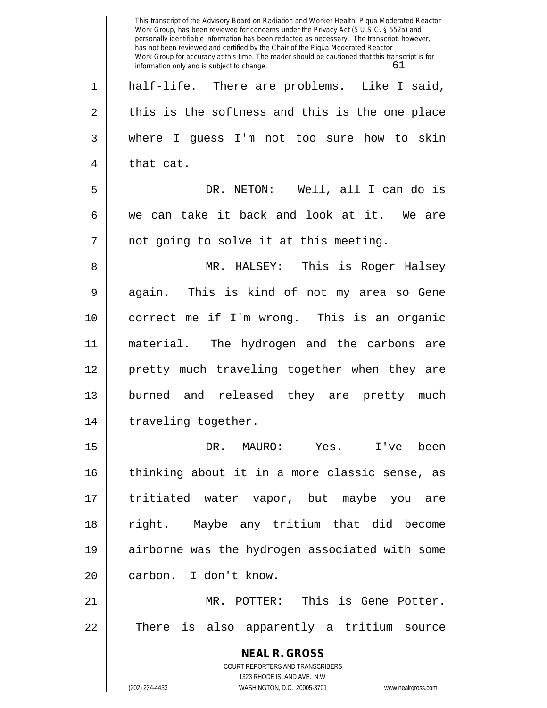|                | This transcript of the Advisory Board on Radiation and Worker Health, Piqua Moderated Reactor<br>Work Group, has been reviewed for concerns under the Privacy Act (5 U.S.C. § 552a) and<br>personally identifiable information has been redacted as necessary. The transcript, however,<br>has not been reviewed and certified by the Chair of the Piqua Moderated Reactor<br>Work Group for accuracy at this time. The reader should be cautioned that this transcript is for<br>61<br>information only and is subject to change. |
|----------------|------------------------------------------------------------------------------------------------------------------------------------------------------------------------------------------------------------------------------------------------------------------------------------------------------------------------------------------------------------------------------------------------------------------------------------------------------------------------------------------------------------------------------------|
| $\mathbf 1$    | half-life. There are problems. Like I said,                                                                                                                                                                                                                                                                                                                                                                                                                                                                                        |
| $\overline{2}$ | this is the softness and this is the one place                                                                                                                                                                                                                                                                                                                                                                                                                                                                                     |
| 3              | where I guess I'm not too sure how to skin                                                                                                                                                                                                                                                                                                                                                                                                                                                                                         |
| 4              | that cat.                                                                                                                                                                                                                                                                                                                                                                                                                                                                                                                          |
| 5              | NETON: Well, all I can do is<br>DR.                                                                                                                                                                                                                                                                                                                                                                                                                                                                                                |
| 6              | we can take it back and look at it. We are                                                                                                                                                                                                                                                                                                                                                                                                                                                                                         |
| 7              | not going to solve it at this meeting.                                                                                                                                                                                                                                                                                                                                                                                                                                                                                             |
| 8              | MR. HALSEY: This is Roger Halsey                                                                                                                                                                                                                                                                                                                                                                                                                                                                                                   |
| 9              | This is kind of not my area so Gene<br>again.                                                                                                                                                                                                                                                                                                                                                                                                                                                                                      |
| 10             | correct me if I'm wrong. This is an organic                                                                                                                                                                                                                                                                                                                                                                                                                                                                                        |
| 11             | The hydrogen and the carbons are<br>material.                                                                                                                                                                                                                                                                                                                                                                                                                                                                                      |
| 12             | pretty much traveling together when they are                                                                                                                                                                                                                                                                                                                                                                                                                                                                                       |
| 13             | burned<br>and released they are pretty<br>much                                                                                                                                                                                                                                                                                                                                                                                                                                                                                     |
| 14             | traveling together.                                                                                                                                                                                                                                                                                                                                                                                                                                                                                                                |
| 15             | DR.<br>MAURO: Yes. I've been                                                                                                                                                                                                                                                                                                                                                                                                                                                                                                       |
| 16             | thinking about it in a more classic sense, as                                                                                                                                                                                                                                                                                                                                                                                                                                                                                      |
| 17             | tritiated water vapor, but maybe you are                                                                                                                                                                                                                                                                                                                                                                                                                                                                                           |
| 18             | right. Maybe any tritium that did become                                                                                                                                                                                                                                                                                                                                                                                                                                                                                           |
| 19             | airborne was the hydrogen associated with some                                                                                                                                                                                                                                                                                                                                                                                                                                                                                     |
| 20             | I don't know.<br>carbon.                                                                                                                                                                                                                                                                                                                                                                                                                                                                                                           |
| 21             | MR. POTTER: This is Gene Potter.                                                                                                                                                                                                                                                                                                                                                                                                                                                                                                   |
| 22             | is also apparently a tritium source<br>There                                                                                                                                                                                                                                                                                                                                                                                                                                                                                       |
|                | <b>NEAL R. GROSS</b>                                                                                                                                                                                                                                                                                                                                                                                                                                                                                                               |
|                | COURT REPORTERS AND TRANSCRIBERS                                                                                                                                                                                                                                                                                                                                                                                                                                                                                                   |
|                | 1323 RHODE ISLAND AVE., N.W.<br>WASHINGTON, D.C. 20005-3701<br>(202) 234-4433<br>www.nealrgross.com                                                                                                                                                                                                                                                                                                                                                                                                                                |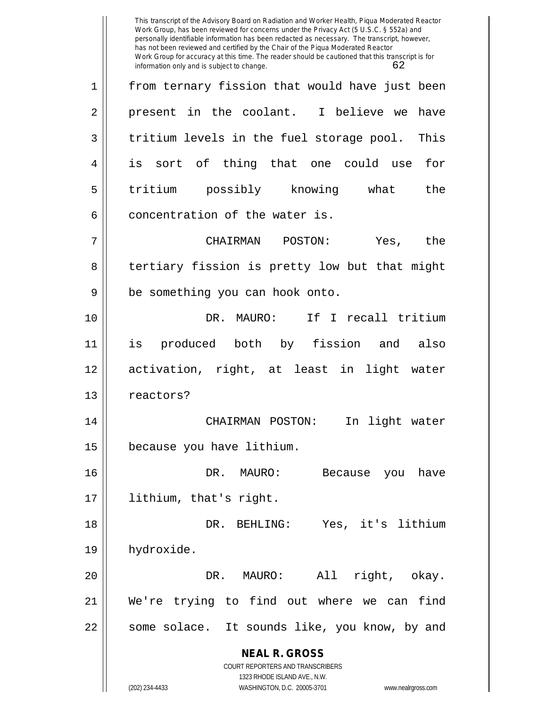**NEAL R. GROSS** COURT REPORTERS AND TRANSCRIBERS 1323 RHODE ISLAND AVE., N.W. (202) 234-4433 WASHINGTON, D.C. 20005-3701 www.nealrgross.com This transcript of the Advisory Board on Radiation and Worker Health, Piqua Moderated Reactor Work Group, has been reviewed for concerns under the Privacy Act (5 U.S.C. § 552a) and personally identifiable information has been redacted as necessary. The transcript, however, has not been reviewed and certified by the Chair of the Piqua Moderated Reactor Work Group for accuracy at this time. The reader should be cautioned that this transcript is for information only and is subject to change. 62 1 from ternary fission that would have just been  $2 \parallel$  present in the coolant. I believe we have  $3 \parallel$  tritium levels in the fuel storage pool. This 4 is sort of thing that one could use for 5 || tritium possibly knowing what the  $6$   $\parallel$  concentration of the water is. 7 CHAIRMAN POSTON: Yes, the 8 || tertiary fission is pretty low but that might  $9 \parallel$  be something you can hook onto. 10 DR. MAURO: If I recall tritium 11 is produced both by fission and also 12 activation, right, at least in light water 13 | reactors? 14 CHAIRMAN POSTON: In light water 15 because you have lithium. 16 DR. MAURO: Because you have 17 lithium, that's right. 18 DR. BEHLING: Yes, it's lithium 19 hydroxide. 20 DR. MAURO: All right, okay. 21 We're trying to find out where we can find 22 || some solace. It sounds like, you know, by and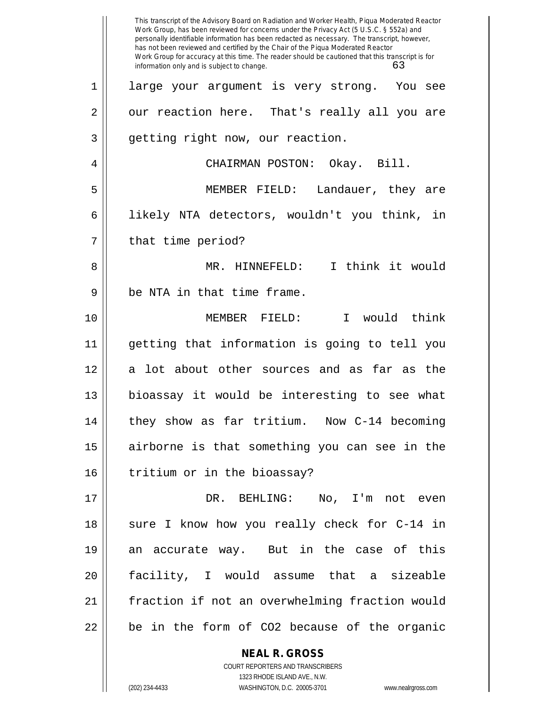|    | This transcript of the Advisory Board on Radiation and Worker Health, Piqua Moderated Reactor<br>Work Group, has been reviewed for concerns under the Privacy Act (5 U.S.C. § 552a) and<br>personally identifiable information has been redacted as necessary. The transcript, however,<br>has not been reviewed and certified by the Chair of the Piqua Moderated Reactor<br>Work Group for accuracy at this time. The reader should be cautioned that this transcript is for<br>63<br>information only and is subject to change. |
|----|------------------------------------------------------------------------------------------------------------------------------------------------------------------------------------------------------------------------------------------------------------------------------------------------------------------------------------------------------------------------------------------------------------------------------------------------------------------------------------------------------------------------------------|
| 1  | large your argument is very strong. You see                                                                                                                                                                                                                                                                                                                                                                                                                                                                                        |
| 2  | our reaction here. That's really all you are                                                                                                                                                                                                                                                                                                                                                                                                                                                                                       |
| 3  | getting right now, our reaction.                                                                                                                                                                                                                                                                                                                                                                                                                                                                                                   |
| 4  | CHAIRMAN POSTON: Okay. Bill.                                                                                                                                                                                                                                                                                                                                                                                                                                                                                                       |
| 5  | MEMBER FIELD: Landauer, they are                                                                                                                                                                                                                                                                                                                                                                                                                                                                                                   |
| 6  | likely NTA detectors, wouldn't you think, in                                                                                                                                                                                                                                                                                                                                                                                                                                                                                       |
| 7  | that time period?                                                                                                                                                                                                                                                                                                                                                                                                                                                                                                                  |
| 8  | I think it would<br>MR. HINNEFELD:                                                                                                                                                                                                                                                                                                                                                                                                                                                                                                 |
| 9  | be NTA in that time frame.                                                                                                                                                                                                                                                                                                                                                                                                                                                                                                         |
| 10 | MEMBER FIELD:<br>I would think                                                                                                                                                                                                                                                                                                                                                                                                                                                                                                     |
| 11 | getting that information is going to tell you                                                                                                                                                                                                                                                                                                                                                                                                                                                                                      |
| 12 | a lot about other sources and as far as the                                                                                                                                                                                                                                                                                                                                                                                                                                                                                        |
| 13 | bioassay it would be interesting to see what                                                                                                                                                                                                                                                                                                                                                                                                                                                                                       |
| 14 | they show as far tritium. Now C-14 becoming                                                                                                                                                                                                                                                                                                                                                                                                                                                                                        |
| 15 | airborne is that something you can see in the                                                                                                                                                                                                                                                                                                                                                                                                                                                                                      |
| 16 | tritium or in the bioassay?                                                                                                                                                                                                                                                                                                                                                                                                                                                                                                        |
| 17 | DR. BEHLING: No, I'm not even                                                                                                                                                                                                                                                                                                                                                                                                                                                                                                      |
| 18 | sure I know how you really check for C-14 in                                                                                                                                                                                                                                                                                                                                                                                                                                                                                       |
| 19 | an accurate way. But in the case of this                                                                                                                                                                                                                                                                                                                                                                                                                                                                                           |
| 20 | facility, I would assume that a sizeable                                                                                                                                                                                                                                                                                                                                                                                                                                                                                           |
| 21 | fraction if not an overwhelming fraction would                                                                                                                                                                                                                                                                                                                                                                                                                                                                                     |
| 22 | be in the form of CO2 because of the organic                                                                                                                                                                                                                                                                                                                                                                                                                                                                                       |
|    | <b>NEAL R. GROSS</b>                                                                                                                                                                                                                                                                                                                                                                                                                                                                                                               |

1323 RHODE ISLAND AVE., N.W. (202) 234-4433 WASHINGTON, D.C. 20005-3701 www.nealrgross.com

 $\mathsf{II}$ 

COURT REPORTERS AND TRANSCRIBERS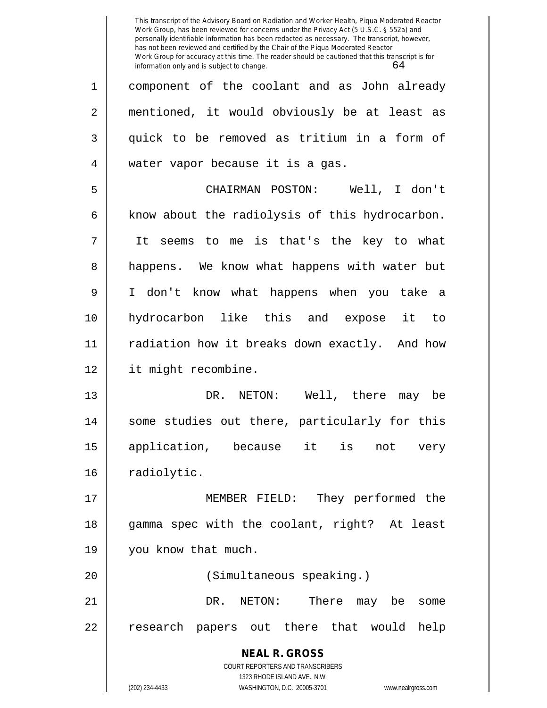**NEAL R. GROSS** COURT REPORTERS AND TRANSCRIBERS 1323 RHODE ISLAND AVE., N.W. (202) 234-4433 WASHINGTON, D.C. 20005-3701 www.nealrgross.com This transcript of the Advisory Board on Radiation and Worker Health, Piqua Moderated Reactor Work Group, has been reviewed for concerns under the Privacy Act (5 U.S.C. § 552a) and personally identifiable information has been redacted as necessary. The transcript, however, has not been reviewed and certified by the Chair of the Piqua Moderated Reactor Work Group for accuracy at this time. The reader should be cautioned that this transcript is for information only and is subject to change.  $64$ 1 component of the coolant and as John already 2 || mentioned, it would obviously be at least as 3 quick to be removed as tritium in a form of 4 water vapor because it is a gas. 5 CHAIRMAN POSTON: Well, I don't  $6 \parallel$  know about the radiolysis of this hydrocarbon. 7 It seems to me is that's the key to what 8 || happens. We know what happens with water but 9 I don't know what happens when you take a 10 hydrocarbon like this and expose it to 11 radiation how it breaks down exactly. And how 12 it might recombine. 13 DR. NETON: Well, there may be 14 || some studies out there, particularly for this 15 application, because it is not very 16 | radiolytic. 17 MEMBER FIELD: They performed the 18 gamma spec with the coolant, right? At least 19 you know that much. 20 (Simultaneous speaking.) 21 DR. NETON: There may be some 22 || research papers out there that would help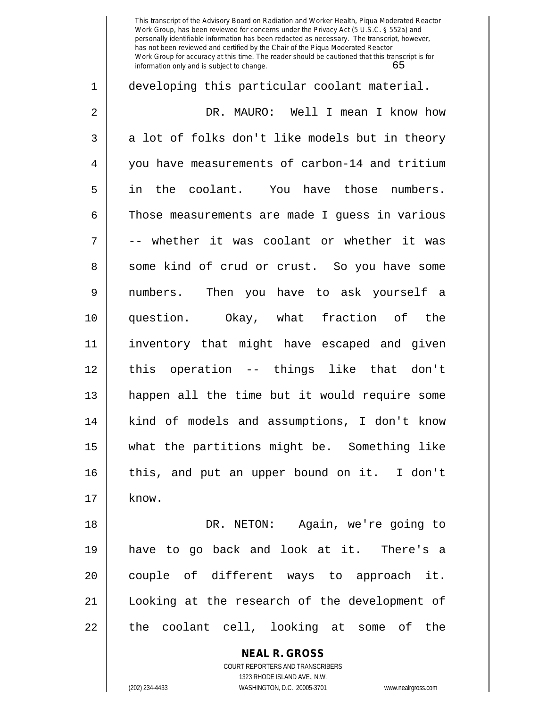1 developing this particular coolant material. 2 DR. MAURO: Well I mean I know how  $3 \parallel$  a lot of folks don't like models but in theory 4 you have measurements of carbon-14 and tritium 5 in the coolant. You have those numbers. 6 | Those measurements are made I quess in various  $7 \parallel$  -- whether it was coolant or whether it was 8 Some kind of crud or crust. So you have some 9 numbers. Then you have to ask yourself a 10 question. Okay, what fraction of the 11 inventory that might have escaped and given 12 this operation -- things like that don't 13 happen all the time but it would require some 14 kind of models and assumptions, I don't know 15 what the partitions might be. Something like 16 || this, and put an upper bound on it. I don't  $17 \parallel$  know. 18 DR. NETON: Again, we're going to 19 have to go back and look at it. There's a  $20$  || couple of different ways to approach it. 21 Looking at the research of the development of

**NEAL R. GROSS**

 $22$  || the coolant cell, looking at some of the

COURT REPORTERS AND TRANSCRIBERS 1323 RHODE ISLAND AVE., N.W.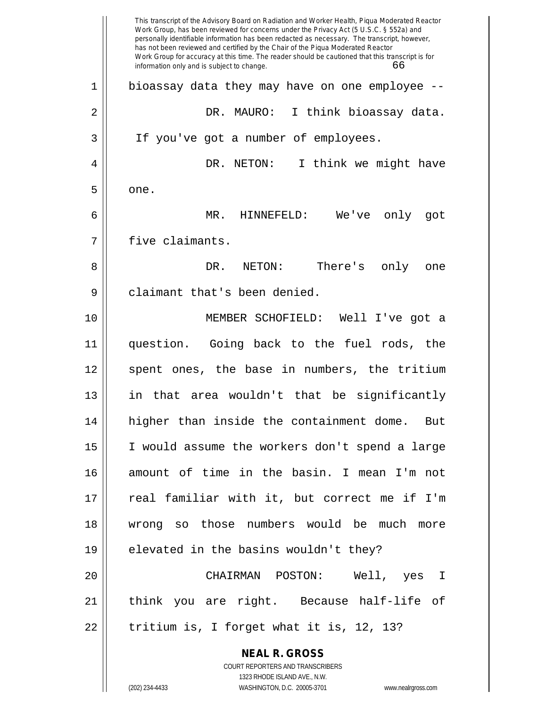|              | This transcript of the Advisory Board on Radiation and Worker Health, Piqua Moderated Reactor<br>Work Group, has been reviewed for concerns under the Privacy Act (5 U.S.C. § 552a) and<br>personally identifiable information has been redacted as necessary. The transcript, however,<br>has not been reviewed and certified by the Chair of the Piqua Moderated Reactor<br>Work Group for accuracy at this time. The reader should be cautioned that this transcript is for<br>information only and is subject to change.<br>66 |
|--------------|------------------------------------------------------------------------------------------------------------------------------------------------------------------------------------------------------------------------------------------------------------------------------------------------------------------------------------------------------------------------------------------------------------------------------------------------------------------------------------------------------------------------------------|
| $\mathbf{1}$ | bioassay data they may have on one employee .                                                                                                                                                                                                                                                                                                                                                                                                                                                                                      |
| 2            | I think bioassay data.<br>DR. MAURO:                                                                                                                                                                                                                                                                                                                                                                                                                                                                                               |
| 3            | If you've got a number of employees.                                                                                                                                                                                                                                                                                                                                                                                                                                                                                               |
| 4            | DR. NETON:<br>I think we might have                                                                                                                                                                                                                                                                                                                                                                                                                                                                                                |
| 5            | one.                                                                                                                                                                                                                                                                                                                                                                                                                                                                                                                               |
| 6            | MR.<br>We've<br>HINNEFELD:<br>only<br>qot                                                                                                                                                                                                                                                                                                                                                                                                                                                                                          |
| 7            | five claimants.                                                                                                                                                                                                                                                                                                                                                                                                                                                                                                                    |
| 8            | DR.<br>NETON:<br>There's<br>only<br>one                                                                                                                                                                                                                                                                                                                                                                                                                                                                                            |
| 9            | claimant that's been denied.                                                                                                                                                                                                                                                                                                                                                                                                                                                                                                       |
| 10           | MEMBER SCHOFIELD: Well I've got a                                                                                                                                                                                                                                                                                                                                                                                                                                                                                                  |
| 11           | question. Going back to the fuel rods, the                                                                                                                                                                                                                                                                                                                                                                                                                                                                                         |
| 12           | spent ones, the base in numbers, the tritium                                                                                                                                                                                                                                                                                                                                                                                                                                                                                       |
| 13           | in that area wouldn't that be significantly                                                                                                                                                                                                                                                                                                                                                                                                                                                                                        |
| 14           | higher than inside the containment dome. But                                                                                                                                                                                                                                                                                                                                                                                                                                                                                       |
| 15           | I would assume the workers don't spend a large                                                                                                                                                                                                                                                                                                                                                                                                                                                                                     |
| 16           | amount of time in the basin. I mean I'm not                                                                                                                                                                                                                                                                                                                                                                                                                                                                                        |
| 17           | real familiar with it, but correct me if I'm                                                                                                                                                                                                                                                                                                                                                                                                                                                                                       |
| 18           | wrong so those numbers would be much more                                                                                                                                                                                                                                                                                                                                                                                                                                                                                          |
| 19           | elevated in the basins wouldn't they?                                                                                                                                                                                                                                                                                                                                                                                                                                                                                              |
| 20           | CHAIRMAN POSTON: Well, yes I                                                                                                                                                                                                                                                                                                                                                                                                                                                                                                       |
| 21           | think you are right. Because half-life of                                                                                                                                                                                                                                                                                                                                                                                                                                                                                          |
| 22           | tritium is, I forget what it is, 12, 13?                                                                                                                                                                                                                                                                                                                                                                                                                                                                                           |
|              | <b>NEAL R. GROSS</b>                                                                                                                                                                                                                                                                                                                                                                                                                                                                                                               |
|              | COURT REPORTERS AND TRANSCRIBERS<br>1323 RHODE ISLAND AVE., N.W.                                                                                                                                                                                                                                                                                                                                                                                                                                                                   |
|              | (202) 234-4433<br>WASHINGTON, D.C. 20005-3701<br>www.nealrgross.com                                                                                                                                                                                                                                                                                                                                                                                                                                                                |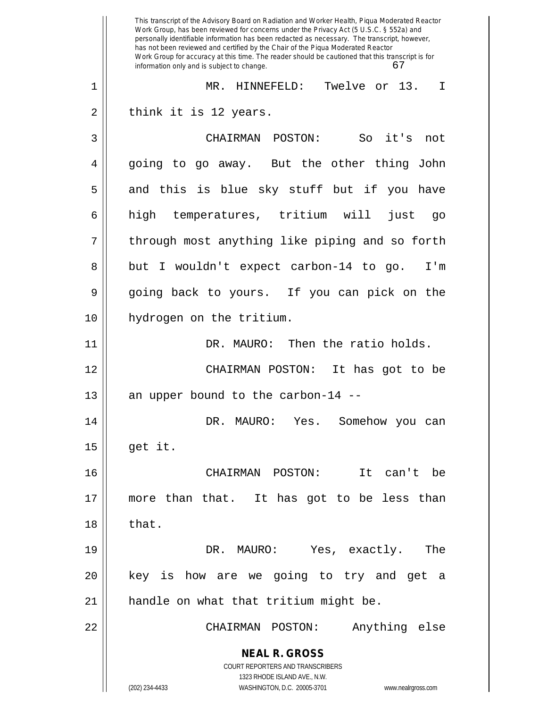**NEAL R. GROSS** COURT REPORTERS AND TRANSCRIBERS 1323 RHODE ISLAND AVE., N.W. (202) 234-4433 WASHINGTON, D.C. 20005-3701 www.nealrgross.com This transcript of the Advisory Board on Radiation and Worker Health, Piqua Moderated Reactor Work Group, has been reviewed for concerns under the Privacy Act (5 U.S.C. § 552a) and personally identifiable information has been redacted as necessary. The transcript, however, has not been reviewed and certified by the Chair of the Piqua Moderated Reactor Work Group for accuracy at this time. The reader should be cautioned that this transcript is for information only and is subject to change. 67 1 MR. HINNEFELD: Twelve or 13. I  $2 \parallel$  think it is 12 years. 3 CHAIRMAN POSTON: So it's not 4 going to go away. But the other thing John  $5 \parallel$  and this is blue sky stuff but if you have 6 high temperatures, tritium will just go  $7 ||$  through most anything like piping and so forth 8 || but I wouldn't expect carbon-14 to go. I'm 9 going back to yours. If you can pick on the 10 hydrogen on the tritium. 11 | DR. MAURO: Then the ratio holds. 12 CHAIRMAN POSTON: It has got to be 13 || an upper bound to the carbon-14 --14 DR. MAURO: Yes. Somehow you can  $15$  | get it. 16 CHAIRMAN POSTON: It can't be 17 more than that. It has got to be less than  $18 \parallel$  that. 19 DR. MAURO: Yes, exactly. The 20 || key is how are we going to try and get a 21 || handle on what that tritium might be. 22 CHAIRMAN POSTON: Anything else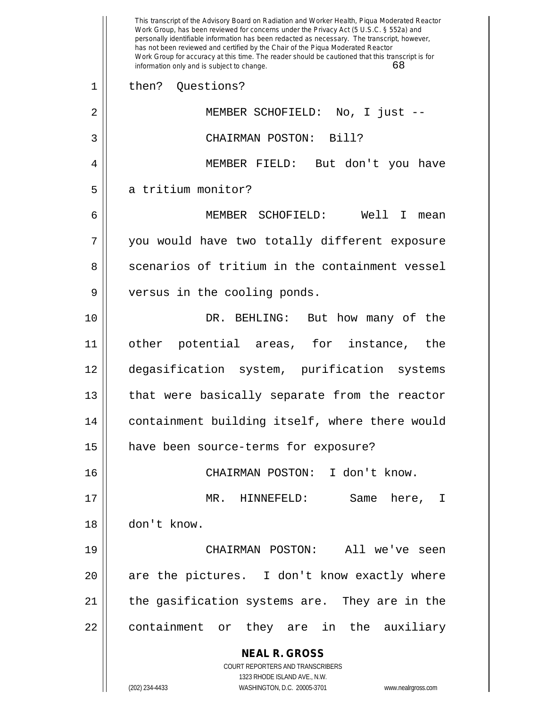**NEAL R. GROSS** COURT REPORTERS AND TRANSCRIBERS 1323 RHODE ISLAND AVE., N.W. (202) 234-4433 WASHINGTON, D.C. 20005-3701 www.nealrgross.com This transcript of the Advisory Board on Radiation and Worker Health, Piqua Moderated Reactor Work Group, has been reviewed for concerns under the Privacy Act (5 U.S.C. § 552a) and personally identifiable information has been redacted as necessary. The transcript, however, has not been reviewed and certified by the Chair of the Piqua Moderated Reactor Work Group for accuracy at this time. The reader should be cautioned that this transcript is for information only and is subject to change. 68 1 || then? Ouestions? 2 MEMBER SCHOFIELD: No, I just -- 3 CHAIRMAN POSTON: Bill? 4 MEMBER FIELD: But don't you have 5 | a tritium monitor? 6 MEMBER SCHOFIELD: Well I mean 7 || you would have two totally different exposure 8 Scenarios of tritium in the containment vessel 9 || versus in the cooling ponds. 10 DR. BEHLING: But how many of the 11 other potential areas, for instance, the 12 degasification system, purification systems 13 || that were basically separate from the reactor 14 containment building itself, where there would 15 | have been source-terms for exposure? 16 CHAIRMAN POSTON: I don't know. 17 MR. HINNEFELD: Same here, I 18 don't know. 19 CHAIRMAN POSTON: All we've seen  $20$  || are the pictures. I don't know exactly where 21 || the gasification systems are. They are in the 22 || containment or they are in the auxiliary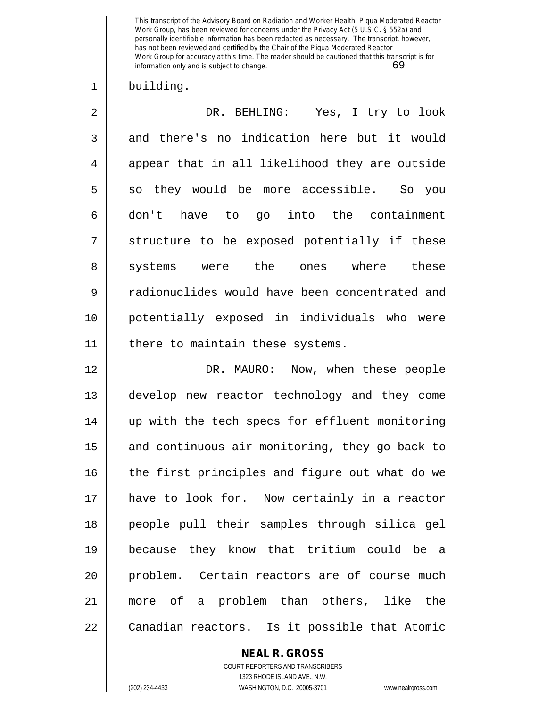## 1 building.

2 DR. BEHLING: Yes, I try to look 3 and there's no indication here but it would 4 || appear that in all likelihood they are outside  $5 \parallel$  so they would be more accessible. So you  $6 \parallel$  don't have to go into the containment  $7 \parallel$  structure to be exposed potentially if these 8 || systems were the ones where these 9 || radionuclides would have been concentrated and 10 potentially exposed in individuals who were 11 || there to maintain these systems.

12 DR. MAURO: Now, when these people 13 develop new reactor technology and they come 14 up with the tech specs for effluent monitoring 15 || and continuous air monitoring, they go back to  $16$  | the first principles and figure out what do we 17 have to look for. Now certainly in a reactor 18 people pull their samples through silica gel 19 because they know that tritium could be a 20 || problem. Certain reactors are of course much 21 more of a problem than others, like the 22 || Canadian reactors. Is it possible that Atomic

## **NEAL R. GROSS**

COURT REPORTERS AND TRANSCRIBERS 1323 RHODE ISLAND AVE., N.W. (202) 234-4433 WASHINGTON, D.C. 20005-3701 www.nealrgross.com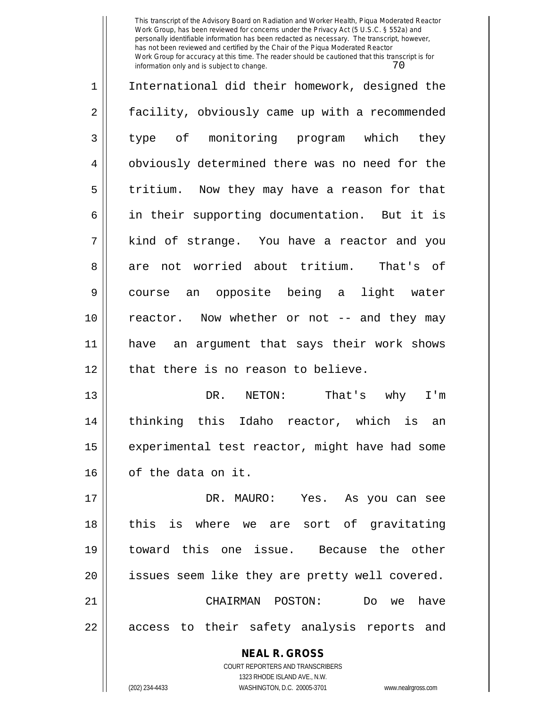1 || International did their homework, designed the 2 | facility, obviously came up with a recommended 3 type of monitoring program which they 4 || obviously determined there was no need for the 5 || tritium. Now they may have a reason for that 6 || in their supporting documentation. But it is 7 kind of strange. You have a reactor and you 8 are not worried about tritium. That's of 9 course an opposite being a light water 10 || reactor. Now whether or not -- and they may 11 have an argument that says their work shows 12 || that there is no reason to believe. 13 DR. NETON: That's why I'm 14 thinking this Idaho reactor, which is an  $15$  | experimental test reactor, might have had some 16 | of the data on it. 17 DR. MAURO: Yes. As you can see 18 || this is where we are sort of gravitating 19 toward this one issue. Because the other

21 CHAIRMAN POSTON: Do we have 22 || access to their safety analysis reports and

20 || issues seem like they are pretty well covered.

COURT REPORTERS AND TRANSCRIBERS 1323 RHODE ISLAND AVE., N.W. (202) 234-4433 WASHINGTON, D.C. 20005-3701 www.nealrgross.com

**NEAL R. GROSS**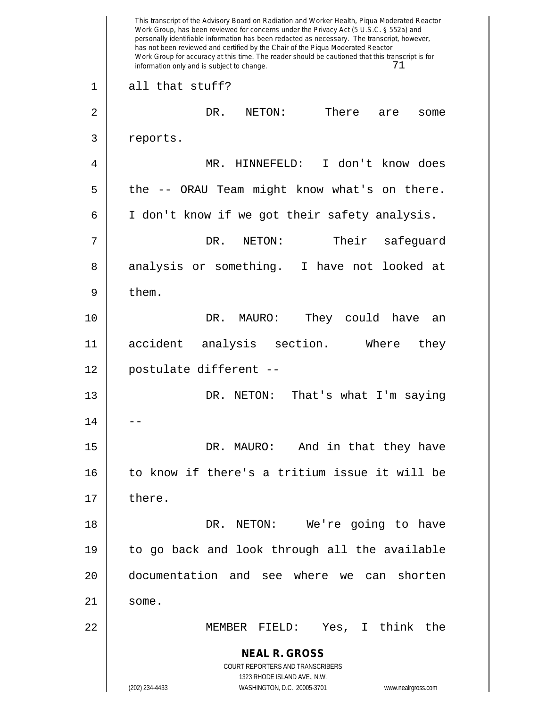**NEAL R. GROSS** COURT REPORTERS AND TRANSCRIBERS 1323 RHODE ISLAND AVE., N.W. (202) 234-4433 WASHINGTON, D.C. 20005-3701 www.nealrgross.com This transcript of the Advisory Board on Radiation and Worker Health, Piqua Moderated Reactor Work Group, has been reviewed for concerns under the Privacy Act (5 U.S.C. § 552a) and personally identifiable information has been redacted as necessary. The transcript, however, has not been reviewed and certified by the Chair of the Piqua Moderated Reactor Work Group for accuracy at this time. The reader should be cautioned that this transcript is for information only and is subject to change.  $71$ 1 all that stuff? 2 DR. NETON: There are some 3 | reports. 4 MR. HINNEFELD: I don't know does 5 || the -- ORAU Team might know what's on there. 6 | I don't know if we got their safety analysis. 7 DR. NETON: Their safeguard 8 analysis or something. I have not looked at  $9 \parallel$  them. 10 DR. MAURO: They could have an 11 accident analysis section. Where they 12 postulate different -- 13 DR. NETON: That's what I'm saying  $14$ 15 DR. MAURO: And in that they have 16 to know if there's a tritium issue it will be  $17 \parallel$  there. 18 DR. NETON: We're going to have 19 to go back and look through all the available 20 documentation and see where we can shorten  $21 \parallel$  some. 22 MEMBER FIELD: Yes, I think the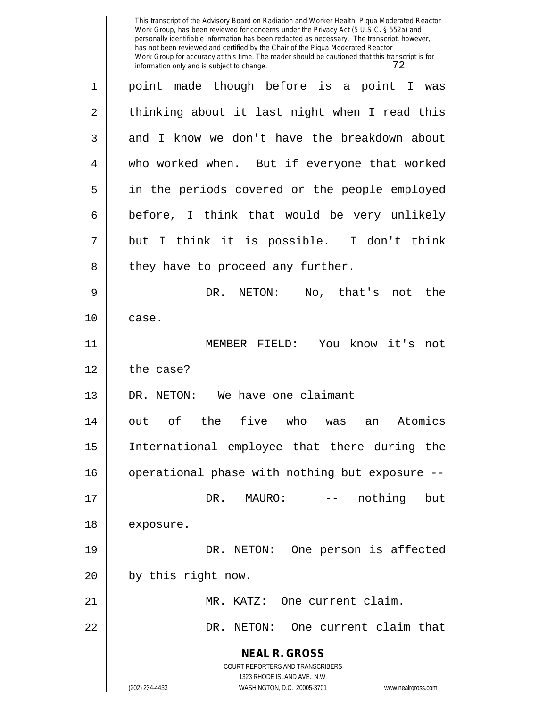**NEAL R. GROSS** COURT REPORTERS AND TRANSCRIBERS 1323 RHODE ISLAND AVE., N.W. (202) 234-4433 WASHINGTON, D.C. 20005-3701 www.nealrgross.com 1 point made though before is a point I was  $2 \parallel$  thinking about it last night when I read this 3 and I know we don't have the breakdown about 4 who worked when. But if everyone that worked 5 in the periods covered or the people employed  $6 \parallel$  before, I think that would be very unlikely  $7 \parallel$  but I think it is possible. I don't think  $8 \parallel$  they have to proceed any further. 9 DR. NETON: No, that's not the  $10 \parallel$  case. 11 MEMBER FIELD: You know it's not  $12 \parallel$  the case? 13 DR. NETON: We have one claimant 14 out of the five who was an Atomics 15 International employee that there during the 16 | operational phase with nothing but exposure --17 DR. MAURO: -- nothing but 18 exposure. 19 DR. NETON: One person is affected  $20$  || by this right now. 21 MR. KATZ: One current claim. 22 DR. NETON: One current claim that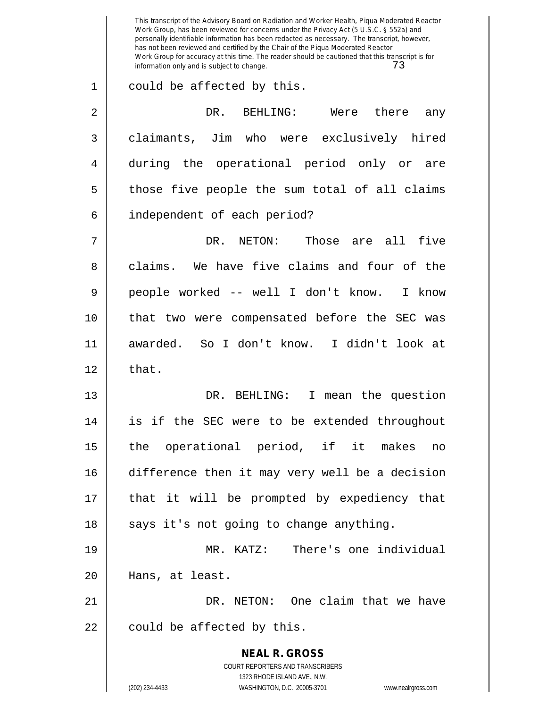**NEAL R. GROSS** COURT REPORTERS AND TRANSCRIBERS 1323 RHODE ISLAND AVE., N.W. (202) 234-4433 WASHINGTON, D.C. 20005-3701 www.nealrgross.com This transcript of the Advisory Board on Radiation and Worker Health, Piqua Moderated Reactor Work Group, has been reviewed for concerns under the Privacy Act (5 U.S.C. § 552a) and personally identifiable information has been redacted as necessary. The transcript, however, has not been reviewed and certified by the Chair of the Piqua Moderated Reactor Work Group for accuracy at this time. The reader should be cautioned that this transcript is for information only and is subject to change. 73 1 || could be affected by this. 2 DR. BEHLING: Were there any 3 | claimants, Jim who were exclusively hired 4 during the operational period only or are  $5 \parallel$  those five people the sum total of all claims 6 | independent of each period? 7 DR. NETON: Those are all five 8 claims. We have five claims and four of the 9 people worked -- well I don't know. I know 10 that two were compensated before the SEC was 11 awarded. So I don't know. I didn't look at  $12 \parallel$  that. 13 DR. BEHLING: I mean the question 14 is if the SEC were to be extended throughout 15 the operational period, if it makes no 16 difference then it may very well be a decision 17 that it will be prompted by expediency that  $18$  || says it's not going to change anything. 19 MR. KATZ: There's one individual 20 Hans, at least. 21 DR. NETON: One claim that we have  $22$  | could be affected by this.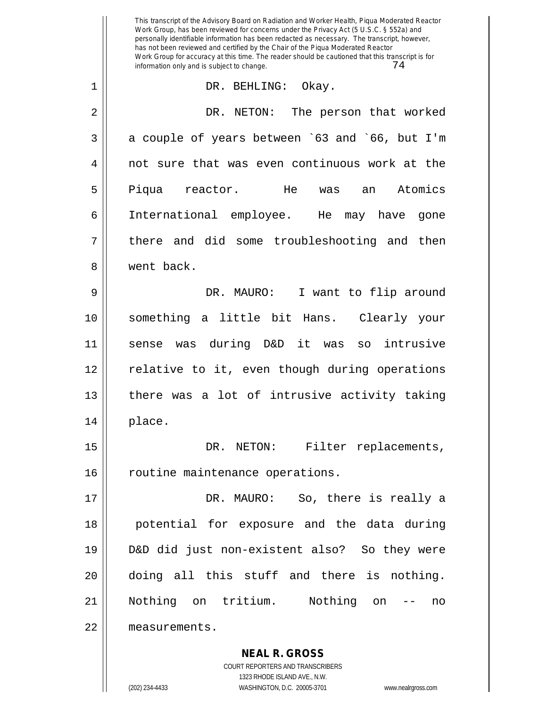**NEAL R. GROSS** This transcript of the Advisory Board on Radiation and Worker Health, Piqua Moderated Reactor Work Group, has been reviewed for concerns under the Privacy Act (5 U.S.C. § 552a) and personally identifiable information has been redacted as necessary. The transcript, however, has not been reviewed and certified by the Chair of the Piqua Moderated Reactor Work Group for accuracy at this time. The reader should be cautioned that this transcript is for information only and is subject to change.  $74$ 1 DR. BEHLING: Okay. 2 DR. NETON: The person that worked  $3 \parallel$  a couple of years between `63 and `66, but I'm 4 || not sure that was even continuous work at the 5 Piqua reactor. He was an Atomics 6 International employee. He may have gone  $7 \parallel$  there and did some troubleshooting and then 8 went back. 9 DR. MAURO: I want to flip around 10 something a little bit Hans. Clearly your 11 sense was during D&D it was so intrusive 12 || relative to it, even though during operations  $13$  | there was a lot of intrusive activity taking  $14 \parallel$  place. 15 || DR. NETON: Filter replacements, 16 | routine maintenance operations. 17 DR. MAURO: So, there is really a 18 || potential for exposure and the data during 19 D&D did just non-existent also? So they were 20 doing all this stuff and there is nothing. 21 Nothing on tritium. Nothing on -- no 22 measurements.

> COURT REPORTERS AND TRANSCRIBERS 1323 RHODE ISLAND AVE., N.W.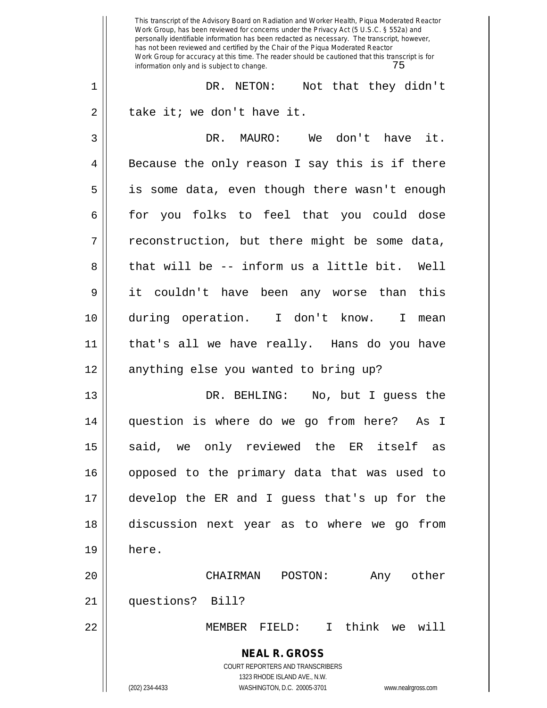**NEAL R. GROSS** COURT REPORTERS AND TRANSCRIBERS 1323 RHODE ISLAND AVE., N.W. (202) 234-4433 WASHINGTON, D.C. 20005-3701 www.nealrgross.com This transcript of the Advisory Board on Radiation and Worker Health, Piqua Moderated Reactor Work Group, has been reviewed for concerns under the Privacy Act (5 U.S.C. § 552a) and personally identifiable information has been redacted as necessary. The transcript, however, has not been reviewed and certified by the Chair of the Piqua Moderated Reactor Work Group for accuracy at this time. The reader should be cautioned that this transcript is for information only and is subject to change. 75 1 DR. NETON: Not that they didn't  $2 \parallel$  take it; we don't have it. 3 DR. MAURO: We don't have it.  $4 \parallel$  Because the only reason I say this is if there 5 is some data, even though there wasn't enough 6 for you folks to feel that you could dose  $7 \parallel$  reconstruction, but there might be some data,  $8 \parallel$  that will be -- inform us a little bit. Well 9 it couldn't have been any worse than this 10 during operation. I don't know. I mean 11 that's all we have really. Hans do you have 12 || anything else you wanted to bring up? 13 DR. BEHLING: No, but I guess the 14 question is where do we go from here? As I 15 || said, we only reviewed the ER itself as 16 opposed to the primary data that was used to 17 develop the ER and I guess that's up for the 18 discussion next year as to where we go from 19 here. 20 CHAIRMAN POSTON: Any other 21 questions? Bill? 22 MEMBER FIELD: I think we will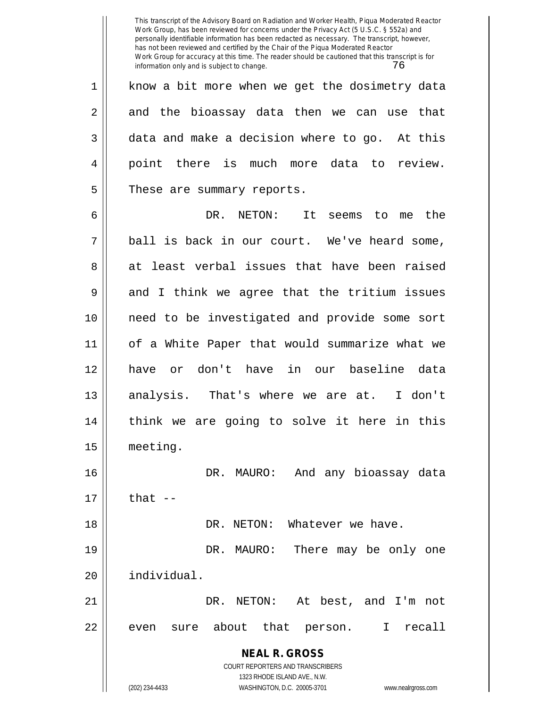**NEAL R. GROSS** COURT REPORTERS AND TRANSCRIBERS 1323 RHODE ISLAND AVE., N.W. (202) 234-4433 WASHINGTON, D.C. 20005-3701 www.nealrgross.com This transcript of the Advisory Board on Radiation and Worker Health, Piqua Moderated Reactor Work Group, has been reviewed for concerns under the Privacy Act (5 U.S.C. § 552a) and personally identifiable information has been redacted as necessary. The transcript, however, has not been reviewed and certified by the Chair of the Piqua Moderated Reactor Work Group for accuracy at this time. The reader should be cautioned that this transcript is for information only and is subject to change. 76 1 || know a bit more when we get the dosimetry data  $2 \parallel$  and the bioassay data then we can use that  $3 \parallel$  data and make a decision where to go. At this 4 point there is much more data to review. 5 | These are summary reports. 6 DR. NETON: It seems to me the  $7 \parallel$  ball is back in our court. We've heard some, 8 at least verbal issues that have been raised  $9 \parallel$  and I think we agree that the tritium issues 10 need to be investigated and provide some sort 11 of a White Paper that would summarize what we 12 have or don't have in our baseline data 13 || analysis. That's where we are at. I don't 14 || think we are going to solve it here in this 15 meeting. 16 DR. MAURO: And any bioassay data  $17$   $||$  that  $-$ 18 DR. NETON: Whatever we have. 19 DR. MAURO: There may be only one 20 individual. 21 DR. NETON: At best, and I'm not  $22 \parallel$  even sure about that person. I recall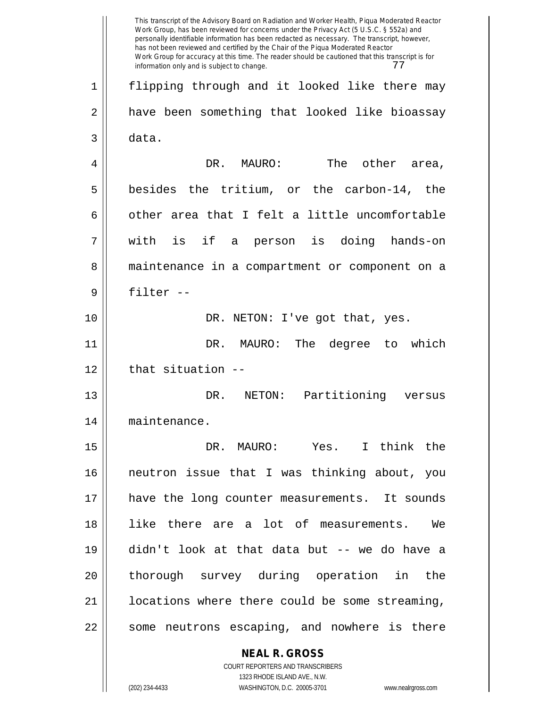**NEAL R. GROSS** COURT REPORTERS AND TRANSCRIBERS This transcript of the Advisory Board on Radiation and Worker Health, Piqua Moderated Reactor Work Group, has been reviewed for concerns under the Privacy Act (5 U.S.C. § 552a) and personally identifiable information has been redacted as necessary. The transcript, however, has not been reviewed and certified by the Chair of the Piqua Moderated Reactor Work Group for accuracy at this time. The reader should be cautioned that this transcript is for information only and is subject to change.  $77$ 1 flipping through and it looked like there may 2 || have been something that looked like bioassay  $3 \parallel$  data. 4 DR. MAURO: The other area,  $5$  besides the tritium, or the carbon-14, the 6  $\parallel$  other area that I felt a little uncomfortable 7 with is if a person is doing hands-on 8 || maintenance in a compartment or component on a 9 filter -- 10 || DR. NETON: I've got that, yes. 11 DR. MAURO: The degree to which  $12$  || that situation  $-$ 13 DR. NETON: Partitioning versus 14 maintenance. 15 DR. MAURO: Yes. I think the 16 neutron issue that I was thinking about, you 17 || have the long counter measurements. It sounds 18 like there are a lot of measurements. We 19 didn't look at that data but -- we do have a 20 || thorough survey during operation in the 21 | locations where there could be some streaming, 22 || some neutrons escaping, and nowhere is there

1323 RHODE ISLAND AVE., N.W.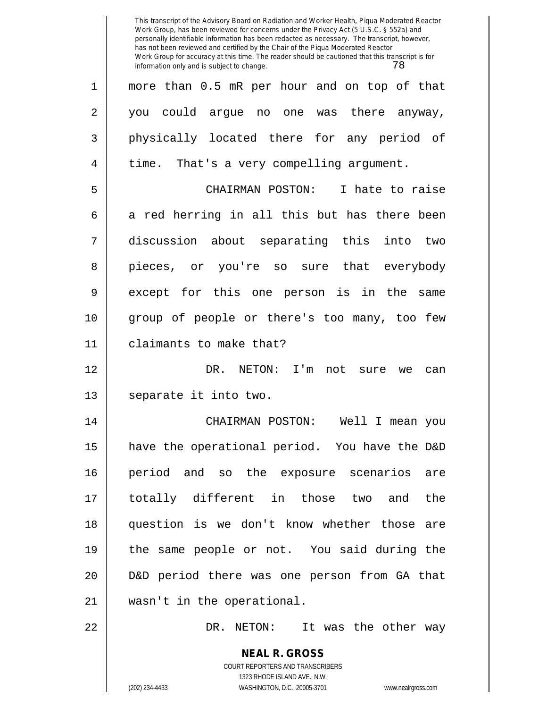|             | This transcript of the Advisory Board on Radiation and Worker Health, Piqua Moderated Reactor<br>Work Group, has been reviewed for concerns under the Privacy Act (5 U.S.C. § 552a) and<br>personally identifiable information has been redacted as necessary. The transcript, however,<br>has not been reviewed and certified by the Chair of the Piqua Moderated Reactor<br>Work Group for accuracy at this time. The reader should be cautioned that this transcript is for<br>78<br>information only and is subject to change. |
|-------------|------------------------------------------------------------------------------------------------------------------------------------------------------------------------------------------------------------------------------------------------------------------------------------------------------------------------------------------------------------------------------------------------------------------------------------------------------------------------------------------------------------------------------------|
| $\mathbf 1$ | more than 0.5 mR per hour and on top of that                                                                                                                                                                                                                                                                                                                                                                                                                                                                                       |
| 2           | could argue<br>there anyway,<br>one<br>you<br>no<br>was                                                                                                                                                                                                                                                                                                                                                                                                                                                                            |
| 3           | physically located there for any period of                                                                                                                                                                                                                                                                                                                                                                                                                                                                                         |
| 4           | time. That's a very compelling argument.                                                                                                                                                                                                                                                                                                                                                                                                                                                                                           |
| 5           | I hate to raise<br>CHAIRMAN POSTON:                                                                                                                                                                                                                                                                                                                                                                                                                                                                                                |
| 6           | a red herring in all this but has there been                                                                                                                                                                                                                                                                                                                                                                                                                                                                                       |
| 7           | discussion about separating this into<br>two                                                                                                                                                                                                                                                                                                                                                                                                                                                                                       |
| 8           | or you're so sure that everybody<br>pieces,                                                                                                                                                                                                                                                                                                                                                                                                                                                                                        |
| 9           | for this one person is in<br>except<br>the<br>same                                                                                                                                                                                                                                                                                                                                                                                                                                                                                 |
| 10          | group of people or there's too many, too few                                                                                                                                                                                                                                                                                                                                                                                                                                                                                       |
| 11          | claimants to make that?                                                                                                                                                                                                                                                                                                                                                                                                                                                                                                            |
| 12          | DR.<br>NETON:<br>I'm<br>not<br>sure<br>we<br>can                                                                                                                                                                                                                                                                                                                                                                                                                                                                                   |
| 13          | separate it into two.                                                                                                                                                                                                                                                                                                                                                                                                                                                                                                              |
| 14          | CHAIRMAN POSTON: Well I mean you                                                                                                                                                                                                                                                                                                                                                                                                                                                                                                   |
| 15          | have the operational period. You have the D&D                                                                                                                                                                                                                                                                                                                                                                                                                                                                                      |
| 16          | period and so the exposure scenarios are                                                                                                                                                                                                                                                                                                                                                                                                                                                                                           |
| 17          | totally different in those two and<br>the                                                                                                                                                                                                                                                                                                                                                                                                                                                                                          |
| 18          | question is we don't know whether those are                                                                                                                                                                                                                                                                                                                                                                                                                                                                                        |
| 19          | the same people or not. You said during the                                                                                                                                                                                                                                                                                                                                                                                                                                                                                        |
| 20          | D&D period there was one person from GA that                                                                                                                                                                                                                                                                                                                                                                                                                                                                                       |
| 21          | wasn't in the operational.                                                                                                                                                                                                                                                                                                                                                                                                                                                                                                         |
| 22          | DR. NETON: It was the other way                                                                                                                                                                                                                                                                                                                                                                                                                                                                                                    |
|             | <b>NEAL R. GROSS</b><br>COURT REPORTERS AND TRANSCRIBERS<br>1323 RHODE ISLAND AVE., N.W.<br>(202) 234-4433<br>WASHINGTON, D.C. 20005-3701<br>www.nealrgross.com                                                                                                                                                                                                                                                                                                                                                                    |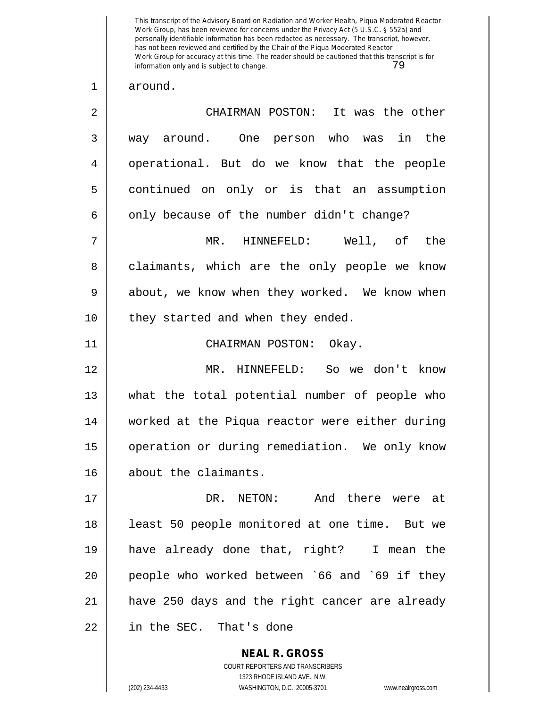This transcript of the Advisory Board on Radiation and Worker Health, Piqua Moderated Reactor Work Group, has been reviewed for concerns under the Privacy Act (5 U.S.C. § 552a) and personally identifiable information has been redacted as necessary. The transcript, however, has not been reviewed and certified by the Chair of the Piqua Moderated Reactor Work Group for accuracy at this time. The reader should be cautioned that this transcript is for information only and is subject to change. information only and is subject to change.

## 1 around.

| 2  | CHAIRMAN POSTON: It was the other              |
|----|------------------------------------------------|
| 3  | way around. One person who was in the          |
| 4  | operational. But do we know that the people    |
| 5  | continued on only or is that an assumption     |
| 6  | only because of the number didn't change?      |
| 7  | MR. HINNEFELD: Well, of the                    |
| 8  | claimants, which are the only people we know   |
| 9  | about, we know when they worked. We know when  |
| 10 | they started and when they ended.              |
| 11 | CHAIRMAN POSTON: Okay.                         |
| 12 | MR. HINNEFELD: So we don't know                |
| 13 | what the total potential number of people who  |
| 14 | worked at the Piqua reactor were either during |
| 15 | operation or during remediation. We only know  |
| 16 | about the claimants.                           |
| 17 | DR. NETON:<br>And there were at                |
| 18 | least 50 people monitored at one time. But we  |
| 19 | have already done that, right? I mean the      |
| 20 | people who worked between `66 and `69 if they  |
| 21 | have 250 days and the right cancer are already |
| 22 | in the SEC. That's done                        |
|    |                                                |

1323 RHODE ISLAND AVE., N.W. (202) 234-4433 WASHINGTON, D.C. 20005-3701 www.nealrgross.com

**NEAL R. GROSS** COURT REPORTERS AND TRANSCRIBERS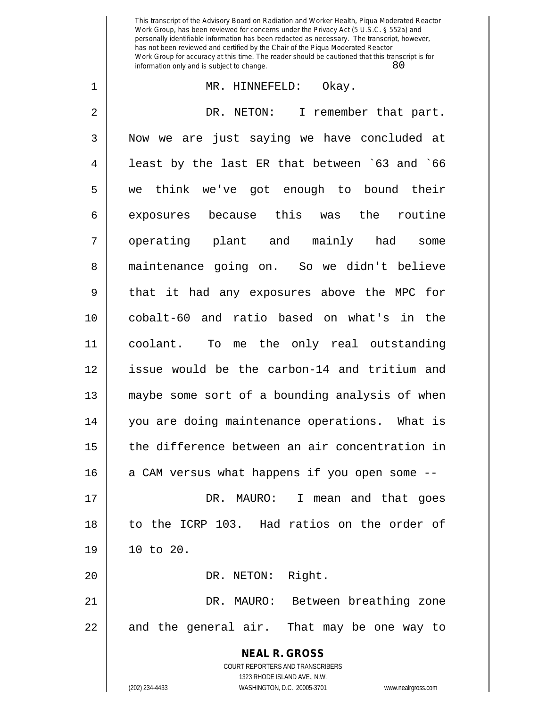This transcript of the Advisory Board on Radiation and Worker Health, Piqua Moderated Reactor Work Group, has been reviewed for concerns under the Privacy Act (5 U.S.C. § 552a) and personally identifiable information has been redacted as necessary. The transcript, however, has not been reviewed and certified by the Chair of the Piqua Moderated Reactor Work Group for accuracy at this time. The reader should be cautioned that this transcript is for information only and is subject to change. 80

## 1 MR. HINNEFELD: Okay.

**NEAL R. GROSS** COURT REPORTERS AND TRANSCRIBERS 1323 RHODE ISLAND AVE., N.W. 2 DR. NETON: I remember that part. 3 Now we are just saying we have concluded at  $4 \parallel$  least by the last ER that between `63 and `66 5 we think we've got enough to bound their 6 exposures because this was the routine 7 || operating plant and mainly had some 8 | maintenance going on. So we didn't believe 9 || that it had any exposures above the MPC for 10 cobalt-60 and ratio based on what's in the 11 coolant. To me the only real outstanding 12 issue would be the carbon-14 and tritium and 13 maybe some sort of a bounding analysis of when 14 you are doing maintenance operations. What is 15 the difference between an air concentration in  $16$  a CAM versus what happens if you open some  $-$ -17 DR. MAURO: I mean and that goes 18 to the ICRP 103. Had ratios on the order of 19 10 to 20. 20 || DR. NETON: Right. 21 DR. MAURO: Between breathing zone  $22$  || and the general air. That may be one way to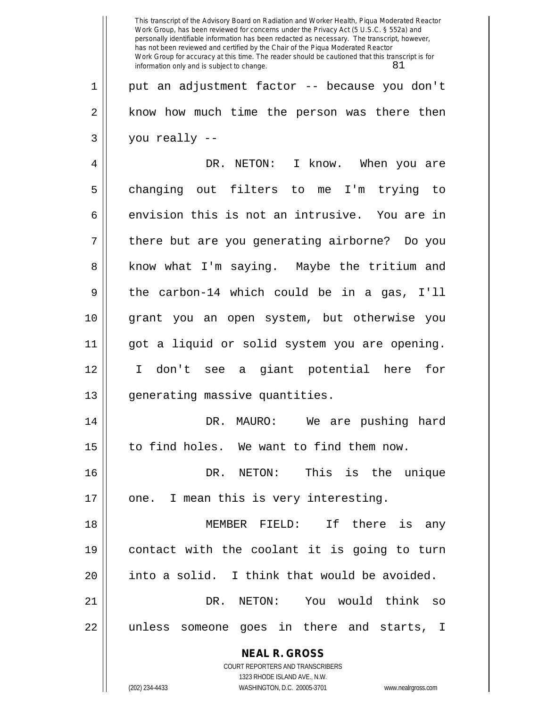**NEAL R. GROSS** COURT REPORTERS AND TRANSCRIBERS 1323 RHODE ISLAND AVE., N.W. (202) 234-4433 WASHINGTON, D.C. 20005-3701 www.nealrgross.com This transcript of the Advisory Board on Radiation and Worker Health, Piqua Moderated Reactor Work Group, has been reviewed for concerns under the Privacy Act (5 U.S.C. § 552a) and personally identifiable information has been redacted as necessary. The transcript, however, has not been reviewed and certified by the Chair of the Piqua Moderated Reactor Work Group for accuracy at this time. The reader should be cautioned that this transcript is for information only and is subject to change.  $81$ 1 put an adjustment factor -- because you don't 2 || know how much time the person was there then  $3 \parallel$  you really --4 DR. NETON: I know. When you are 5 changing out filters to me I'm trying to  $6 \parallel$  envision this is not an intrusive. You are in 7 || there but are you generating airborne? Do you 8 || know what I'm saying. Maybe the tritium and 9 || the carbon-14 which could be in a gas, I'll 10 grant you an open system, but otherwise you 11 got a liquid or solid system you are opening. 12 I don't see a giant potential here for 13 || generating massive quantities. 14 DR. MAURO: We are pushing hard 15 | to find holes. We want to find them now. 16 || DR. NETON: This is the unique 17 || one. I mean this is very interesting. 18 MEMBER FIELD: If there is any 19 contact with the coolant it is going to turn 20 | into a solid. I think that would be avoided. 21 DR. NETON: You would think so 22 || unless someone goes in there and starts, I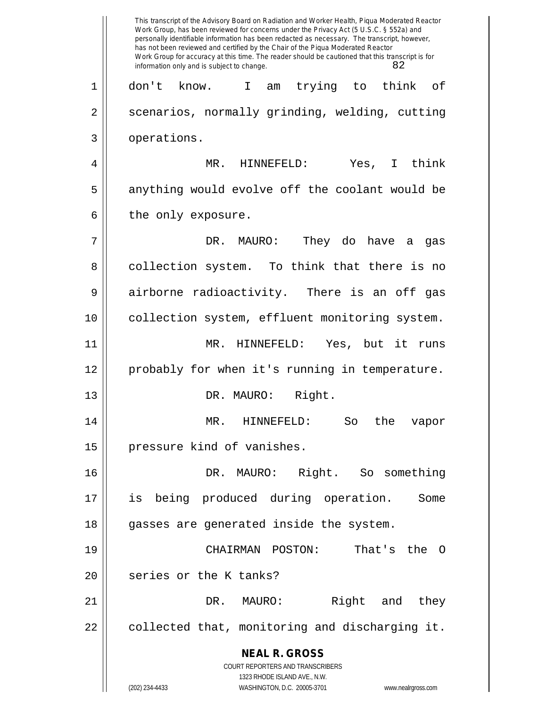**NEAL R. GROSS** COURT REPORTERS AND TRANSCRIBERS 1323 RHODE ISLAND AVE., N.W. (202) 234-4433 WASHINGTON, D.C. 20005-3701 www.nealrgross.com This transcript of the Advisory Board on Radiation and Worker Health, Piqua Moderated Reactor Work Group, has been reviewed for concerns under the Privacy Act (5 U.S.C. § 552a) and personally identifiable information has been redacted as necessary. The transcript, however, has not been reviewed and certified by the Chair of the Piqua Moderated Reactor Work Group for accuracy at this time. The reader should be cautioned that this transcript is for information only and is subject to change. 82 1 don't know. I am trying to think of 2 | scenarios, normally grinding, welding, cutting 3 | operations. 4 MR. HINNEFELD: Yes, I think 5 || anything would evolve off the coolant would be  $6 \parallel$  the only exposure. 7 DR. MAURO: They do have a gas 8 || collection system. To think that there is no 9 airborne radioactivity. There is an off gas 10 || collection system, effluent monitoring system. 11 MR. HINNEFELD: Yes, but it runs 12 probably for when it's running in temperature. 13 || DR. MAURO: Right. 14 MR. HINNEFELD: So the vapor 15 | pressure kind of vanishes. 16 DR. MAURO: Right. So something 17 is being produced during operation. Some 18 || gasses are generated inside the system. 19 CHAIRMAN POSTON: That's the O 20 | series or the K tanks? 21 DR. MAURO: Right and they  $22 \parallel$  collected that, monitoring and discharging it.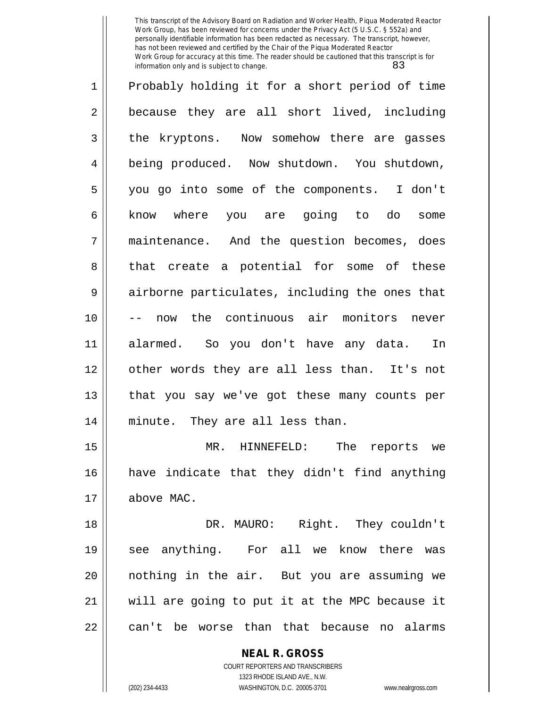This transcript of the Advisory Board on Radiation and Worker Health, Piqua Moderated Reactor Work Group, has been reviewed for concerns under the Privacy Act (5 U.S.C. § 552a) and personally identifiable information has been redacted as necessary. The transcript, however, has not been reviewed and certified by the Chair of the Piqua Moderated Reactor Work Group for accuracy at this time. The reader should be cautioned that this transcript is for information only and is subject to change. 83

1 Probably holding it for a short period of time 2 || because they are all short lived, including 3 the kryptons. Now somehow there are gasses 4 | being produced. Now shutdown. You shutdown, 5 you go into some of the components. I don't 6 || know where you are going to do some 7 maintenance. And the question becomes, does 8 that create a potential for some of these 9 || airborne particulates, including the ones that 10 -- now the continuous air monitors never 11 alarmed. So you don't have any data. In 12 || other words they are all less than. It's not 13 || that you say we've got these many counts per 14 minute. They are all less than. 15 || MR. HINNEFELD: The reports we

16 have indicate that they didn't find anything 17 above MAC.

18 DR. MAURO: Right. They couldn't 19 see anything. For all we know there was 20 nothing in the air. But you are assuming we 21 will are going to put it at the MPC because it 22 || can't be worse than that because no alarms

> **NEAL R. GROSS** COURT REPORTERS AND TRANSCRIBERS 1323 RHODE ISLAND AVE., N.W. (202) 234-4433 WASHINGTON, D.C. 20005-3701 www.nealrgross.com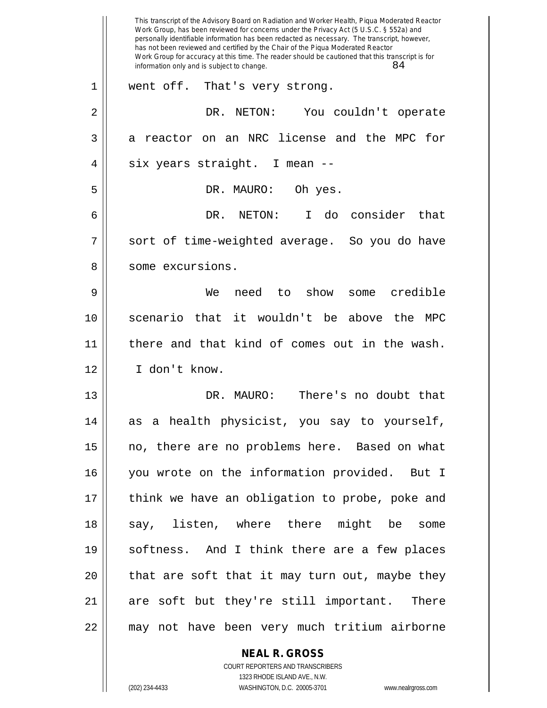|    | This transcript of the Advisory Board on Radiation and Worker Health, Piqua Moderated Reactor<br>Work Group, has been reviewed for concerns under the Privacy Act (5 U.S.C. § 552a) and<br>personally identifiable information has been redacted as necessary. The transcript, however,<br>has not been reviewed and certified by the Chair of the Piqua Moderated Reactor<br>Work Group for accuracy at this time. The reader should be cautioned that this transcript is for |
|----|--------------------------------------------------------------------------------------------------------------------------------------------------------------------------------------------------------------------------------------------------------------------------------------------------------------------------------------------------------------------------------------------------------------------------------------------------------------------------------|
|    | 84<br>information only and is subject to change.                                                                                                                                                                                                                                                                                                                                                                                                                               |
| 1  | went off.<br>That's very strong.                                                                                                                                                                                                                                                                                                                                                                                                                                               |
| 2  | NETON:<br>You couldn't operate<br>DR.                                                                                                                                                                                                                                                                                                                                                                                                                                          |
| 3  | a reactor on an NRC license and the MPC for                                                                                                                                                                                                                                                                                                                                                                                                                                    |
| 4  | six years straight. I mean --                                                                                                                                                                                                                                                                                                                                                                                                                                                  |
| 5  | Oh yes.<br>DR. MAURO:                                                                                                                                                                                                                                                                                                                                                                                                                                                          |
| 6  | NETON:<br>I do consider that<br>DR.                                                                                                                                                                                                                                                                                                                                                                                                                                            |
| 7  | sort of time-weighted average. So you do have                                                                                                                                                                                                                                                                                                                                                                                                                                  |
| 8  | some excursions.                                                                                                                                                                                                                                                                                                                                                                                                                                                               |
| 9  | show<br>credible<br>We<br>need<br>to<br>some                                                                                                                                                                                                                                                                                                                                                                                                                                   |
| 10 | scenario that it wouldn't be above<br>the<br>MPC                                                                                                                                                                                                                                                                                                                                                                                                                               |
| 11 | there and that kind of comes out in the wash.                                                                                                                                                                                                                                                                                                                                                                                                                                  |
| 12 | I don't know.                                                                                                                                                                                                                                                                                                                                                                                                                                                                  |
| 13 | There's no doubt that<br>DR. MAURO:                                                                                                                                                                                                                                                                                                                                                                                                                                            |
| 14 | as a health physicist, you say to yourself,                                                                                                                                                                                                                                                                                                                                                                                                                                    |
| 15 | no, there are no problems here. Based on what                                                                                                                                                                                                                                                                                                                                                                                                                                  |
| 16 | you wrote on the information provided. But I                                                                                                                                                                                                                                                                                                                                                                                                                                   |
| 17 | think we have an obligation to probe, poke and                                                                                                                                                                                                                                                                                                                                                                                                                                 |
| 18 | say, listen, where there might be some                                                                                                                                                                                                                                                                                                                                                                                                                                         |
| 19 | softness. And I think there are a few places                                                                                                                                                                                                                                                                                                                                                                                                                                   |
| 20 | that are soft that it may turn out, maybe they                                                                                                                                                                                                                                                                                                                                                                                                                                 |
| 21 | are soft but they're still important. There                                                                                                                                                                                                                                                                                                                                                                                                                                    |
| 22 | may not have been very much tritium airborne                                                                                                                                                                                                                                                                                                                                                                                                                                   |
|    | <b>NEAL R. GROSS</b>                                                                                                                                                                                                                                                                                                                                                                                                                                                           |

1323 RHODE ISLAND AVE., N.W. (202) 234-4433 WASHINGTON, D.C. 20005-3701 www.nealrgross.com

 $\mathbf{I}$ 

COURT REPORTERS AND TRANSCRIBERS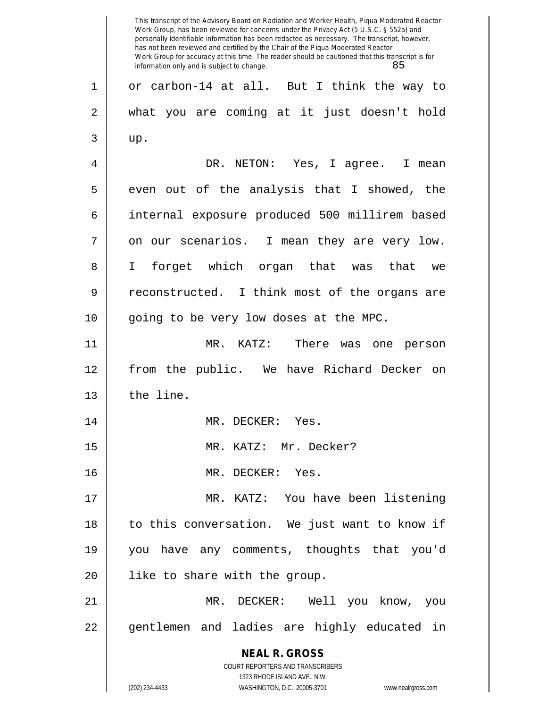**NEAL R. GROSS** COURT REPORTERS AND TRANSCRIBERS 1323 RHODE ISLAND AVE., N.W. (202) 234-4433 WASHINGTON, D.C. 20005-3701 www.nealrgross.com This transcript of the Advisory Board on Radiation and Worker Health, Piqua Moderated Reactor Work Group, has been reviewed for concerns under the Privacy Act (5 U.S.C. § 552a) and personally identifiable information has been redacted as necessary. The transcript, however, has not been reviewed and certified by the Chair of the Piqua Moderated Reactor Work Group for accuracy at this time. The reader should be cautioned that this transcript is for information only and is subject to change. 85 1 or carbon-14 at all. But I think the way to 2 what you are coming at it just doesn't hold  $3 \parallel \quad \text{up.}$ 4 DR. NETON: Yes, I agree. I mean  $5 \parallel$  even out of the analysis that I showed, the 6 internal exposure produced 500 millirem based  $7 \parallel$  on our scenarios. I mean they are very low. 8 I forget which organ that was that we 9 || reconstructed. I think most of the organs are 10 || going to be very low doses at the MPC. 11 MR. KATZ: There was one person 12 from the public. We have Richard Decker on  $13$  | the line. 14 || MR. DECKER: Yes. 15 MR. KATZ: Mr. Decker? 16 MR. DECKER: Yes. 17 || MR. KATZ: You have been listening 18 || to this conversation. We just want to know if 19 you have any comments, thoughts that you'd 20 || like to share with the group. 21 MR. DECKER: Well you know, you 22 || gentlemen and ladies are highly educated in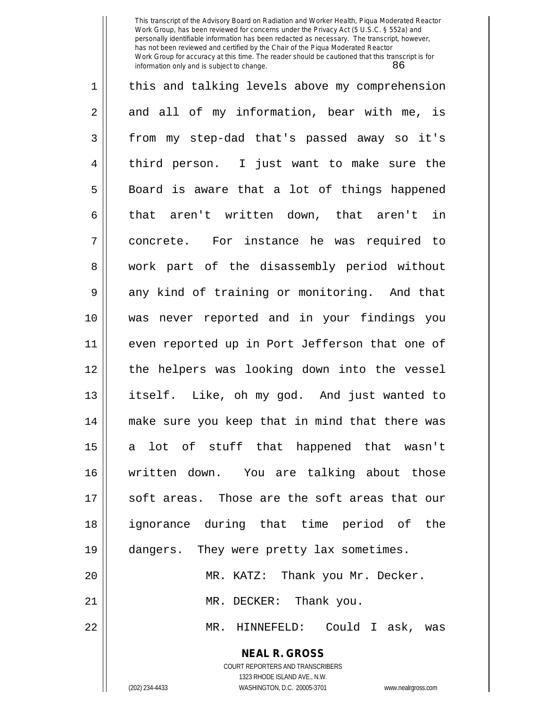This transcript of the Advisory Board on Radiation and Worker Health, Piqua Moderated Reactor Work Group, has been reviewed for concerns under the Privacy Act (5 U.S.C. § 552a) and personally identifiable information has been redacted as necessary. The transcript, however, has not been reviewed and certified by the Chair of the Piqua Moderated Reactor Work Group for accuracy at this time. The reader should be cautioned that this transcript is for information only and is subject to change. 86

| 1              | this and talking levels above my comprehension |
|----------------|------------------------------------------------|
| $\overline{2}$ | and all of my information, bear with me, is    |
| 3              | from my step-dad that's passed away so it's    |
| $\overline{4}$ | third person. I just want to make sure the     |
| 5              | Board is aware that a lot of things happened   |
| 6              | that aren't written down, that aren't in       |
| 7              | concrete. For instance he was required to      |
| 8              | work part of the disassembly period without    |
| 9              | any kind of training or monitoring. And that   |
| 10             | was never reported and in your findings you    |
| 11             | even reported up in Port Jefferson that one of |
| 12             | the helpers was looking down into the vessel   |
| 13             | itself. Like, oh my god. And just wanted to    |
| 14             | make sure you keep that in mind that there was |
| 15             | a lot of stuff that happened that wasn't       |
| 16             | written down. You are talking about those      |
| 17             | soft areas. Those are the soft areas that our  |
| 18             | ignorance during that time period of the       |
| 19             | dangers. They were pretty lax sometimes.       |
| 20             | MR. KATZ: Thank you Mr. Decker.                |
| 21             | MR. DECKER: Thank you.                         |
| 22             | MR. HINNEFELD: Could I ask, was                |
|                | <b>NEAL R. GROSS</b>                           |

COURT REPORTERS AND TRANSCRIBERS 1323 RHODE ISLAND AVE., N.W.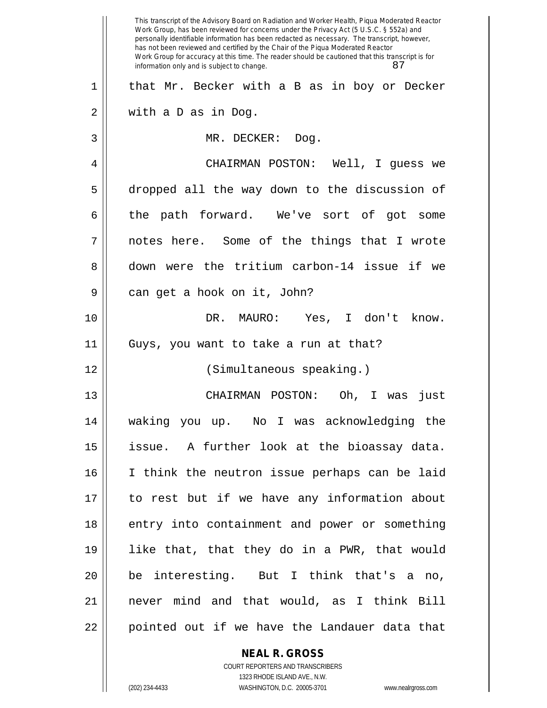|    | This transcript of the Advisory Board on Radiation and Worker Health, Piqua Moderated Reactor<br>Work Group, has been reviewed for concerns under the Privacy Act (5 U.S.C. § 552a) and<br>personally identifiable information has been redacted as necessary. The transcript, however,<br>has not been reviewed and certified by the Chair of the Piqua Moderated Reactor<br>Work Group for accuracy at this time. The reader should be cautioned that this transcript is for<br>87<br>information only and is subject to change. |
|----|------------------------------------------------------------------------------------------------------------------------------------------------------------------------------------------------------------------------------------------------------------------------------------------------------------------------------------------------------------------------------------------------------------------------------------------------------------------------------------------------------------------------------------|
| 1  | that Mr. Becker with a B as in boy or Decker                                                                                                                                                                                                                                                                                                                                                                                                                                                                                       |
| 2  | with a D as in Dog.                                                                                                                                                                                                                                                                                                                                                                                                                                                                                                                |
| 3  | MR. DECKER:<br>Dog.                                                                                                                                                                                                                                                                                                                                                                                                                                                                                                                |
| 4  | CHAIRMAN POSTON: Well, I guess we                                                                                                                                                                                                                                                                                                                                                                                                                                                                                                  |
| 5  | dropped all the way down to the discussion of                                                                                                                                                                                                                                                                                                                                                                                                                                                                                      |
| 6  | the path forward. We've sort of got some                                                                                                                                                                                                                                                                                                                                                                                                                                                                                           |
| 7  | notes here. Some of the things that I wrote                                                                                                                                                                                                                                                                                                                                                                                                                                                                                        |
| 8  | down were the tritium carbon-14 issue if we                                                                                                                                                                                                                                                                                                                                                                                                                                                                                        |
| 9  | can get a hook on it, John?                                                                                                                                                                                                                                                                                                                                                                                                                                                                                                        |
| 10 | DR. MAURO:<br>Yes, I don't know.                                                                                                                                                                                                                                                                                                                                                                                                                                                                                                   |
| 11 | Guys, you want to take a run at that?                                                                                                                                                                                                                                                                                                                                                                                                                                                                                              |
| 12 | (Simultaneous speaking.)                                                                                                                                                                                                                                                                                                                                                                                                                                                                                                           |
| 13 | Oh, I was<br>CHAIRMAN POSTON:<br>just                                                                                                                                                                                                                                                                                                                                                                                                                                                                                              |
| 14 | waking you up. No I was acknowledging the                                                                                                                                                                                                                                                                                                                                                                                                                                                                                          |
| 15 | A further look at the bioassay data.<br>issue.                                                                                                                                                                                                                                                                                                                                                                                                                                                                                     |
| 16 | I think the neutron issue perhaps can be laid                                                                                                                                                                                                                                                                                                                                                                                                                                                                                      |
| 17 | to rest but if we have any information about                                                                                                                                                                                                                                                                                                                                                                                                                                                                                       |
| 18 | entry into containment and power or something                                                                                                                                                                                                                                                                                                                                                                                                                                                                                      |
| 19 | like that, that they do in a PWR, that would                                                                                                                                                                                                                                                                                                                                                                                                                                                                                       |
| 20 | be interesting. But I think that's a no,                                                                                                                                                                                                                                                                                                                                                                                                                                                                                           |
| 21 | never mind and that would, as I think Bill                                                                                                                                                                                                                                                                                                                                                                                                                                                                                         |
| 22 | pointed out if we have the Landauer data that                                                                                                                                                                                                                                                                                                                                                                                                                                                                                      |
|    |                                                                                                                                                                                                                                                                                                                                                                                                                                                                                                                                    |

**NEAL R. GROSS** COURT REPORTERS AND TRANSCRIBERS 1323 RHODE ISLAND AVE., N.W.

 $\mathbf{I}$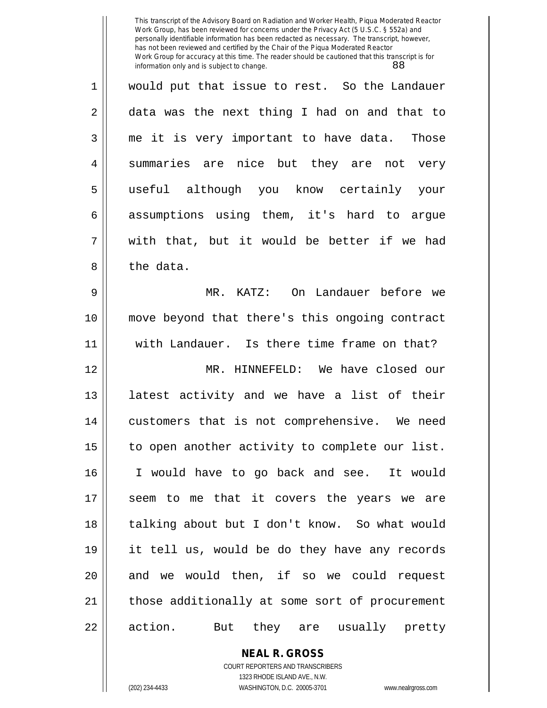This transcript of the Advisory Board on Radiation and Worker Health, Piqua Moderated Reactor Work Group, has been reviewed for concerns under the Privacy Act (5 U.S.C. § 552a) and personally identifiable information has been redacted as necessary. The transcript, however, has not been reviewed and certified by the Chair of the Piqua Moderated Reactor Work Group for accuracy at this time. The reader should be cautioned that this transcript is for information only and is subject to change. 88

1 would put that issue to rest. So the Landauer 2 data was the next thing I had on and that to 3 me it is very important to have data. Those 4 || summaries are nice but they are not very 5 useful although you know certainly your  $6 \parallel$  assumptions using them, it's hard to argue  $7 \parallel$  with that, but it would be better if we had 8 l the data.

9 MR. KATZ: On Landauer before we 10 move beyond that there's this ongoing contract 11 with Landauer. Is there time frame on that?

12 MR. HINNEFELD: We have closed our 13 || latest activity and we have a list of their 14 || customers that is not comprehensive. We need 15 | to open another activity to complete our list. 16 I would have to go back and see. It would 17 || seem to me that it covers the years we are 18 || talking about but I don't know. So what would 19 it tell us, would be do they have any records 20 || and we would then, if so we could request 21 || those additionally at some sort of procurement 22 || action. But they are usually pretty

> **NEAL R. GROSS** COURT REPORTERS AND TRANSCRIBERS 1323 RHODE ISLAND AVE., N.W. (202) 234-4433 WASHINGTON, D.C. 20005-3701 www.nealrgross.com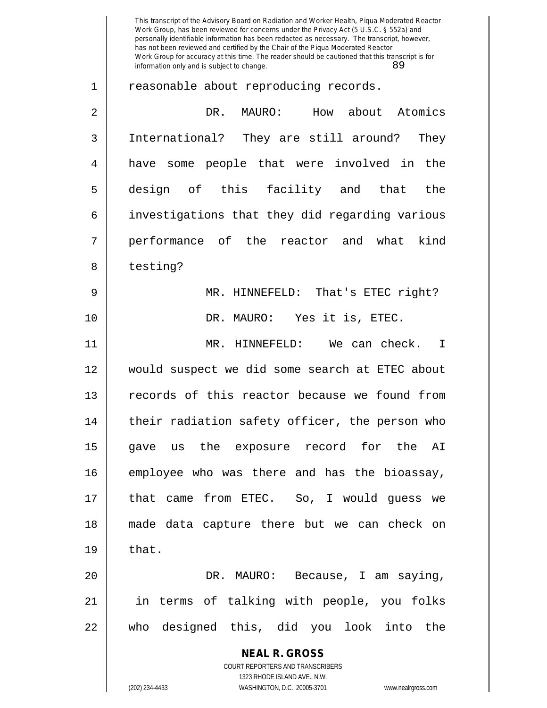**NEAL R. GROSS** COURT REPORTERS AND TRANSCRIBERS 1323 RHODE ISLAND AVE., N.W. (202) 234-4433 WASHINGTON, D.C. 20005-3701 www.nealrgross.com This transcript of the Advisory Board on Radiation and Worker Health, Piqua Moderated Reactor Work Group, has been reviewed for concerns under the Privacy Act (5 U.S.C. § 552a) and personally identifiable information has been redacted as necessary. The transcript, however, has not been reviewed and certified by the Chair of the Piqua Moderated Reactor Work Group for accuracy at this time. The reader should be cautioned that this transcript is for information only and is subject to change. 89 1 || reasonable about reproducing records. 2 DR. MAURO: How about Atomics 3 International? They are still around? They 4 || have some people that were involved in the 5 design of this facility and that the 6 | investigations that they did regarding various 7 performance of the reactor and what kind 8 | testing? 9 MR. HINNEFELD: That's ETEC right? 10 || DR. MAURO: Yes it is, ETEC. 11 MR. HINNEFELD: We can check. I 12 would suspect we did some search at ETEC about 13 || records of this reactor because we found from 14 || their radiation safety officer, the person who 15 gave us the exposure record for the AI 16 employee who was there and has the bioassay, 17 that came from ETEC. So, I would guess we 18 made data capture there but we can check on  $19 \parallel$  that. 20 DR. MAURO: Because, I am saying, 21 in terms of talking with people, you folks 22 who designed this, did you look into the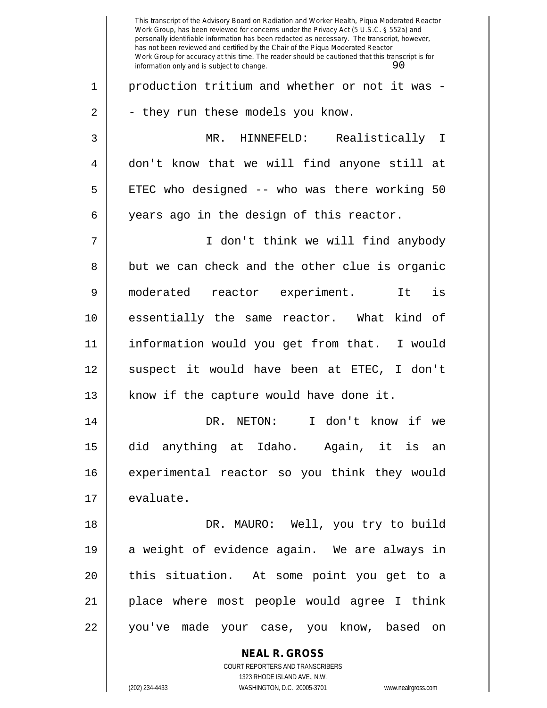**NEAL R. GROSS** COURT REPORTERS AND TRANSCRIBERS This transcript of the Advisory Board on Radiation and Worker Health, Piqua Moderated Reactor Work Group, has been reviewed for concerns under the Privacy Act (5 U.S.C. § 552a) and personally identifiable information has been redacted as necessary. The transcript, however, has not been reviewed and certified by the Chair of the Piqua Moderated Reactor Work Group for accuracy at this time. The reader should be cautioned that this transcript is for information only and is subject to change.  $90$ 1 || production tritium and whether or not it was - $2 \parallel$  - they run these models you know. 3 MR. HINNEFELD: Realistically I 4 don't know that we will find anyone still at  $5 \parallel$  ETEC who designed -- who was there working 50 6 || years ago in the design of this reactor. 7 I don't think we will find anybody  $8 \parallel$  but we can check and the other clue is organic 9 moderated reactor experiment. It is 10 essentially the same reactor. What kind of 11 information would you get from that. I would 12 || suspect it would have been at ETEC, I don't  $13$  || know if the capture would have done it. 14 || DR. NETON: I don't know if we 15 did anything at Idaho. Again, it is an 16 experimental reactor so you think they would 17 | evaluate. 18 || DR. MAURO: Well, you try to build 19 a weight of evidence again. We are always in 20 || this situation. At some point you get to a 21 place where most people would agree I think 22 || you've made your case, you know, based on

1323 RHODE ISLAND AVE., N.W.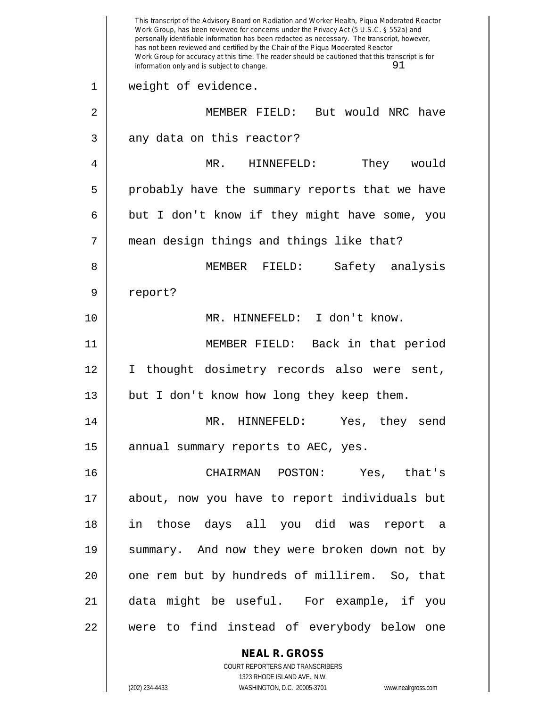**NEAL R. GROSS** This transcript of the Advisory Board on Radiation and Worker Health, Piqua Moderated Reactor Work Group, has been reviewed for concerns under the Privacy Act (5 U.S.C. § 552a) and personally identifiable information has been redacted as necessary. The transcript, however, has not been reviewed and certified by the Chair of the Piqua Moderated Reactor Work Group for accuracy at this time. The reader should be cautioned that this transcript is for information only and is subject to change.  $91$ 1 || weight of evidence. 2 MEMBER FIELD: But would NRC have  $3 \parallel$  any data on this reactor? 4 MR. HINNEFELD: They would 5 || probably have the summary reports that we have  $6 \parallel$  but I don't know if they might have some, you 7 mean design things and things like that? 8 MEMBER FIELD: Safety analysis 9 || report? 10 MR. HINNEFELD: I don't know. 11 MEMBER FIELD: Back in that period 12 I thought dosimetry records also were sent, 13 || but I don't know how long they keep them. 14 MR. HINNEFELD: Yes, they send 15  $\parallel$  annual summary reports to AEC, yes. 16 CHAIRMAN POSTON: Yes, that's 17 about, now you have to report individuals but 18 in those days all you did was report a 19 || summary. And now they were broken down not by 20 || one rem but by hundreds of millirem. So, that 21 data might be useful. For example, if you 22 were to find instead of everybody below one

> COURT REPORTERS AND TRANSCRIBERS 1323 RHODE ISLAND AVE., N.W.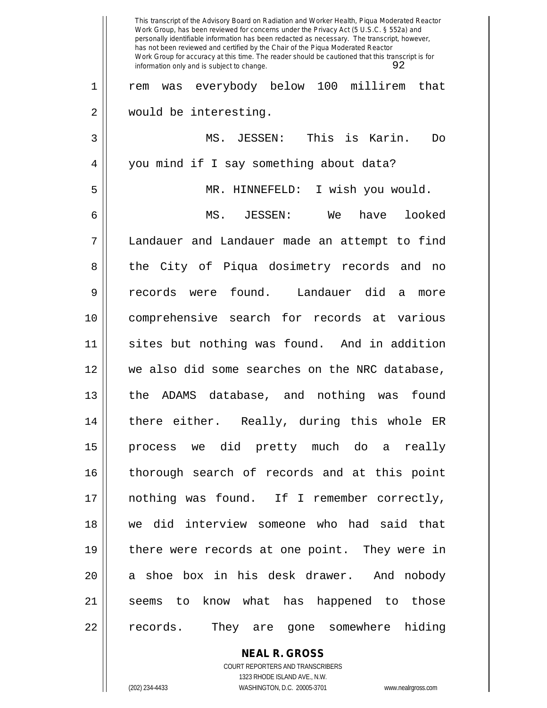|    | This transcript of the Advisory Board on Radiation and Worker Health, Piqua Moderated Reactor<br>Work Group, has been reviewed for concerns under the Privacy Act (5 U.S.C. § 552a) and<br>personally identifiable information has been redacted as necessary. The transcript, however,<br>has not been reviewed and certified by the Chair of the Piqua Moderated Reactor<br>Work Group for accuracy at this time. The reader should be cautioned that this transcript is for<br>92<br>information only and is subject to change. |
|----|------------------------------------------------------------------------------------------------------------------------------------------------------------------------------------------------------------------------------------------------------------------------------------------------------------------------------------------------------------------------------------------------------------------------------------------------------------------------------------------------------------------------------------|
| 1  | was everybody below 100 millirem<br>that<br>rem                                                                                                                                                                                                                                                                                                                                                                                                                                                                                    |
| 2  | would be interesting.                                                                                                                                                                                                                                                                                                                                                                                                                                                                                                              |
| 3  | This is Karin.<br>MS. JESSEN:<br>Do                                                                                                                                                                                                                                                                                                                                                                                                                                                                                                |
| 4  | you mind if I say something about data?                                                                                                                                                                                                                                                                                                                                                                                                                                                                                            |
| 5  | HINNEFELD:<br>I wish you would.<br>MR.                                                                                                                                                                                                                                                                                                                                                                                                                                                                                             |
| 6  | MS. JESSEN:<br>have<br>looked<br>We                                                                                                                                                                                                                                                                                                                                                                                                                                                                                                |
| 7  | Landauer and Landauer made an attempt to find                                                                                                                                                                                                                                                                                                                                                                                                                                                                                      |
| 8  | the City of Piqua dosimetry records and no                                                                                                                                                                                                                                                                                                                                                                                                                                                                                         |
| 9  | records were found. Landauer did<br>a<br>more                                                                                                                                                                                                                                                                                                                                                                                                                                                                                      |
| 10 | comprehensive search for records at various                                                                                                                                                                                                                                                                                                                                                                                                                                                                                        |
| 11 | sites but nothing was found. And in addition                                                                                                                                                                                                                                                                                                                                                                                                                                                                                       |
| 12 | we also did some searches on the NRC database,                                                                                                                                                                                                                                                                                                                                                                                                                                                                                     |
| 13 | the<br>database, and nothing<br>found<br>ADAMS<br>was                                                                                                                                                                                                                                                                                                                                                                                                                                                                              |
| 14 | there either. Really, during this whole ER                                                                                                                                                                                                                                                                                                                                                                                                                                                                                         |
| 15 | process we did pretty much do a really                                                                                                                                                                                                                                                                                                                                                                                                                                                                                             |
| 16 | thorough search of records and at this point                                                                                                                                                                                                                                                                                                                                                                                                                                                                                       |
| 17 | nothing was found. If I remember correctly,                                                                                                                                                                                                                                                                                                                                                                                                                                                                                        |
| 18 | we did interview someone who had said that                                                                                                                                                                                                                                                                                                                                                                                                                                                                                         |
| 19 | there were records at one point. They were in                                                                                                                                                                                                                                                                                                                                                                                                                                                                                      |
| 20 | a shoe box in his desk drawer. And nobody                                                                                                                                                                                                                                                                                                                                                                                                                                                                                          |
| 21 | seems to know what has happened to those                                                                                                                                                                                                                                                                                                                                                                                                                                                                                           |
| 22 | records.<br>They are gone somewhere hiding                                                                                                                                                                                                                                                                                                                                                                                                                                                                                         |

**NEAL R. GROSS** COURT REPORTERS AND TRANSCRIBERS

1323 RHODE ISLAND AVE., N.W.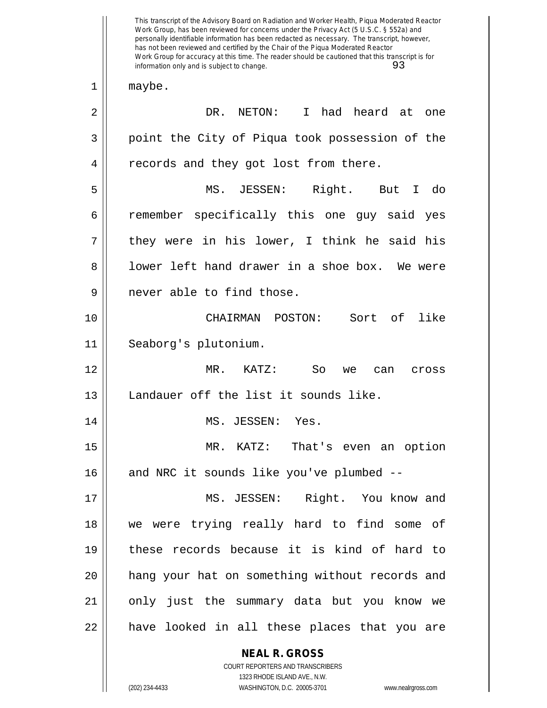**NEAL R. GROSS** COURT REPORTERS AND TRANSCRIBERS 1323 RHODE ISLAND AVE., N.W. This transcript of the Advisory Board on Radiation and Worker Health, Piqua Moderated Reactor Work Group, has been reviewed for concerns under the Privacy Act (5 U.S.C. § 552a) and personally identifiable information has been redacted as necessary. The transcript, however, has not been reviewed and certified by the Chair of the Piqua Moderated Reactor Work Group for accuracy at this time. The reader should be cautioned that this transcript is for information only and is subject to change. 93 1 || maybe. 2 | NETON: I had heard at one 3 point the City of Piqua took possession of the 4 | records and they got lost from there. 5 MS. JESSEN: Right. But I do 6 Temember specifically this one guy said yes  $7 \parallel$  they were in his lower, I think he said his 8 lower left hand drawer in a shoe box. We were 9 || never able to find those. 10 CHAIRMAN POSTON: Sort of like 11 Seaborg's plutonium. 12 MR. KATZ: So we can cross 13 || Landauer off the list it sounds like. 14 || MS. JESSEN: Yes. 15 MR. KATZ: That's even an option 16 and NRC it sounds like you've plumbed --17 MS. JESSEN: Right. You know and 18 we were trying really hard to find some of 19 these records because it is kind of hard to 20 hang your hat on something without records and 21 || only just the summary data but you know we 22 || have looked in all these places that you are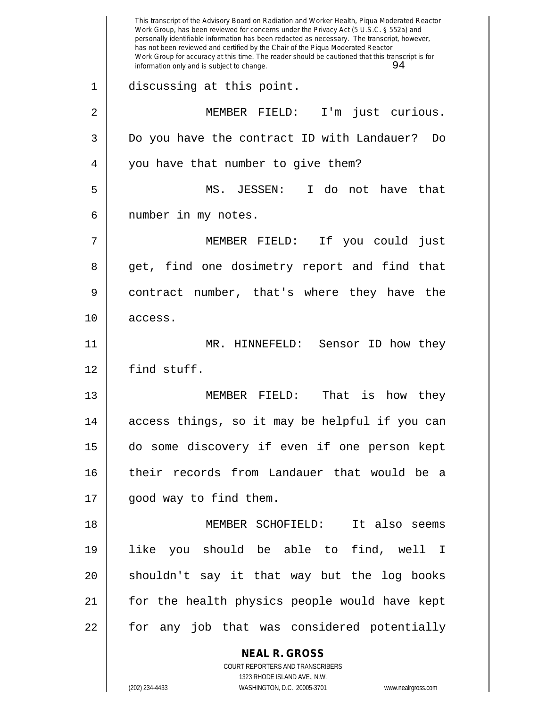**NEAL R. GROSS** COURT REPORTERS AND TRANSCRIBERS This transcript of the Advisory Board on Radiation and Worker Health, Piqua Moderated Reactor Work Group, has been reviewed for concerns under the Privacy Act (5 U.S.C. § 552a) and personally identifiable information has been redacted as necessary. The transcript, however, has not been reviewed and certified by the Chair of the Piqua Moderated Reactor Work Group for accuracy at this time. The reader should be cautioned that this transcript is for information only and is subject to change.  $94$ 1 discussing at this point. 2 MEMBER FIELD: I'm just curious. 3 Do you have the contract ID with Landauer? Do 4 || you have that number to give them? 5 MS. JESSEN: I do not have that 6 | number in my notes. 7 MEMBER FIELD: If you could just 8 get, find one dosimetry report and find that 9 contract number, that's where they have the 10 access. 11 MR. HINNEFELD: Sensor ID how they 12 find stuff. 13 MEMBER FIELD: That is how they 14 access things, so it may be helpful if you can 15 do some discovery if even if one person kept 16 their records from Landauer that would be a 17 || good way to find them. 18 MEMBER SCHOFIELD: It also seems 19 like you should be able to find, well I 20 || shouldn't say it that way but the log books 21 for the health physics people would have kept 22 || for any job that was considered potentially

1323 RHODE ISLAND AVE., N.W.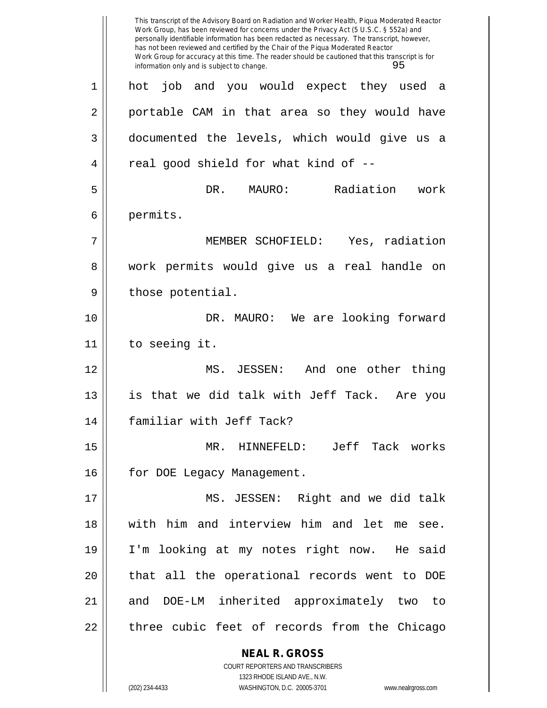**NEAL R. GROSS** COURT REPORTERS AND TRANSCRIBERS This transcript of the Advisory Board on Radiation and Worker Health, Piqua Moderated Reactor Work Group, has been reviewed for concerns under the Privacy Act (5 U.S.C. § 552a) and personally identifiable information has been redacted as necessary. The transcript, however, has not been reviewed and certified by the Chair of the Piqua Moderated Reactor Work Group for accuracy at this time. The reader should be cautioned that this transcript is for information only and is subject to change. 95 1 hot job and you would expect they used a 2 || portable CAM in that area so they would have 3 documented the levels, which would give us a  $4 \parallel$  real good shield for what kind of --5 DR. MAURO: Radiation work 6 permits. 7 MEMBER SCHOFIELD: Yes, radiation 8 work permits would give us a real handle on  $9 \parallel$  those potential. 10 || DR. MAURO: We are looking forward 11 to seeing it. 12 MS. JESSEN: And one other thing 13 is that we did talk with Jeff Tack. Are you 14 familiar with Jeff Tack? 15 MR. HINNEFELD: Jeff Tack works 16 | for DOE Legacy Management. 17 MS. JESSEN: Right and we did talk 18 with him and interview him and let me see. 19 I'm looking at my notes right now. He said 20 || that all the operational records went to DOE 21 and DOE-LM inherited approximately two to 22 || three cubic feet of records from the Chicago

1323 RHODE ISLAND AVE., N.W.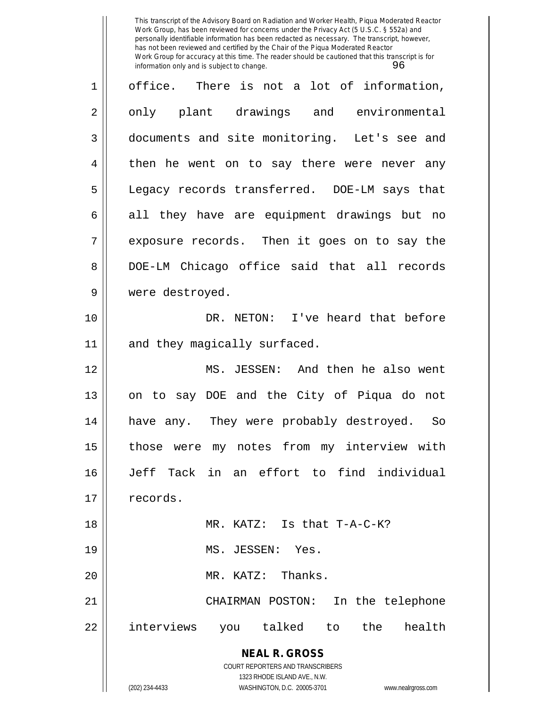This transcript of the Advisory Board on Radiation and Worker Health, Piqua Moderated Reactor Work Group, has been reviewed for concerns under the Privacy Act (5 U.S.C. § 552a) and personally identifiable information has been redacted as necessary. The transcript, however, has not been reviewed and certified by the Chair of the Piqua Moderated Reactor Work Group for accuracy at this time. The reader should be cautioned that this transcript is for<br>information only and is subject to change.<br>96 information only and is subject to change.

| 1  | office. There is not a lot of information,                              |
|----|-------------------------------------------------------------------------|
| 2  | only plant drawings and environmental                                   |
| 3  | documents and site monitoring. Let's see and                            |
| 4  | then he went on to say there were never any                             |
| 5  | Legacy records transferred. DOE-LM says that                            |
| 6  | all they have are equipment drawings but no                             |
| 7  | exposure records. Then it goes on to say the                            |
| 8  | DOE-LM Chicago office said that all records                             |
| 9  | were destroyed.                                                         |
| 10 | DR. NETON: I've heard that before                                       |
| 11 | and they magically surfaced.                                            |
| 12 | MS. JESSEN: And then he also went                                       |
| 13 | on to say DOE and the City of Piqua do not                              |
| 14 | have any. They were probably destroyed. So                              |
| 15 | those were my notes from my interview with                              |
| 16 | Tack in an effort to find individual<br>Jeff                            |
| 17 | records.                                                                |
| 18 | MR. KATZ: Is that T-A-C-K?                                              |
| 19 | MS. JESSEN: Yes.                                                        |
| 20 | Thanks.<br>MR. KATZ:                                                    |
| 21 | CHAIRMAN POSTON:<br>In the telephone                                    |
| 22 | interviews<br>talked to the<br>health<br>you                            |
|    | <b>NEAL R. GROSS</b>                                                    |
|    | <b>COURT REPORTERS AND TRANSCRIBERS</b><br>1323 RHODE ISLAND AVE., N.W. |
|    | (202) 234-4433<br>WASHINGTON, D.C. 20005-3701<br>www.nealrgross.com     |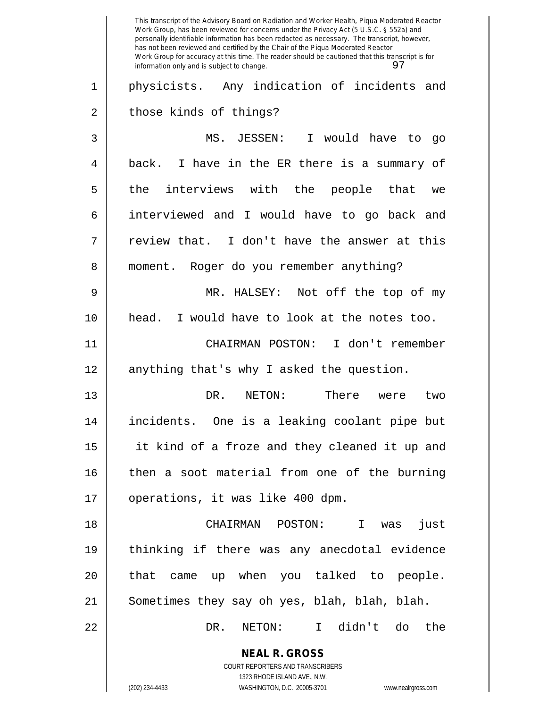**NEAL R. GROSS** COURT REPORTERS AND TRANSCRIBERS 1323 RHODE ISLAND AVE., N.W. (202) 234-4433 WASHINGTON, D.C. 20005-3701 www.nealrgross.com This transcript of the Advisory Board on Radiation and Worker Health, Piqua Moderated Reactor Work Group, has been reviewed for concerns under the Privacy Act (5 U.S.C. § 552a) and personally identifiable information has been redacted as necessary. The transcript, however, has not been reviewed and certified by the Chair of the Piqua Moderated Reactor Work Group for accuracy at this time. The reader should be cautioned that this transcript is for information only and is subject to change. 97 1 || physicists. Any indication of incidents and 2 || those kinds of things? 3 MS. JESSEN: I would have to go 4 || back. I have in the ER there is a summary of 5 || the interviews with the people that we 6 interviewed and I would have to go back and  $7 \parallel$  review that. I don't have the answer at this 8 || moment. Roger do you remember anything? 9 MR. HALSEY: Not off the top of my 10 head. I would have to look at the notes too. 11 CHAIRMAN POSTON: I don't remember 12 || anything that's why I asked the question. 13 DR. NETON: There were two 14 incidents. One is a leaking coolant pipe but 15 it kind of a froze and they cleaned it up and 16 then a soot material from one of the burning 17 || operations, it was like 400 dpm. 18 CHAIRMAN POSTON: I was just 19 thinking if there was any anecdotal evidence  $20$  || that came up when you talked to people. 21 || Sometimes they say oh yes, blah, blah, blah. 22 DR. NETON: I didn't do the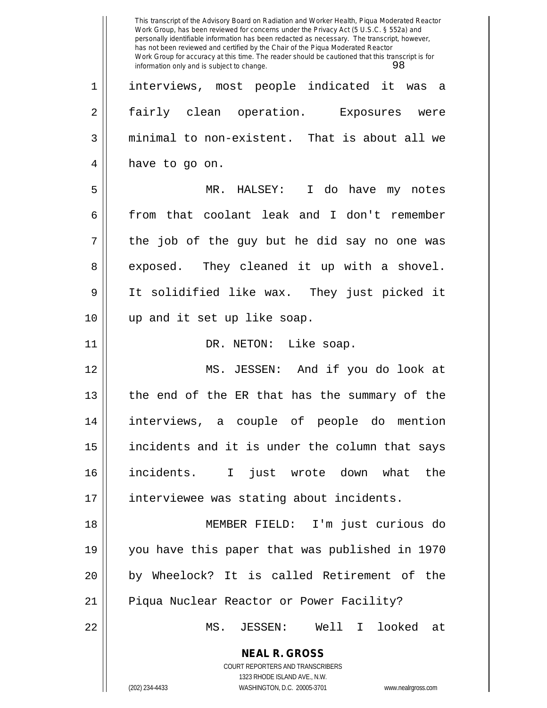**NEAL R. GROSS** COURT REPORTERS AND TRANSCRIBERS 1323 RHODE ISLAND AVE., N.W. This transcript of the Advisory Board on Radiation and Worker Health, Piqua Moderated Reactor Work Group, has been reviewed for concerns under the Privacy Act (5 U.S.C. § 552a) and personally identifiable information has been redacted as necessary. The transcript, however, has not been reviewed and certified by the Chair of the Piqua Moderated Reactor Work Group for accuracy at this time. The reader should be cautioned that this transcript is for information only and is subject to change. 98 1 interviews, most people indicated it was a 2 || fairly clean operation. Exposures were 3 minimal to non-existent. That is about all we 4 || have to go on. 5 MR. HALSEY: I do have my notes 6 from that coolant leak and I don't remember  $7 \parallel$  the job of the guy but he did say no one was 8 exposed. They cleaned it up with a shovel. 9 It solidified like wax. They just picked it 10 up and it set up like soap. 11 || DR. NETON: Like soap. 12 MS. JESSEN: And if you do look at 13 the end of the ER that has the summary of the 14 interviews, a couple of people do mention  $15$  || incidents and it is under the column that says 16 incidents. I just wrote down what the 17 || interviewee was stating about incidents. 18 MEMBER FIELD: I'm just curious do 19 you have this paper that was published in 1970 20 by Wheelock? It is called Retirement of the 21 || Piqua Nuclear Reactor or Power Facility? 22 MS. JESSEN: Well I looked at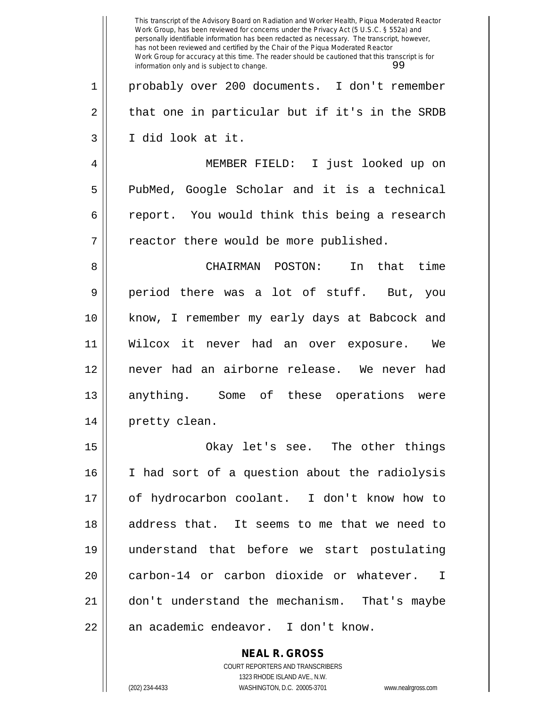|    | This transcript of the Advisory Board on Radiation and Worker Health, Piqua Moderated Reactor<br>Work Group, has been reviewed for concerns under the Privacy Act (5 U.S.C. § 552a) and<br>personally identifiable information has been redacted as necessary. The transcript, however,<br>has not been reviewed and certified by the Chair of the Piqua Moderated Reactor<br>Work Group for accuracy at this time. The reader should be cautioned that this transcript is for<br>99<br>information only and is subject to change. |
|----|------------------------------------------------------------------------------------------------------------------------------------------------------------------------------------------------------------------------------------------------------------------------------------------------------------------------------------------------------------------------------------------------------------------------------------------------------------------------------------------------------------------------------------|
| 1  | probably over 200 documents. I don't remember                                                                                                                                                                                                                                                                                                                                                                                                                                                                                      |
| 2  | that one in particular but if it's in the SRDB                                                                                                                                                                                                                                                                                                                                                                                                                                                                                     |
| 3  | I did look at it.                                                                                                                                                                                                                                                                                                                                                                                                                                                                                                                  |
| 4  | MEMBER FIELD:<br>I just looked up on                                                                                                                                                                                                                                                                                                                                                                                                                                                                                               |
| 5  | PubMed, Google Scholar and it is a technical                                                                                                                                                                                                                                                                                                                                                                                                                                                                                       |
| 6  | report. You would think this being a research                                                                                                                                                                                                                                                                                                                                                                                                                                                                                      |
| 7  | reactor there would be more published.                                                                                                                                                                                                                                                                                                                                                                                                                                                                                             |
| 8  | CHAIRMAN<br>POSTON:<br>that time<br>In                                                                                                                                                                                                                                                                                                                                                                                                                                                                                             |
| 9  | a lot of stuff.<br>period there was<br>But, you                                                                                                                                                                                                                                                                                                                                                                                                                                                                                    |
| 10 | know, I remember my early days at Babcock and                                                                                                                                                                                                                                                                                                                                                                                                                                                                                      |
| 11 | Wilcox it<br>never had an over<br>We<br>exposure.                                                                                                                                                                                                                                                                                                                                                                                                                                                                                  |
| 12 | never had an airborne release. We never had                                                                                                                                                                                                                                                                                                                                                                                                                                                                                        |
| 13 | anything.<br>Some of<br>these<br>operations<br>were                                                                                                                                                                                                                                                                                                                                                                                                                                                                                |
| 14 | pretty clean.                                                                                                                                                                                                                                                                                                                                                                                                                                                                                                                      |
| 15 | Okay let's see. The other things                                                                                                                                                                                                                                                                                                                                                                                                                                                                                                   |
| 16 | I had sort of a question about the radiolysis                                                                                                                                                                                                                                                                                                                                                                                                                                                                                      |
| 17 | of hydrocarbon coolant. I don't know how to                                                                                                                                                                                                                                                                                                                                                                                                                                                                                        |
| 18 | address that. It seems to me that we need to                                                                                                                                                                                                                                                                                                                                                                                                                                                                                       |
| 19 | understand that before we start postulating                                                                                                                                                                                                                                                                                                                                                                                                                                                                                        |
| 20 | carbon-14 or carbon dioxide or whatever. I                                                                                                                                                                                                                                                                                                                                                                                                                                                                                         |
| 21 | don't understand the mechanism. That's maybe                                                                                                                                                                                                                                                                                                                                                                                                                                                                                       |
| 22 | an academic endeavor. I don't know.                                                                                                                                                                                                                                                                                                                                                                                                                                                                                                |
|    | <b>NEAL R. GROSS</b><br>COURT REPORTERS AND TRANSCRIBERS                                                                                                                                                                                                                                                                                                                                                                                                                                                                           |

1323 RHODE ISLAND AVE., N.W.

 $\prod$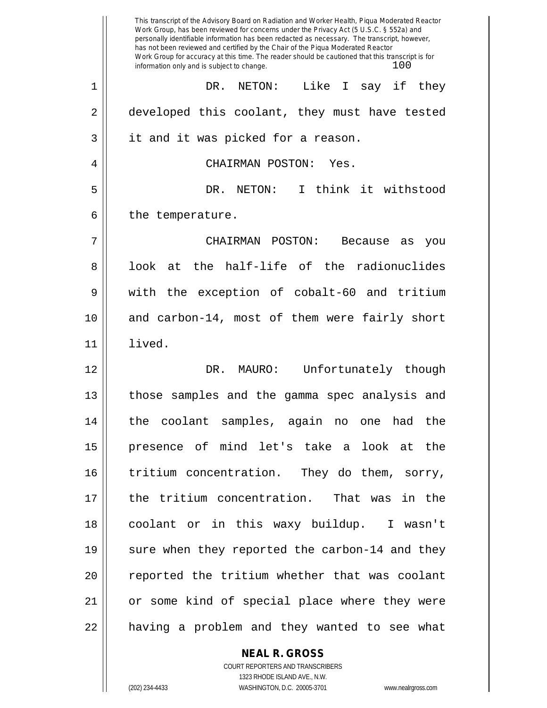This transcript of the Advisory Board on Radiation and Worker Health, Piqua Moderated Reactor Work Group, has been reviewed for concerns under the Privacy Act (5 U.S.C. § 552a) and personally identifiable information has been redacted as necessary. The transcript, however, has not been reviewed and certified by the Chair of the Piqua Moderated Reactor Work Group for accuracy at this time. The reader should be cautioned that this transcript is for information only and is subject to change.  $100$ 1 DR. NETON: Like I say if they 2 developed this coolant, they must have tested 3 || it and it was picked for a reason. 4 CHAIRMAN POSTON: Yes. 5 DR. NETON: I think it withstood  $6$  || the temperature. 7 CHAIRMAN POSTON: Because as you 8 || look at the half-life of the radionuclides 9 with the exception of cobalt-60 and tritium 10 and carbon-14, most of them were fairly short 11 lived. 12 DR. MAURO: Unfortunately though 13 || those samples and the gamma spec analysis and 14 the coolant samples, again no one had the 15 presence of mind let's take a look at the 16 || tritium concentration. They do them, sorry, 17 the tritium concentration. That was in the 18 coolant or in this waxy buildup. I wasn't 19 || sure when they reported the carbon-14 and they 20 || reported the tritium whether that was coolant 21 or some kind of special place where they were 22 || having a problem and they wanted to see what

## **NEAL R. GROSS**

COURT REPORTERS AND TRANSCRIBERS 1323 RHODE ISLAND AVE., N.W. (202) 234-4433 WASHINGTON, D.C. 20005-3701 www.nealrgross.com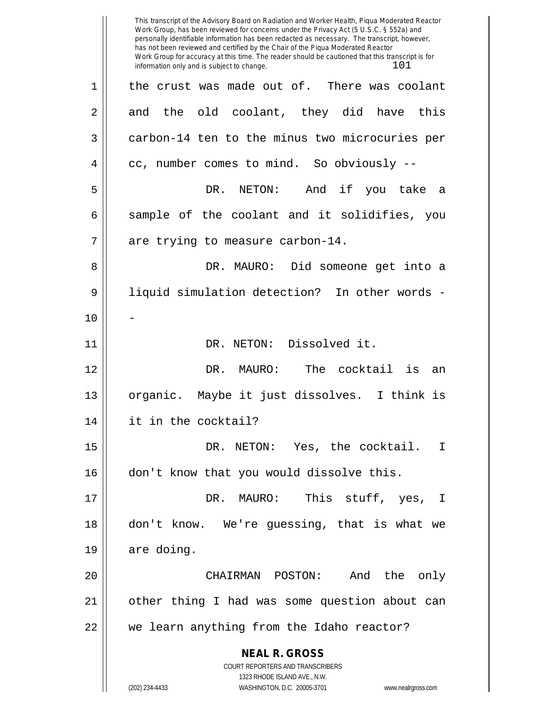**NEAL R. GROSS** COURT REPORTERS AND TRANSCRIBERS 1323 RHODE ISLAND AVE., N.W. (202) 234-4433 WASHINGTON, D.C. 20005-3701 www.nealrgross.com This transcript of the Advisory Board on Radiation and Worker Health, Piqua Moderated Reactor Work Group, has been reviewed for concerns under the Privacy Act (5 U.S.C. § 552a) and personally identifiable information has been redacted as necessary. The transcript, however, has not been reviewed and certified by the Chair of the Piqua Moderated Reactor Work Group for accuracy at this time. The reader should be cautioned that this transcript is for information only and is subject to change.  $101$  $1 \parallel$  the crust was made out of. There was coolant  $2 \parallel$  and the old coolant, they did have this 3 carbon-14 ten to the minus two microcuries per  $4 \parallel$  cc, number comes to mind. So obviously --5 DR. NETON: And if you take a  $6 \parallel$  sample of the coolant and it solidifies, you  $7$  | are trying to measure carbon-14. 8 DR. MAURO: Did someone get into a 9 || liquid simulation detection? In other words - $10$ 11 || DR. NETON: Dissolved it. 12 DR. MAURO: The cocktail is an 13 || organic. Maybe it just dissolves. I think is 14 it in the cocktail? 15 DR. NETON: Yes, the cocktail. I 16 || don't know that you would dissolve this. 17 DR. MAURO: This stuff, yes, I 18 don't know. We're guessing, that is what we  $19 \parallel$  are doing. 20 CHAIRMAN POSTON: And the only 21 || other thing I had was some question about can 22 || we learn anything from the Idaho reactor?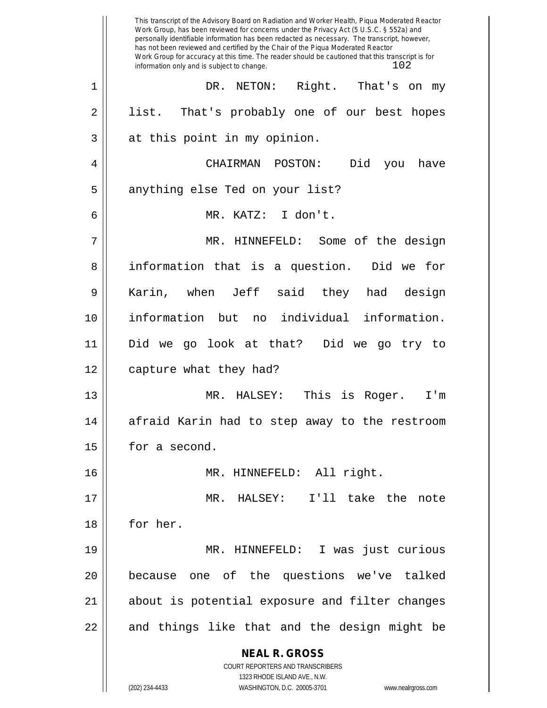**NEAL R. GROSS** COURT REPORTERS AND TRANSCRIBERS 1323 RHODE ISLAND AVE., N.W. (202) 234-4433 WASHINGTON, D.C. 20005-3701 www.nealrgross.com This transcript of the Advisory Board on Radiation and Worker Health, Piqua Moderated Reactor Work Group, has been reviewed for concerns under the Privacy Act (5 U.S.C. § 552a) and personally identifiable information has been redacted as necessary. The transcript, however, has not been reviewed and certified by the Chair of the Piqua Moderated Reactor Work Group for accuracy at this time. The reader should be cautioned that this transcript is for information only and is subject to change.  $102$ 1 DR. NETON: Right. That's on my 2 || list. That's probably one of our best hopes  $3 \parallel$  at this point in my opinion. 4 CHAIRMAN POSTON: Did you have 5 || anything else Ted on your list? 6 MR. KATZ: I don't. 7 MR. HINNEFELD: Some of the design 8 || information that is a question. Did we for 9 Karin, when Jeff said they had design 10 information but no individual information. 11 Did we go look at that? Did we go try to 12 | capture what they had? 13 MR. HALSEY: This is Roger. I'm 14 || afraid Karin had to step away to the restroom 15 | for a second. 16 MR. HINNEFELD: All right. 17 MR. HALSEY: I'll take the note 18 || for her. 19 MR. HINNEFELD: I was just curious 20 because one of the questions we've talked 21 about is potential exposure and filter changes  $22$  || and things like that and the design might be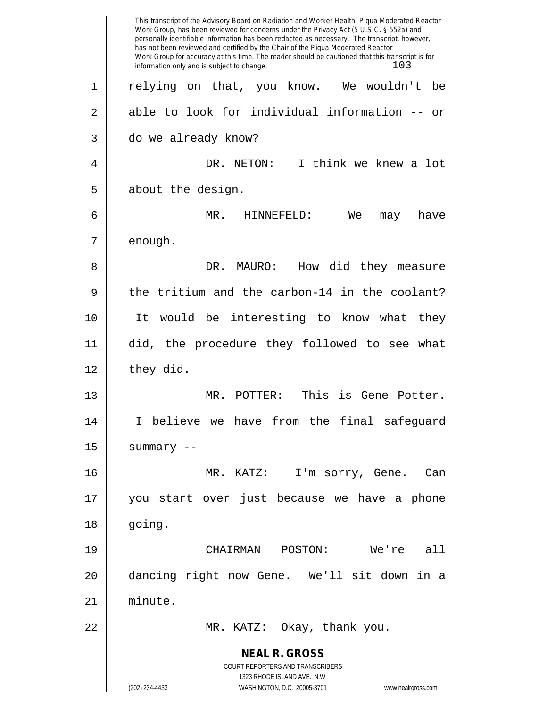**NEAL R. GROSS** COURT REPORTERS AND TRANSCRIBERS 1323 RHODE ISLAND AVE., N.W. (202) 234-4433 WASHINGTON, D.C. 20005-3701 www.nealrgross.com This transcript of the Advisory Board on Radiation and Worker Health, Piqua Moderated Reactor Work Group, has been reviewed for concerns under the Privacy Act (5 U.S.C. § 552a) and personally identifiable information has been redacted as necessary. The transcript, however, has not been reviewed and certified by the Chair of the Piqua Moderated Reactor Work Group for accuracy at this time. The reader should be cautioned that this transcript is for information only and is subject to change. 103 1 relying on that, you know. We wouldn't be  $2 \parallel$  able to look for individual information -- or 3 do we already know? 4 DR. NETON: I think we knew a lot 5 | about the design. 6 MR. HINNEFELD: We may have  $7 \parallel$  enough. 8 DR. MAURO: How did they measure  $9 \parallel$  the tritium and the carbon-14 in the coolant? 10 It would be interesting to know what they 11 did, the procedure they followed to see what  $12 \parallel$  they did. 13 MR. POTTER: This is Gene Potter. 14 I believe we have from the final safeguard  $15$  | summary  $-$ 16 MR. KATZ: I'm sorry, Gene. Can 17 you start over just because we have a phone 18 | going. 19 CHAIRMAN POSTON: We're all 20 dancing right now Gene. We'll sit down in a 21 minute. 22 MR. KATZ: Okay, thank you.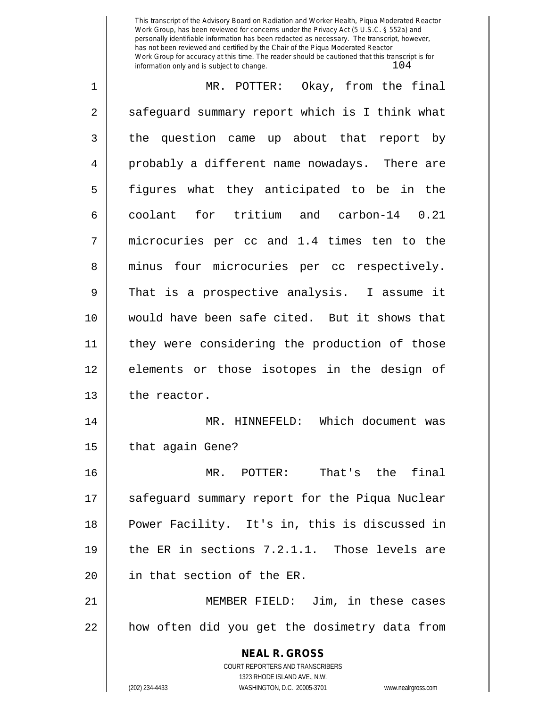This transcript of the Advisory Board on Radiation and Worker Health, Piqua Moderated Reactor Work Group, has been reviewed for concerns under the Privacy Act (5 U.S.C. § 552a) and personally identifiable information has been redacted as necessary. The transcript, however, has not been reviewed and certified by the Chair of the Piqua Moderated Reactor Work Group for accuracy at this time. The reader should be cautioned that this transcript is for information only and is subject to change.  $104$ 

| 1  | MR. POTTER: Okay, from the final                                                         |
|----|------------------------------------------------------------------------------------------|
| 2  | safeguard summary report which is I think what                                           |
| 3  | the question came up about that report by                                                |
| 4  | probably a different name nowadays. There are                                            |
| 5  | figures what they anticipated to be in the                                               |
| 6  | coolant for tritium and carbon-14 0.21                                                   |
| 7  | microcuries per cc and 1.4 times ten to the                                              |
| 8  | minus four microcuries per cc respectively.                                              |
| 9  | That is a prospective analysis. I assume it                                              |
| 10 | would have been safe cited. But it shows that                                            |
| 11 | they were considering the production of those                                            |
| 12 | elements or those isotopes in the design of                                              |
| 13 | the reactor.                                                                             |
| 14 | MR. HINNEFELD: Which document was                                                        |
| 15 | that again Gene?                                                                         |
| 16 | That's the final<br>MR. POTTER:                                                          |
| 17 | safeguard summary report for the Piqua Nuclear                                           |
| 18 | Power Facility. It's in, this is discussed in                                            |
| 19 | the ER in sections 7.2.1.1. Those levels are                                             |
| 20 | in that section of the ER.                                                               |
| 21 | MEMBER FIELD: Jim, in these cases                                                        |
| 22 | how often did you get the dosimetry data from                                            |
|    | <b>NEAL R. GROSS</b><br>COURT REPORTERS AND TRANSCRIBERS<br>1323 RHODE ISLAND AVE., N.W. |

 $\mathbb{I}$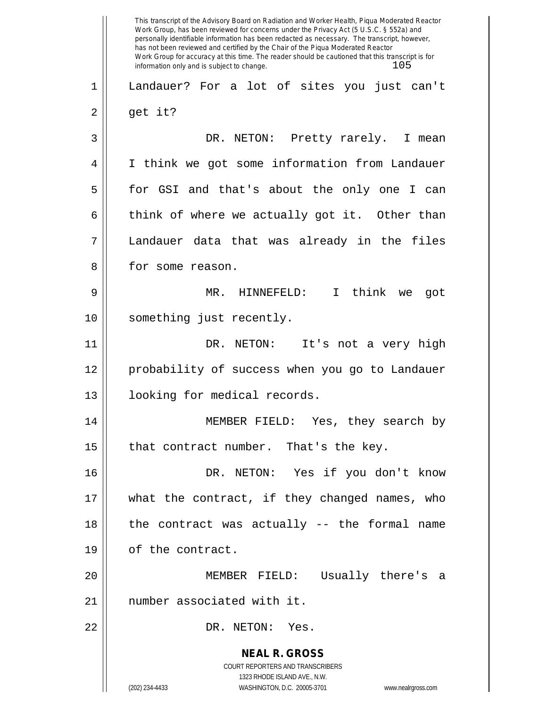**NEAL R. GROSS** COURT REPORTERS AND TRANSCRIBERS 1323 RHODE ISLAND AVE., N.W. (202) 234-4433 WASHINGTON, D.C. 20005-3701 www.nealrgross.com This transcript of the Advisory Board on Radiation and Worker Health, Piqua Moderated Reactor Work Group, has been reviewed for concerns under the Privacy Act (5 U.S.C. § 552a) and personally identifiable information has been redacted as necessary. The transcript, however, has not been reviewed and certified by the Chair of the Piqua Moderated Reactor Work Group for accuracy at this time. The reader should be cautioned that this transcript is for information only and is subject to change.  $105$ 1 Landauer? For a lot of sites you just can't  $2 \parallel$  get it? 3 DR. NETON: Pretty rarely. I mean 4 I think we got some information from Landauer 5 for GSI and that's about the only one I can 6 think of where we actually got it. Other than 7 Landauer data that was already in the files 8 for some reason. 9 MR. HINNEFELD: I think we got 10 || something just recently. 11 DR. NETON: It's not a very high 12 probability of success when you go to Landauer 13 || looking for medical records. 14 MEMBER FIELD: Yes, they search by 15  $\parallel$  that contract number. That's the key. 16 DR. NETON: Yes if you don't know 17 what the contract, if they changed names, who 18 || the contract was actually -- the formal name 19 | of the contract. 20 MEMBER FIELD: Usually there's a 21 number associated with it. 22 DR. NETON: Yes.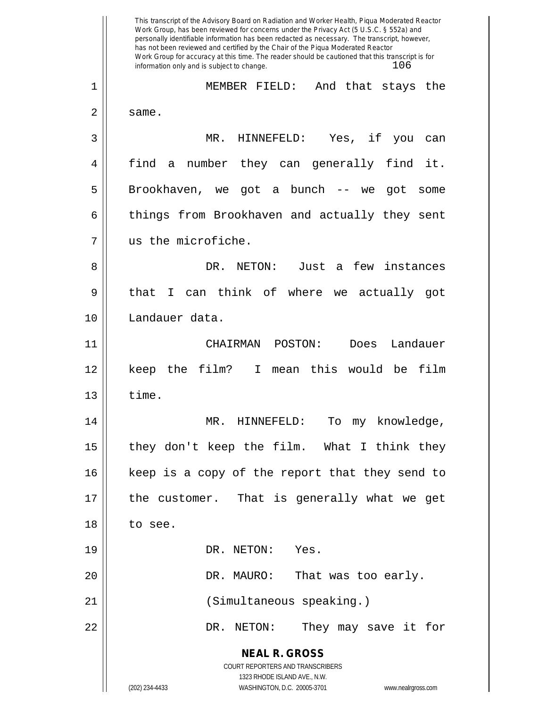**NEAL R. GROSS** COURT REPORTERS AND TRANSCRIBERS 1323 RHODE ISLAND AVE., N.W. (202) 234-4433 WASHINGTON, D.C. 20005-3701 www.nealrgross.com This transcript of the Advisory Board on Radiation and Worker Health, Piqua Moderated Reactor Work Group, has been reviewed for concerns under the Privacy Act (5 U.S.C. § 552a) and personally identifiable information has been redacted as necessary. The transcript, however, has not been reviewed and certified by the Chair of the Piqua Moderated Reactor Work Group for accuracy at this time. The reader should be cautioned that this transcript is for information only and is subject to change.  $106$ 1 MEMBER FIELD: And that stays the  $2 \parallel$  same. 3 MR. HINNEFELD: Yes, if you can 4 find a number they can generally find it. 5 || Brookhaven, we got a bunch -- we got some 6 | things from Brookhaven and actually they sent 7 us the microfiche. 8 DR. NETON: Just a few instances 9 || that I can think of where we actually got 10 Landauer data. 11 CHAIRMAN POSTON: Does Landauer 12 keep the film? I mean this would be film  $13 \parallel$  time. 14 MR. HINNEFELD: To my knowledge, 15  $\parallel$  they don't keep the film. What I think they 16 || keep is a copy of the report that they send to 17 the customer. That is generally what we get 18 to see. 19 || DR. NETON: Yes. 20 DR. MAURO: That was too early. 21 (Simultaneous speaking.) 22 DR. NETON: They may save it for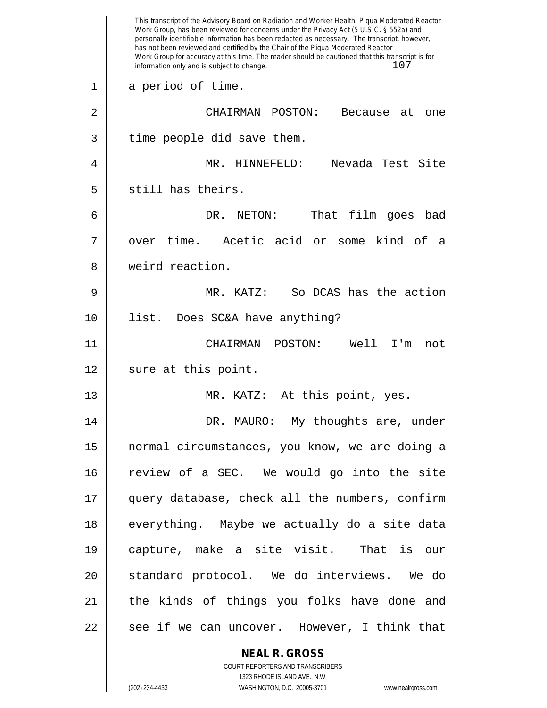|    | This transcript of the Advisory Board on Radiation and Worker Health, Piqua Moderated Reactor<br>Work Group, has been reviewed for concerns under the Privacy Act (5 U.S.C. § 552a) and<br>personally identifiable information has been redacted as necessary. The transcript, however,<br>has not been reviewed and certified by the Chair of the Piqua Moderated Reactor<br>Work Group for accuracy at this time. The reader should be cautioned that this transcript is for<br>107<br>information only and is subject to change. |
|----|-------------------------------------------------------------------------------------------------------------------------------------------------------------------------------------------------------------------------------------------------------------------------------------------------------------------------------------------------------------------------------------------------------------------------------------------------------------------------------------------------------------------------------------|
| 1  | a period of time.                                                                                                                                                                                                                                                                                                                                                                                                                                                                                                                   |
| 2  | CHAIRMAN<br>POSTON:<br>Because<br>at<br>one                                                                                                                                                                                                                                                                                                                                                                                                                                                                                         |
| 3  | time people did save them.                                                                                                                                                                                                                                                                                                                                                                                                                                                                                                          |
| 4  | MR. HINNEFELD:<br>Nevada Test Site                                                                                                                                                                                                                                                                                                                                                                                                                                                                                                  |
| 5  | still has theirs.                                                                                                                                                                                                                                                                                                                                                                                                                                                                                                                   |
| 6  | DR. NETON:<br>film<br>That<br>bad<br>goes                                                                                                                                                                                                                                                                                                                                                                                                                                                                                           |
| 7  | over time. Acetic acid<br>kind of<br>or some<br>a                                                                                                                                                                                                                                                                                                                                                                                                                                                                                   |
| 8  | weird reaction.                                                                                                                                                                                                                                                                                                                                                                                                                                                                                                                     |
| 9  | So DCAS has the action<br>MR. KATZ:                                                                                                                                                                                                                                                                                                                                                                                                                                                                                                 |
| 10 | list.<br>Does SC&A have anything?                                                                                                                                                                                                                                                                                                                                                                                                                                                                                                   |
| 11 | CHAIRMAN<br>POSTON:<br>Well<br>T'm<br>not                                                                                                                                                                                                                                                                                                                                                                                                                                                                                           |
| 12 | sure at this point.                                                                                                                                                                                                                                                                                                                                                                                                                                                                                                                 |
| 13 | MR. KATZ: At this point, yes.                                                                                                                                                                                                                                                                                                                                                                                                                                                                                                       |
| 14 | DR. MAURO: My thoughts are, under                                                                                                                                                                                                                                                                                                                                                                                                                                                                                                   |
| 15 | normal circumstances, you know, we are doing a                                                                                                                                                                                                                                                                                                                                                                                                                                                                                      |
| 16 | review of a SEC. We would go into the site                                                                                                                                                                                                                                                                                                                                                                                                                                                                                          |
| 17 | query database, check all the numbers, confirm                                                                                                                                                                                                                                                                                                                                                                                                                                                                                      |
| 18 | everything. Maybe we actually do a site data                                                                                                                                                                                                                                                                                                                                                                                                                                                                                        |
| 19 | capture, make a site visit. That is our                                                                                                                                                                                                                                                                                                                                                                                                                                                                                             |
| 20 | standard protocol. We do interviews. We do                                                                                                                                                                                                                                                                                                                                                                                                                                                                                          |
| 21 | the kinds of things you folks have done and                                                                                                                                                                                                                                                                                                                                                                                                                                                                                         |
| 22 | see if we can uncover. However, I think that                                                                                                                                                                                                                                                                                                                                                                                                                                                                                        |
|    | <b>NEAL R. GROSS</b>                                                                                                                                                                                                                                                                                                                                                                                                                                                                                                                |

COURT REPORTERS AND TRANSCRIBERS 1323 RHODE ISLAND AVE., N.W.

 $\mathsf{II}$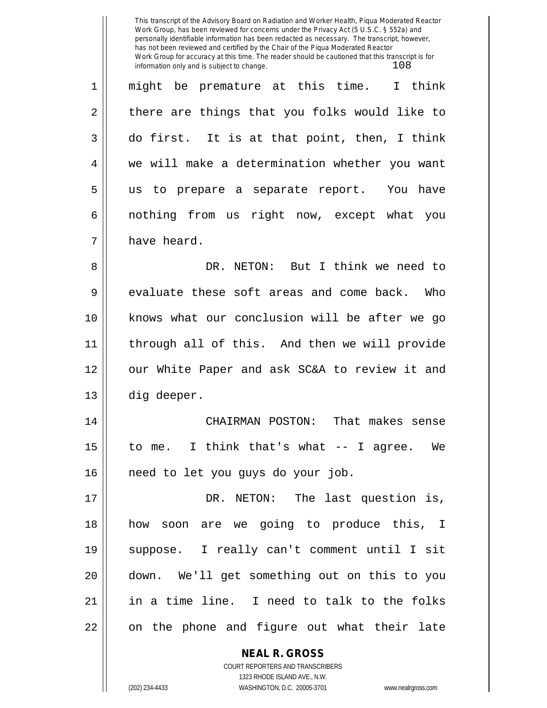This transcript of the Advisory Board on Radiation and Worker Health, Piqua Moderated Reactor Work Group, has been reviewed for concerns under the Privacy Act (5 U.S.C. § 552a) and personally identifiable information has been redacted as necessary. The transcript, however, has not been reviewed and certified by the Chair of the Piqua Moderated Reactor Work Group for accuracy at this time. The reader should be cautioned that this transcript is for information only and is subject to change.  $108$ 

**NEAL R. GROSS** 1 might be premature at this time. I think  $2 \parallel$  there are things that you folks would like to  $3 \parallel$  do first. It is at that point, then, I think 4 we will make a determination whether you want 5 us to prepare a separate report. You have 6 | nothing from us right now, except what you 7 | have heard. 8 DR. NETON: But I think we need to  $9 \parallel$  evaluate these soft areas and come back. Who 10 || knows what our conclusion will be after we go 11 through all of this. And then we will provide 12 || our White Paper and ask SC&A to review it and 13 || dig deeper. 14 CHAIRMAN POSTON: That makes sense 15 to me. I think that's what -- I agree. We 16 || need to let you guys do your job. 17 DR. NETON: The last question is, 18 how soon are we going to produce this, I 19 suppose. I really can't comment until I sit 20 down. We'll get something out on this to you  $21$  || in a time line. I need to talk to the folks 22 || on the phone and figure out what their late

> COURT REPORTERS AND TRANSCRIBERS 1323 RHODE ISLAND AVE., N.W.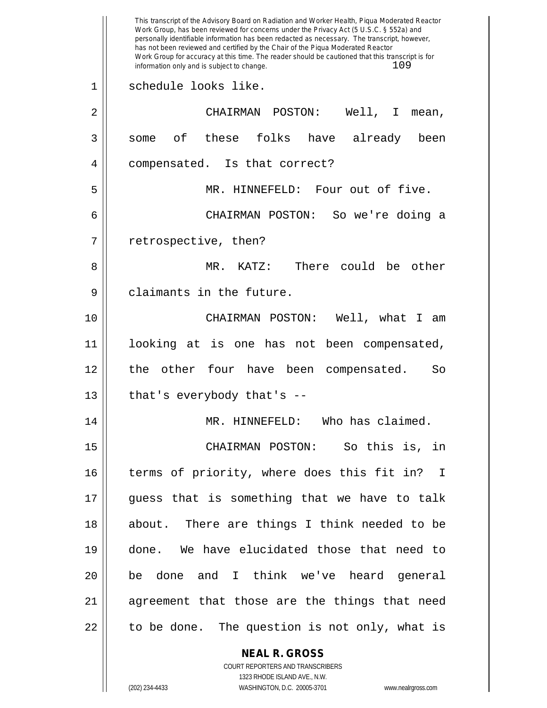**NEAL R. GROSS** This transcript of the Advisory Board on Radiation and Worker Health, Piqua Moderated Reactor Work Group, has been reviewed for concerns under the Privacy Act (5 U.S.C. § 552a) and personally identifiable information has been redacted as necessary. The transcript, however, has not been reviewed and certified by the Chair of the Piqua Moderated Reactor Work Group for accuracy at this time. The reader should be cautioned that this transcript is for information only and is subject to change.  $109$ 1 schedule looks like. 2 CHAIRMAN POSTON: Well, I mean, 3 || some of these folks have already been 4 || compensated. Is that correct? 5 MR. HINNEFELD: Four out of five. 6 CHAIRMAN POSTON: So we're doing a 7 | retrospective, then? 8 MR. KATZ: There could be other 9 || claimants in the future. 10 CHAIRMAN POSTON: Well, what I am 11 looking at is one has not been compensated, 12 the other four have been compensated. So  $13$  || that's everybody that's --14 MR. HINNEFELD: Who has claimed. 15 CHAIRMAN POSTON: So this is, in 16 || terms of priority, where does this fit in? I 17 guess that is something that we have to talk 18 || about. There are things I think needed to be 19 done. We have elucidated those that need to 20 be done and I think we've heard general 21 || agreement that those are the things that need  $22 \parallel$  to be done. The question is not only, what is

> COURT REPORTERS AND TRANSCRIBERS 1323 RHODE ISLAND AVE., N.W.

(202) 234-4433 WASHINGTON, D.C. 20005-3701 www.nealrgross.com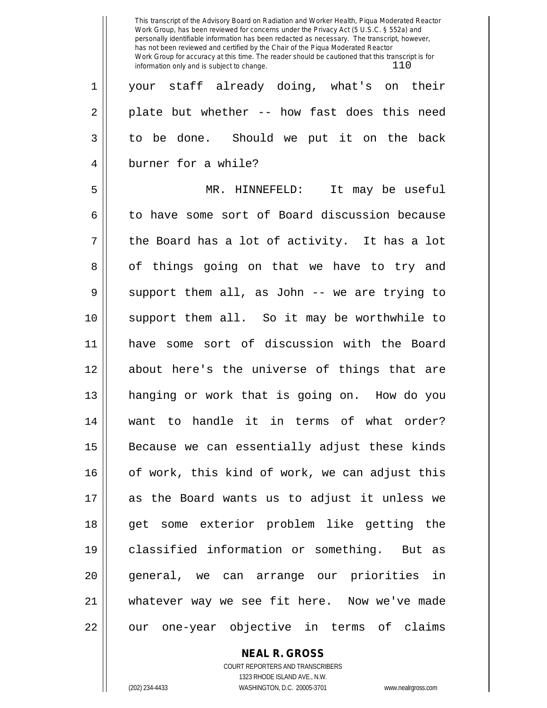This transcript of the Advisory Board on Radiation and Worker Health, Piqua Moderated Reactor Work Group, has been reviewed for concerns under the Privacy Act (5 U.S.C. § 552a) and personally identifiable information has been redacted as necessary. The transcript, however, has not been reviewed and certified by the Chair of the Piqua Moderated Reactor Work Group for accuracy at this time. The reader should be cautioned that this transcript is for information only and is subject to change.  $110$ 

1 || your staff already doing, what's on their  $2 \parallel$  plate but whether -- how fast does this need 3 || to be done. Should we put it on the back 4 burner for a while?

5 MR. HINNEFELD: It may be useful 6 to have some sort of Board discussion because  $7 \parallel$  the Board has a lot of activity. It has a lot 8 || of things going on that we have to try and  $9 \parallel$  support them all, as John -- we are trying to 10 support them all. So it may be worthwhile to 11 have some sort of discussion with the Board 12 about here's the universe of things that are 13 hanging or work that is going on. How do you 14 want to handle it in terms of what order?  $15$  Because we can essentially adjust these kinds 16 || of work, this kind of work, we can adjust this 17 as the Board wants us to adjust it unless we 18 get some exterior problem like getting the 19 classified information or something. But as 20 general, we can arrange our priorities in 21 || whatever way we see fit here. Now we've made 22 || our one-year objective in terms of claims

## **NEAL R. GROSS** COURT REPORTERS AND TRANSCRIBERS

1323 RHODE ISLAND AVE., N.W. (202) 234-4433 WASHINGTON, D.C. 20005-3701 www.nealrgross.com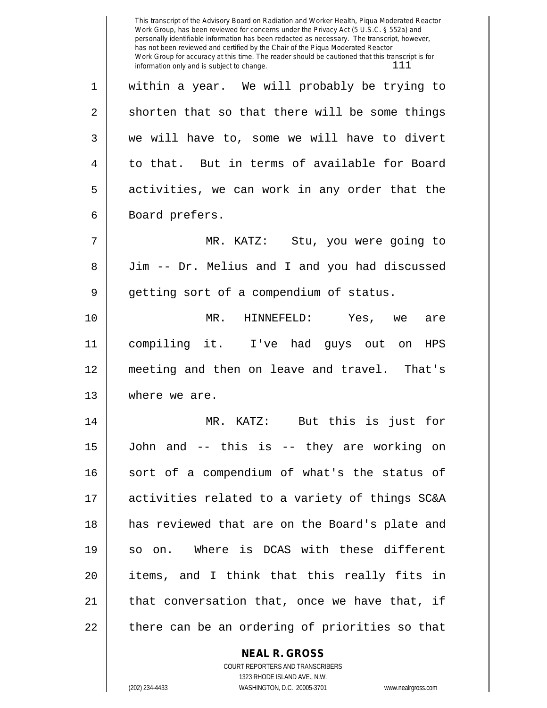This transcript of the Advisory Board on Radiation and Worker Health, Piqua Moderated Reactor Work Group, has been reviewed for concerns under the Privacy Act (5 U.S.C. § 552a) and personally identifiable information has been redacted as necessary. The transcript, however, has not been reviewed and certified by the Chair of the Piqua Moderated Reactor Work Group for accuracy at this time. The reader should be cautioned that this transcript is for information only and is subject to change.  $111$ 

1 || within a year. We will probably be trying to  $2 \parallel$  shorten that so that there will be some things  $3 \parallel$  we will have to, some we will have to divert 4 || to that. But in terms of available for Board  $5 \parallel$  activities, we can work in any order that the 6 | Board prefers.

7 MR. KATZ: Stu, you were going to 8 Jim -- Dr. Melius and I and you had discussed 9 || getting sort of a compendium of status.

10 MR. HINNEFELD: Yes, we are 11 compiling it. I've had guys out on HPS 12 meeting and then on leave and travel. That's 13 || where we are.

14 MR. KATZ: But this is just for 15 John and -- this is -- they are working on 16 || sort of a compendium of what's the status of 17 activities related to a variety of things SC&A 18 has reviewed that are on the Board's plate and 19 so on. Where is DCAS with these different 20 items, and I think that this really fits in  $21$  || that conversation that, once we have that, if  $22$   $\parallel$  there can be an ordering of priorities so that

## **NEAL R. GROSS**

COURT REPORTERS AND TRANSCRIBERS 1323 RHODE ISLAND AVE., N.W. (202) 234-4433 WASHINGTON, D.C. 20005-3701 www.nealrgross.com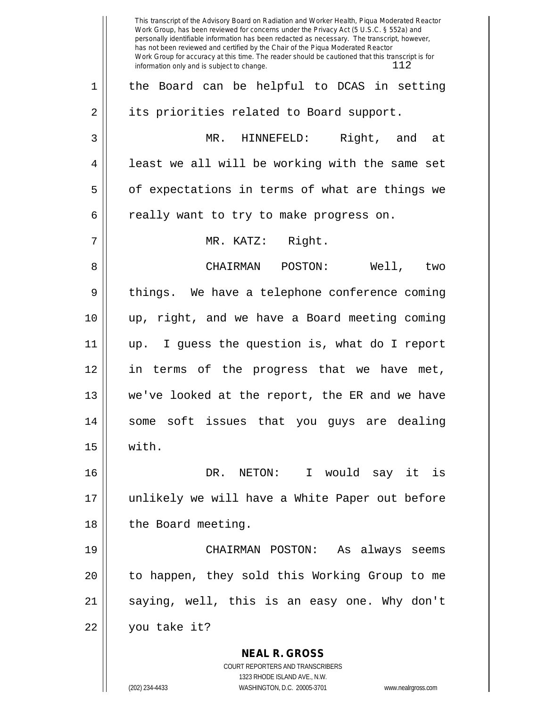**NEAL R. GROSS** COURT REPORTERS AND TRANSCRIBERS 1323 RHODE ISLAND AVE., N.W. This transcript of the Advisory Board on Radiation and Worker Health, Piqua Moderated Reactor Work Group, has been reviewed for concerns under the Privacy Act (5 U.S.C. § 552a) and personally identifiable information has been redacted as necessary. The transcript, however, has not been reviewed and certified by the Chair of the Piqua Moderated Reactor Work Group for accuracy at this time. The reader should be cautioned that this transcript is for information only and is subject to change.  $112$ 1 || the Board can be helpful to DCAS in setting 2 || its priorities related to Board support. 3 MR. HINNEFELD: Right, and at 4 || least we all will be working with the same set  $5 \parallel$  of expectations in terms of what are things we  $6 \parallel$  really want to try to make progress on. 7 || MR. KATZ: Right. 8 CHAIRMAN POSTON: Well, two 9 || things. We have a telephone conference coming 10 up, right, and we have a Board meeting coming 11 up. I guess the question is, what do I report 12 in terms of the progress that we have met, 13 we've looked at the report, the ER and we have 14 some soft issues that you guys are dealing  $15$  | with. 16 DR. NETON: I would say it is 17 unlikely we will have a White Paper out before 18 | the Board meeting. 19 CHAIRMAN POSTON: As always seems 20 || to happen, they sold this Working Group to me 21 || saying, well, this is an easy one. Why don't 22 you take it?

(202) 234-4433 WASHINGTON, D.C. 20005-3701 www.nealrgross.com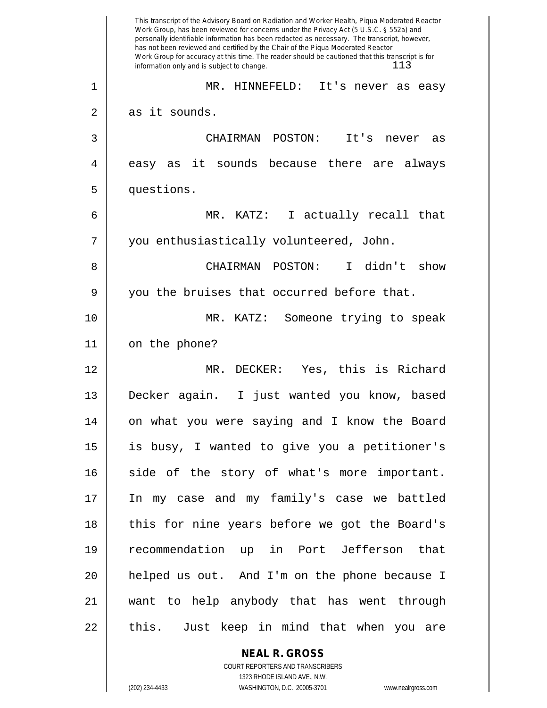|    | This transcript of the Advisory Board on Radiation and Worker Health, Piqua Moderated Reactor<br>Work Group, has been reviewed for concerns under the Privacy Act (5 U.S.C. § 552a) and<br>personally identifiable information has been redacted as necessary. The transcript, however,<br>has not been reviewed and certified by the Chair of the Piqua Moderated Reactor<br>Work Group for accuracy at this time. The reader should be cautioned that this transcript is for<br>113<br>information only and is subject to change. |
|----|-------------------------------------------------------------------------------------------------------------------------------------------------------------------------------------------------------------------------------------------------------------------------------------------------------------------------------------------------------------------------------------------------------------------------------------------------------------------------------------------------------------------------------------|
| 1  | MR. HINNEFELD:<br>It's never as<br>easy                                                                                                                                                                                                                                                                                                                                                                                                                                                                                             |
| 2  | as it sounds.                                                                                                                                                                                                                                                                                                                                                                                                                                                                                                                       |
| 3  | CHAIRMAN POSTON:<br>It's<br>never<br>as                                                                                                                                                                                                                                                                                                                                                                                                                                                                                             |
| 4  | it sounds because there are<br>always<br>easy as                                                                                                                                                                                                                                                                                                                                                                                                                                                                                    |
| 5  | questions.                                                                                                                                                                                                                                                                                                                                                                                                                                                                                                                          |
| 6  | MR. KATZ:<br>I actually recall that                                                                                                                                                                                                                                                                                                                                                                                                                                                                                                 |
| 7  | you enthusiastically volunteered, John.                                                                                                                                                                                                                                                                                                                                                                                                                                                                                             |
| 8  | POSTON:<br>didn't show<br>CHAIRMAN<br>T.                                                                                                                                                                                                                                                                                                                                                                                                                                                                                            |
| 9  | you the bruises that occurred before that.                                                                                                                                                                                                                                                                                                                                                                                                                                                                                          |
| 10 | MR. KATZ:<br>Someone trying to speak                                                                                                                                                                                                                                                                                                                                                                                                                                                                                                |
| 11 | on the phone?                                                                                                                                                                                                                                                                                                                                                                                                                                                                                                                       |
| 12 | Yes, this is Richard<br>DECKER:<br>$MR$ .                                                                                                                                                                                                                                                                                                                                                                                                                                                                                           |
| 13 | Decker again.<br>I just wanted you know, based                                                                                                                                                                                                                                                                                                                                                                                                                                                                                      |
| 14 | on what you were saying and I know the Board                                                                                                                                                                                                                                                                                                                                                                                                                                                                                        |
| 15 | is busy, I wanted to give you a petitioner's                                                                                                                                                                                                                                                                                                                                                                                                                                                                                        |
| 16 | side of the story of what's more important.                                                                                                                                                                                                                                                                                                                                                                                                                                                                                         |
| 17 | In my case and my family's case we battled                                                                                                                                                                                                                                                                                                                                                                                                                                                                                          |
| 18 | this for nine years before we got the Board's                                                                                                                                                                                                                                                                                                                                                                                                                                                                                       |
| 19 | recommendation up in Port Jefferson that                                                                                                                                                                                                                                                                                                                                                                                                                                                                                            |
| 20 | helped us out. And I'm on the phone because I                                                                                                                                                                                                                                                                                                                                                                                                                                                                                       |
| 21 | want to help anybody that has went through                                                                                                                                                                                                                                                                                                                                                                                                                                                                                          |
| 22 | this. Just keep in mind that when you are                                                                                                                                                                                                                                                                                                                                                                                                                                                                                           |

**NEAL R. GROSS** COURT REPORTERS AND TRANSCRIBERS

1323 RHODE ISLAND AVE., N.W.

(202) 234-4433 WASHINGTON, D.C. 20005-3701 www.nealrgross.com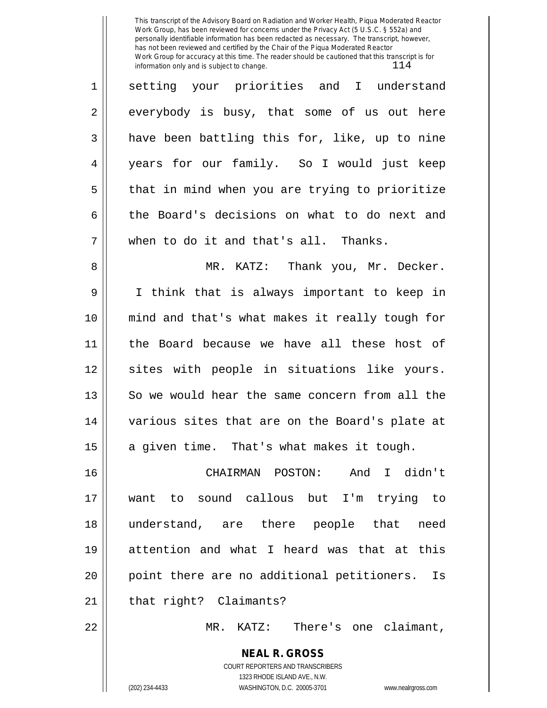This transcript of the Advisory Board on Radiation and Worker Health, Piqua Moderated Reactor Work Group, has been reviewed for concerns under the Privacy Act (5 U.S.C. § 552a) and personally identifiable information has been redacted as necessary. The transcript, however, has not been reviewed and certified by the Chair of the Piqua Moderated Reactor Work Group for accuracy at this time. The reader should be cautioned that this transcript is for information only and is subject to change.  $114$ 

| $\mathbf 1$ | setting your priorities and I understand       |
|-------------|------------------------------------------------|
| 2           | everybody is busy, that some of us out here    |
| 3           | have been battling this for, like, up to nine  |
| 4           | years for our family. So I would just keep     |
| 5           | that in mind when you are trying to prioritize |
| 6           | the Board's decisions on what to do next and   |
| 7           | when to do it and that's all. Thanks.          |
| 8           | MR. KATZ: Thank you, Mr. Decker.               |
| 9           | I think that is always important to keep in    |
| 10          | mind and that's what makes it really tough for |
| 11          | the Board because we have all these host of    |
| 12          | sites with people in situations like yours.    |
| 13          | So we would hear the same concern from all the |
| 14          | various sites that are on the Board's plate at |
| 15          | a given time. That's what makes it tough.      |
| 16          | And I didn't<br>CHAIRMAN POSTON:               |
| 17          | want to sound callous but I'm trying to        |
| 18          | understand, are there people that need         |
| 19          | attention and what I heard was that at this    |
| 20          | point there are no additional petitioners. Is  |
| 21          | that right? Claimants?                         |
| 22          | There's one claimant,<br>MR. KATZ:             |

**NEAL R. GROSS** COURT REPORTERS AND TRANSCRIBERS 1323 RHODE ISLAND AVE., N.W. (202) 234-4433 WASHINGTON, D.C. 20005-3701 www.nealrgross.com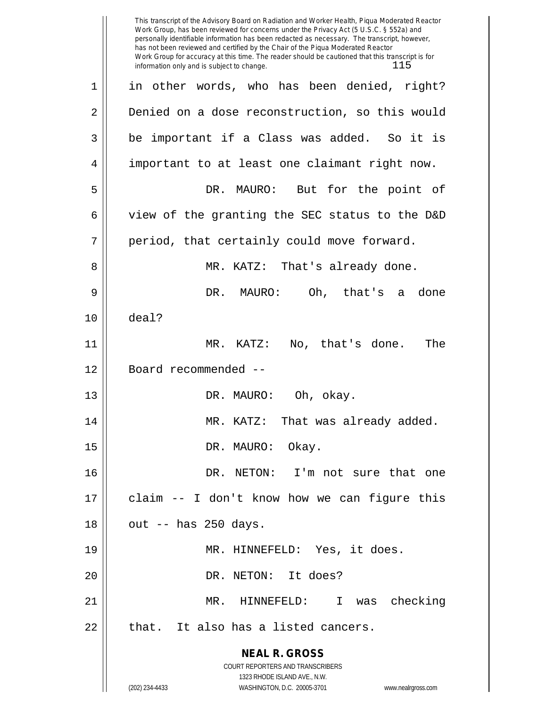|    | This transcript of the Advisory Board on Radiation and Worker Health, Piqua Moderated Reactor<br>Work Group, has been reviewed for concerns under the Privacy Act (5 U.S.C. § 552a) and<br>personally identifiable information has been redacted as necessary. The transcript, however,<br>has not been reviewed and certified by the Chair of the Piqua Moderated Reactor<br>Work Group for accuracy at this time. The reader should be cautioned that this transcript is for<br>115<br>information only and is subject to change. |
|----|-------------------------------------------------------------------------------------------------------------------------------------------------------------------------------------------------------------------------------------------------------------------------------------------------------------------------------------------------------------------------------------------------------------------------------------------------------------------------------------------------------------------------------------|
| 1  | in other words, who has been denied, right?                                                                                                                                                                                                                                                                                                                                                                                                                                                                                         |
| 2  | Denied on a dose reconstruction, so this would                                                                                                                                                                                                                                                                                                                                                                                                                                                                                      |
| 3  | be important if a Class was added. So it is                                                                                                                                                                                                                                                                                                                                                                                                                                                                                         |
| 4  | important to at least one claimant right now.                                                                                                                                                                                                                                                                                                                                                                                                                                                                                       |
| 5  | DR. MAURO: But for the point of                                                                                                                                                                                                                                                                                                                                                                                                                                                                                                     |
| 6  | view of the granting the SEC status to the D&D                                                                                                                                                                                                                                                                                                                                                                                                                                                                                      |
| 7  | period, that certainly could move forward.                                                                                                                                                                                                                                                                                                                                                                                                                                                                                          |
| 8  | MR. KATZ: That's already done.                                                                                                                                                                                                                                                                                                                                                                                                                                                                                                      |
| 9  | DR. MAURO:<br>Oh, that's a done                                                                                                                                                                                                                                                                                                                                                                                                                                                                                                     |
| 10 | deal?                                                                                                                                                                                                                                                                                                                                                                                                                                                                                                                               |
| 11 | $MR$ .<br>No, that's done.<br>The<br>KATZ:                                                                                                                                                                                                                                                                                                                                                                                                                                                                                          |
| 12 | Board recommended --                                                                                                                                                                                                                                                                                                                                                                                                                                                                                                                |
| 13 | Oh, okay.<br>DR. MAURO:                                                                                                                                                                                                                                                                                                                                                                                                                                                                                                             |
| 14 | MR. KATZ: That was already added.                                                                                                                                                                                                                                                                                                                                                                                                                                                                                                   |
| 15 | DR. MAURO: Okay.                                                                                                                                                                                                                                                                                                                                                                                                                                                                                                                    |
| 16 | DR. NETON: I'm not sure that one                                                                                                                                                                                                                                                                                                                                                                                                                                                                                                    |
| 17 | claim -- I don't know how we can figure this                                                                                                                                                                                                                                                                                                                                                                                                                                                                                        |
| 18 | out -- has 250 days.                                                                                                                                                                                                                                                                                                                                                                                                                                                                                                                |
| 19 | MR. HINNEFELD: Yes, it does.                                                                                                                                                                                                                                                                                                                                                                                                                                                                                                        |
| 20 | DR. NETON: It does?                                                                                                                                                                                                                                                                                                                                                                                                                                                                                                                 |
| 21 | MR. HINNEFELD: I was checking                                                                                                                                                                                                                                                                                                                                                                                                                                                                                                       |
| 22 | that. It also has a listed cancers.                                                                                                                                                                                                                                                                                                                                                                                                                                                                                                 |
|    | <b>NEAL R. GROSS</b><br>COURT REPORTERS AND TRANSCRIBERS                                                                                                                                                                                                                                                                                                                                                                                                                                                                            |
|    | 1323 RHODE ISLAND AVE., N.W.<br>(202) 234-4433<br>WASHINGTON, D.C. 20005-3701<br>www.nealrgross.com                                                                                                                                                                                                                                                                                                                                                                                                                                 |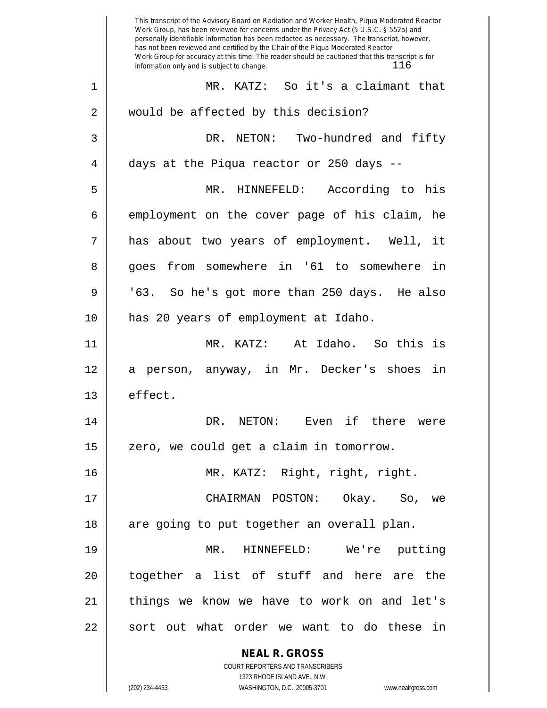|    | This transcript of the Advisory Board on Radiation and Worker Health, Piqua Moderated Reactor<br>Work Group, has been reviewed for concerns under the Privacy Act (5 U.S.C. § 552a) and<br>personally identifiable information has been redacted as necessary. The transcript, however,<br>has not been reviewed and certified by the Chair of the Piqua Moderated Reactor<br>Work Group for accuracy at this time. The reader should be cautioned that this transcript is for<br>116<br>information only and is subject to change. |
|----|-------------------------------------------------------------------------------------------------------------------------------------------------------------------------------------------------------------------------------------------------------------------------------------------------------------------------------------------------------------------------------------------------------------------------------------------------------------------------------------------------------------------------------------|
| 1  | So it's a claimant that<br>MR. KATZ:                                                                                                                                                                                                                                                                                                                                                                                                                                                                                                |
| 2  | would be affected by this decision?                                                                                                                                                                                                                                                                                                                                                                                                                                                                                                 |
| 3  | NETON: Two-hundred and fifty<br>DR.                                                                                                                                                                                                                                                                                                                                                                                                                                                                                                 |
| 4  | days at the Piqua reactor or 250 days --                                                                                                                                                                                                                                                                                                                                                                                                                                                                                            |
| 5  | According to<br>MR.<br>HINNEFELD:<br>his                                                                                                                                                                                                                                                                                                                                                                                                                                                                                            |
| 6  | employment on the cover page of his claim, he                                                                                                                                                                                                                                                                                                                                                                                                                                                                                       |
| 7  | has about two years of employment. Well,<br>it                                                                                                                                                                                                                                                                                                                                                                                                                                                                                      |
| 8  | from somewhere in '61 to somewhere<br>in<br>goes                                                                                                                                                                                                                                                                                                                                                                                                                                                                                    |
| 9  | '63. So he's got more than 250 days. He also                                                                                                                                                                                                                                                                                                                                                                                                                                                                                        |
| 10 | has 20 years of employment at Idaho.                                                                                                                                                                                                                                                                                                                                                                                                                                                                                                |
| 11 | At Idaho. So this is<br>MR. KATZ:                                                                                                                                                                                                                                                                                                                                                                                                                                                                                                   |
| 12 | person, anyway, in Mr. Decker's shoes<br>in<br>а                                                                                                                                                                                                                                                                                                                                                                                                                                                                                    |
| 13 | effect.                                                                                                                                                                                                                                                                                                                                                                                                                                                                                                                             |
| 14 | DR.<br>NETON:<br>Even if there<br>were                                                                                                                                                                                                                                                                                                                                                                                                                                                                                              |
| 15 | zero, we could get a claim in tomorrow.                                                                                                                                                                                                                                                                                                                                                                                                                                                                                             |
| 16 | MR. KATZ: Right, right, right.                                                                                                                                                                                                                                                                                                                                                                                                                                                                                                      |
| 17 | CHAIRMAN POSTON:<br>Okay. So, we                                                                                                                                                                                                                                                                                                                                                                                                                                                                                                    |
| 18 | are going to put together an overall plan.                                                                                                                                                                                                                                                                                                                                                                                                                                                                                          |
| 19 | MR.<br>HINNEFELD:<br>We're putting                                                                                                                                                                                                                                                                                                                                                                                                                                                                                                  |
| 20 | together a list of stuff and here are the                                                                                                                                                                                                                                                                                                                                                                                                                                                                                           |
| 21 | things we know we have to work on and let's                                                                                                                                                                                                                                                                                                                                                                                                                                                                                         |
| 22 | sort out what order we want to do these in                                                                                                                                                                                                                                                                                                                                                                                                                                                                                          |
|    | <b>NEAL R. GROSS</b><br>COURT REPORTERS AND TRANSCRIBERS                                                                                                                                                                                                                                                                                                                                                                                                                                                                            |
|    | 1323 RHODE ISLAND AVE., N.W.                                                                                                                                                                                                                                                                                                                                                                                                                                                                                                        |
|    | (202) 234-4433<br>WASHINGTON, D.C. 20005-3701<br>www.nealrgross.com                                                                                                                                                                                                                                                                                                                                                                                                                                                                 |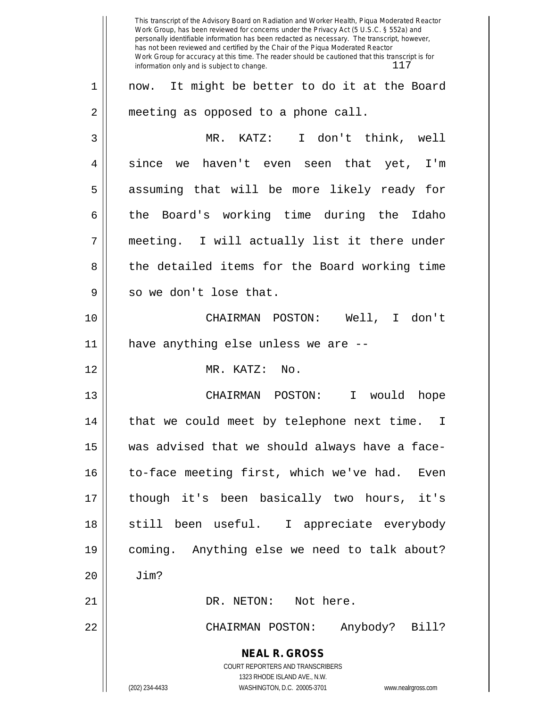**NEAL R. GROSS** COURT REPORTERS AND TRANSCRIBERS 1323 RHODE ISLAND AVE., N.W. (202) 234-4433 WASHINGTON, D.C. 20005-3701 www.nealrgross.com This transcript of the Advisory Board on Radiation and Worker Health, Piqua Moderated Reactor Work Group, has been reviewed for concerns under the Privacy Act (5 U.S.C. § 552a) and personally identifiable information has been redacted as necessary. The transcript, however, has not been reviewed and certified by the Chair of the Piqua Moderated Reactor Work Group for accuracy at this time. The reader should be cautioned that this transcript is for information only and is subject to change.  $117$ 1 now. It might be better to do it at the Board 2 | meeting as opposed to a phone call. 3 MR. KATZ: I don't think, well  $4 \parallel$  since we haven't even seen that yet, I'm 5 || assuming that will be more likely ready for 6 the Board's working time during the Idaho 7 meeting. I will actually list it there under 8 || the detailed items for the Board working time 9 || so we don't lose that. 10 CHAIRMAN POSTON: Well, I don't 11 have anything else unless we are -- 12 MR. KATZ: No. 13 CHAIRMAN POSTON: I would hope 14 || that we could meet by telephone next time. I 15 was advised that we should always have a face-16 || to-face meeting first, which we've had. Even 17 though it's been basically two hours, it's 18 || still been useful. I appreciate everybody 19 coming. Anything else we need to talk about? 20 Jim? 21 DR. NETON: Not here. 22 CHAIRMAN POSTON: Anybody? Bill?